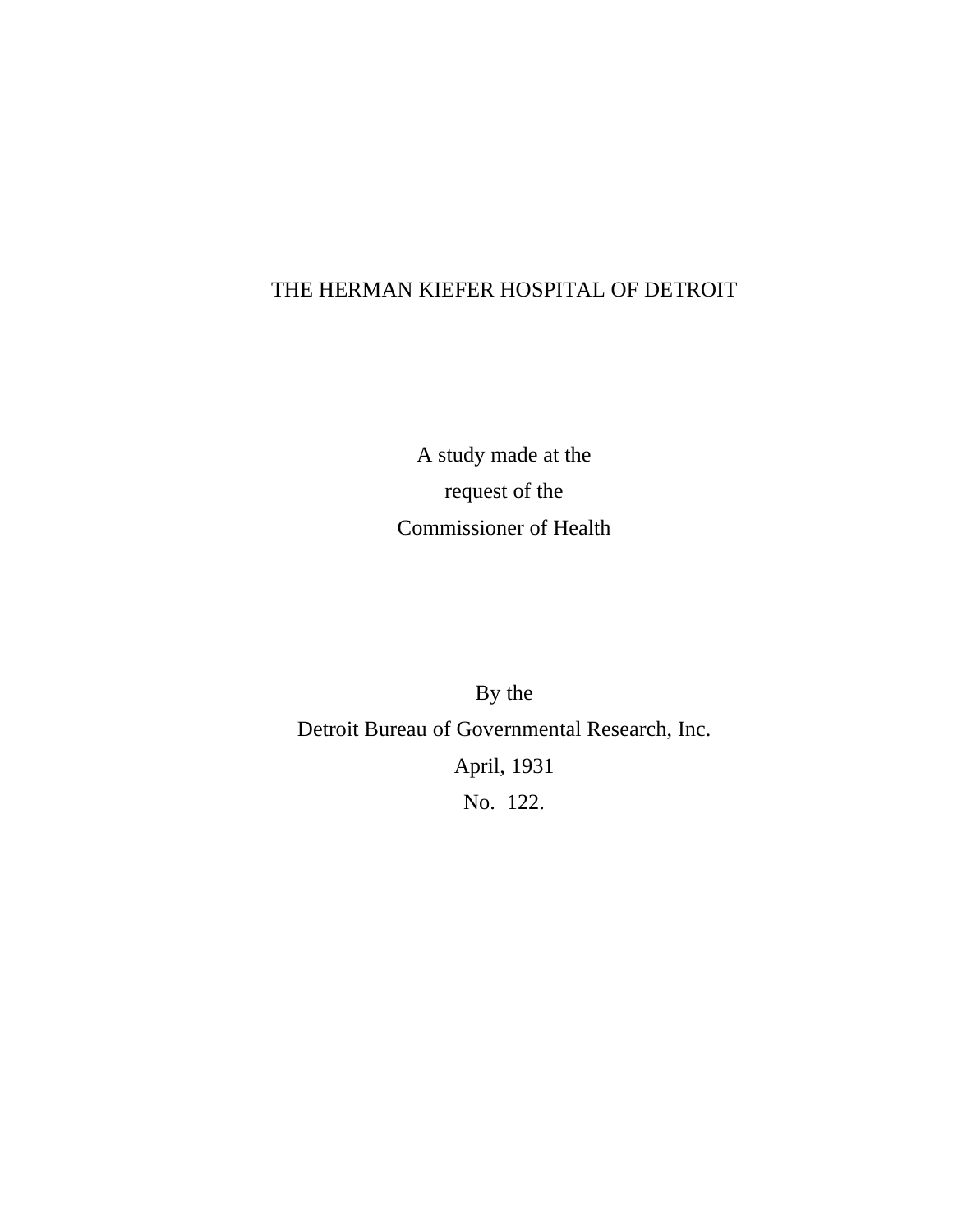# THE HERMAN KIEFER HOSPITAL OF DETROIT

A study made at the request of the Commissioner of Health

By the Detroit Bureau of Governmental Research, Inc. April, 1931 No. 122.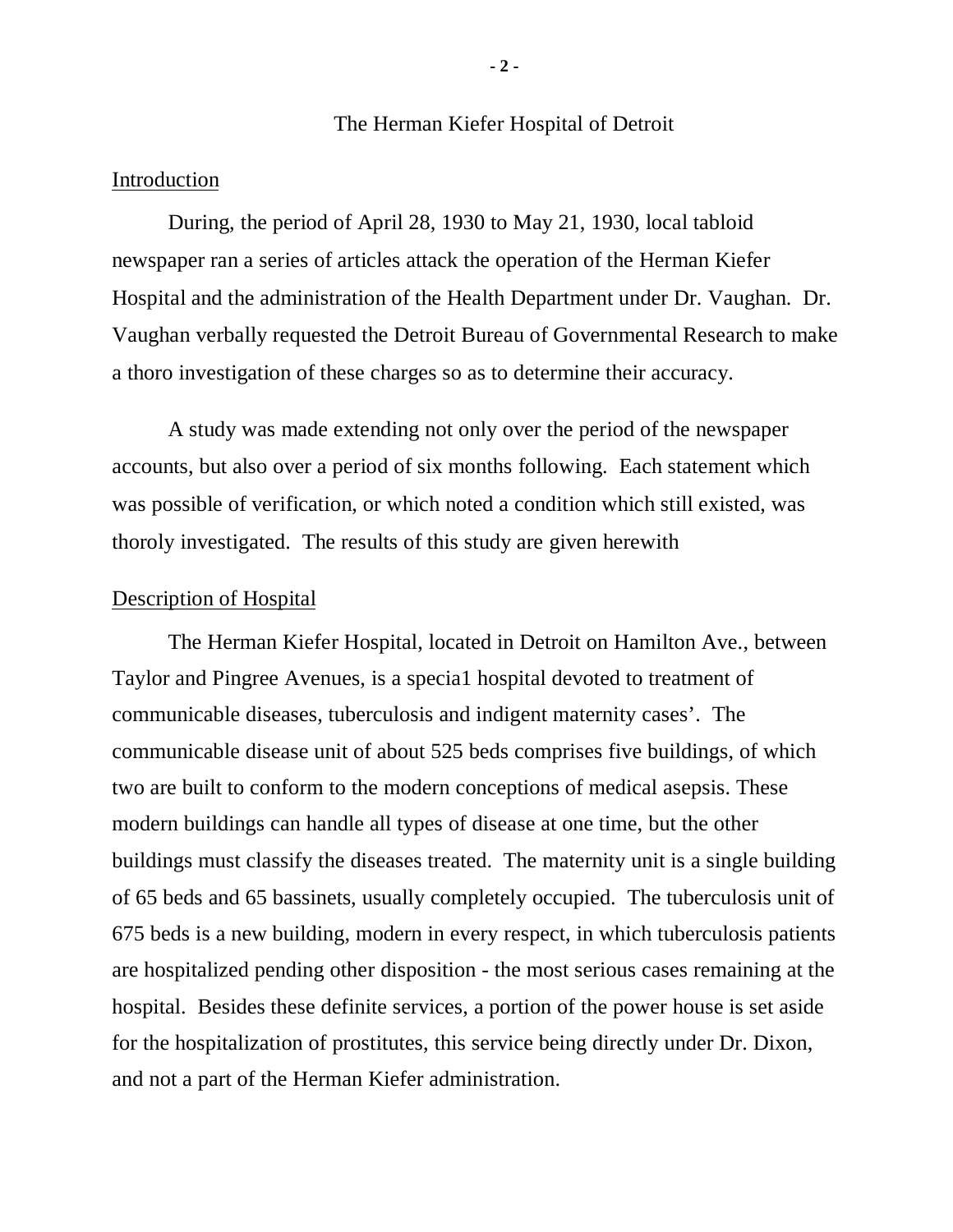#### The Herman Kiefer Hospital of Detroit

# Introduction

During, the period of April 28, 1930 to May 21, 1930, local tabloid newspaper ran a series of articles attack the operation of the Herman Kiefer Hospital and the administration of the Health Department under Dr. Vaughan. Dr. Vaughan verbally requested the Detroit Bureau of Governmental Research to make a thoro investigation of these charges so as to determine their accuracy.

A study was made extending not only over the period of the newspaper accounts, but also over a period of six months following. Each statement which was possible of verification, or which noted a condition which still existed, was thoroly investigated. The results of this study are given herewith

#### Description of Hospital

The Herman Kiefer Hospital, located in Detroit on Hamilton Ave., between Taylor and Pingree Avenues, is a specia1 hospital devoted to treatment of communicable diseases, tuberculosis and indigent maternity cases'. The communicable disease unit of about 525 beds comprises five buildings, of which two are built to conform to the modern conceptions of medical asepsis. These modern buildings can handle all types of disease at one time, but the other buildings must classify the diseases treated. The maternity unit is a single building of 65 beds and 65 bassinets, usually completely occupied. The tuberculosis unit of 675 beds is a new building, modern in every respect, in which tuberculosis patients are hospitalized pending other disposition - the most serious cases remaining at the hospital. Besides these definite services, a portion of the power house is set aside for the hospitalization of prostitutes, this service being directly under Dr. Dixon, and not a part of the Herman Kiefer administration.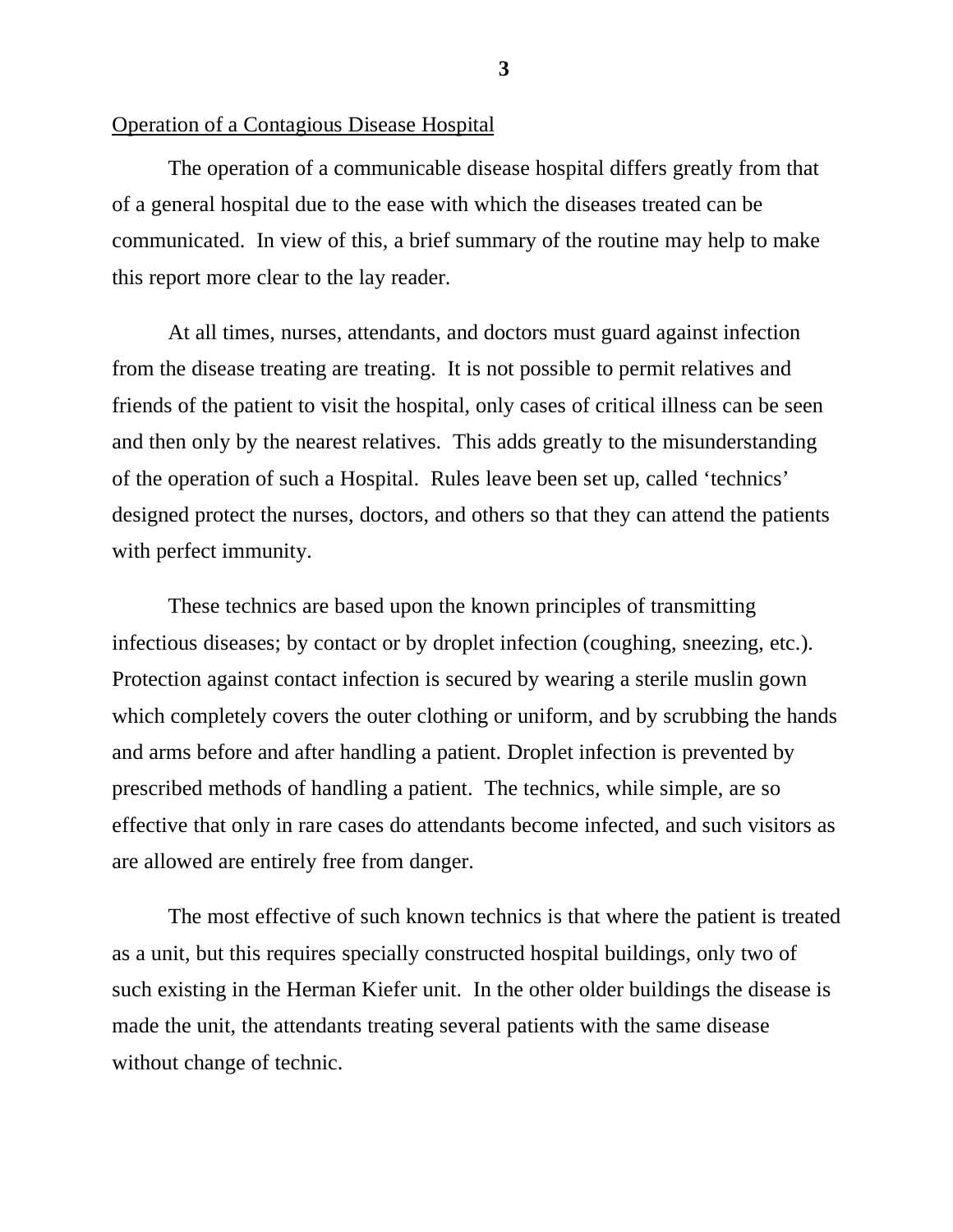#### Operation of a Contagious Disease Hospital

The operation of a communicable disease hospital differs greatly from that of a general hospital due to the ease with which the diseases treated can be communicated. In view of this, a brief summary of the routine may help to make this report more clear to the lay reader.

At all times, nurses, attendants, and doctors must guard against infection from the disease treating are treating. It is not possible to permit relatives and friends of the patient to visit the hospital, only cases of critical illness can be seen and then only by the nearest relatives. This adds greatly to the misunderstanding of the operation of such a Hospital. Rules leave been set up, called 'technics' designed protect the nurses, doctors, and others so that they can attend the patients with perfect immunity.

These technics are based upon the known principles of transmitting infectious diseases; by contact or by droplet infection (coughing, sneezing, etc.). Protection against contact infection is secured by wearing a sterile muslin gown which completely covers the outer clothing or uniform, and by scrubbing the hands and arms before and after handling a patient. Droplet infection is prevented by prescribed methods of handling a patient. The technics, while simple, are so effective that only in rare cases do attendants become infected, and such visitors as are allowed are entirely free from danger.

The most effective of such known technics is that where the patient is treated as a unit, but this requires specially constructed hospital buildings, only two of such existing in the Herman Kiefer unit. In the other older buildings the disease is made the unit, the attendants treating several patients with the same disease without change of technic.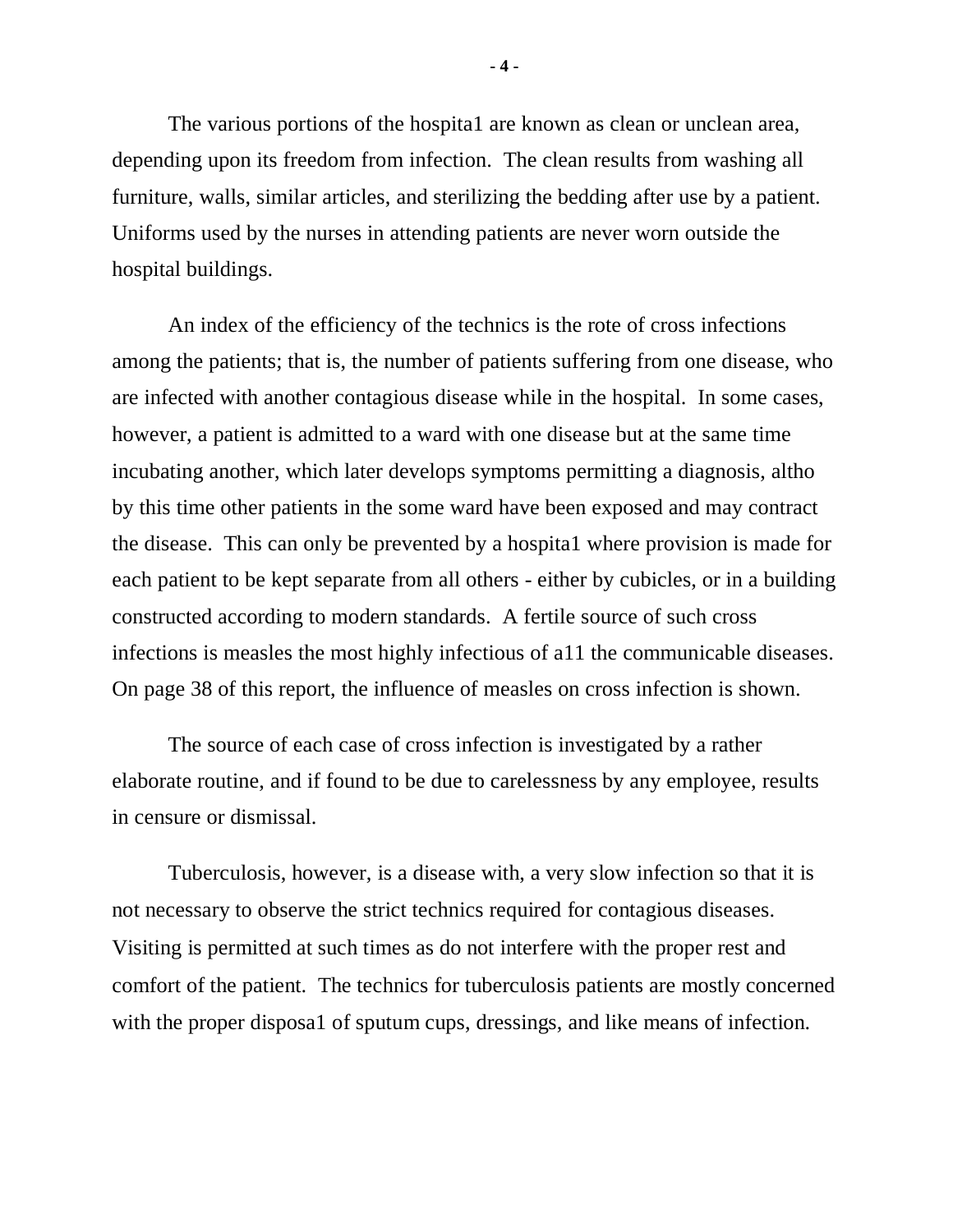The various portions of the hospita1 are known as clean or unclean area, depending upon its freedom from infection. The clean results from washing all furniture, walls, similar articles, and sterilizing the bedding after use by a patient. Uniforms used by the nurses in attending patients are never worn outside the hospital buildings.

An index of the efficiency of the technics is the rote of cross infections among the patients; that is, the number of patients suffering from one disease, who are infected with another contagious disease while in the hospital. In some cases, however, a patient is admitted to a ward with one disease but at the same time incubating another, which later develops symptoms permitting a diagnosis, altho by this time other patients in the some ward have been exposed and may contract the disease. This can only be prevented by a hospita1 where provision is made for each patient to be kept separate from all others - either by cubicles, or in a building constructed according to modern standards. A fertile source of such cross infections is measles the most highly infectious of a11 the communicable diseases. On page 38 of this report, the influence of measles on cross infection is shown.

The source of each case of cross infection is investigated by a rather elaborate routine, and if found to be due to carelessness by any employee, results in censure or dismissal.

Tuberculosis, however, is a disease with, a very slow infection so that it is not necessary to observe the strict technics required for contagious diseases. Visiting is permitted at such times as do not interfere with the proper rest and comfort of the patient. The technics for tuberculosis patients are mostly concerned with the proper disposal of sputum cups, dressings, and like means of infection.

**- 4 -**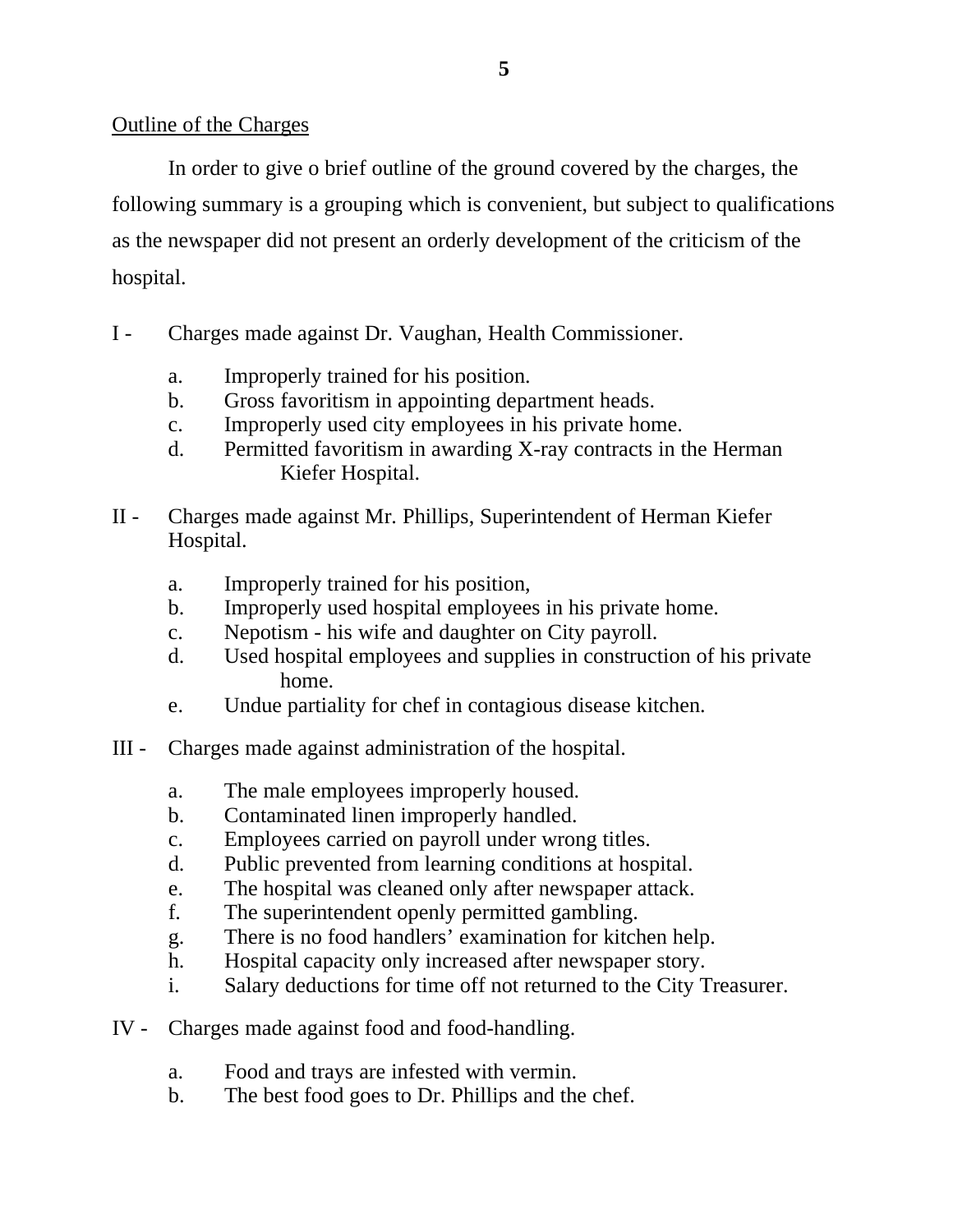# Outline of the Charges

In order to give o brief outline of the ground covered by the charges, the following summary is a grouping which is convenient, but subject to qualifications as the newspaper did not present an orderly development of the criticism of the hospital.

- I Charges made against Dr. Vaughan, Health Commissioner.
	- a. Improperly trained for his position.
	- b. Gross favoritism in appointing department heads.
	- c. Improperly used city employees in his private home.
	- d. Permitted favoritism in awarding X-ray contracts in the Herman Kiefer Hospital.
- II Charges made against Mr. Phillips, Superintendent of Herman Kiefer Hospital.
	- a. Improperly trained for his position,
	- b. Improperly used hospital employees in his private home.
	- c. Nepotism his wife and daughter on City payroll.
	- d. Used hospital employees and supplies in construction of his private home.
	- e. Undue partiality for chef in contagious disease kitchen.
- III Charges made against administration of the hospital.
	- a. The male employees improperly housed.
	- b. Contaminated linen improperly handled.
	- c. Employees carried on payroll under wrong titles.
	- d. Public prevented from learning conditions at hospital.
	- e. The hospital was cleaned only after newspaper attack.
	- f. The superintendent openly permitted gambling.
	- g. There is no food handlers' examination for kitchen help.
	- h. Hospital capacity only increased after newspaper story.
	- i. Salary deductions for time off not returned to the City Treasurer.
- IV Charges made against food and food-handling.
	- a. Food and trays are infested with vermin.
	- b. The best food goes to Dr. Phillips and the chef.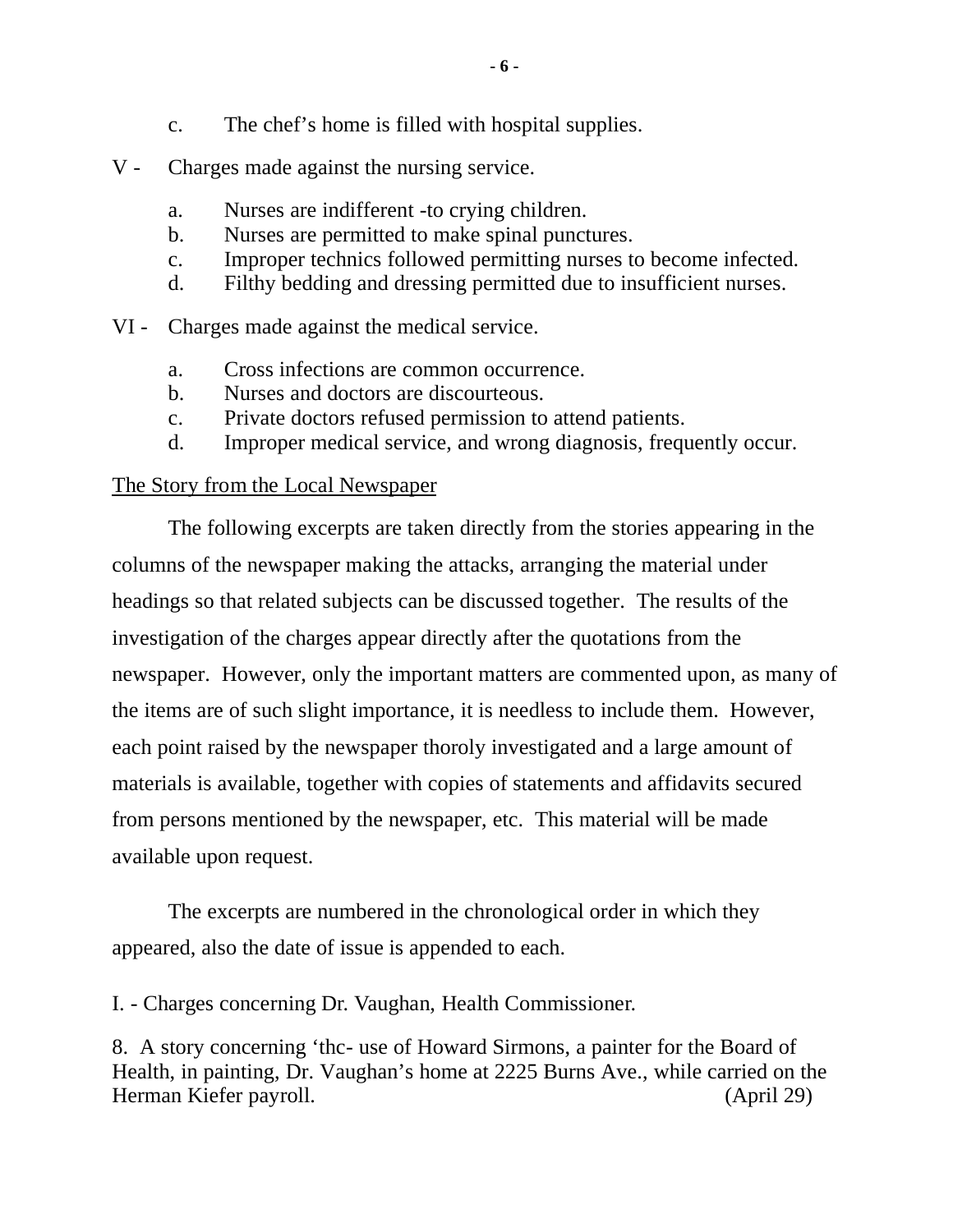- c. The chef's home is filled with hospital supplies.
- V Charges made against the nursing service.
	- a. Nurses are indifferent -to crying children.
	- b. Nurses are permitted to make spinal punctures.
	- c. Improper technics followed permitting nurses to become infected.
	- d. Filthy bedding and dressing permitted due to insufficient nurses.
- VI Charges made against the medical service.
	- a. Cross infections are common occurrence.
	- b. Nurses and doctors are discourteous.
	- c. Private doctors refused permission to attend patients.
	- d. Improper medical service, and wrong diagnosis, frequently occur.

# The Story from the Local Newspaper

The following excerpts are taken directly from the stories appearing in the columns of the newspaper making the attacks, arranging the material under headings so that related subjects can be discussed together. The results of the investigation of the charges appear directly after the quotations from the newspaper. However, only the important matters are commented upon, as many of the items are of such slight importance, it is needless to include them. However, each point raised by the newspaper thoroly investigated and a large amount of materials is available, together with copies of statements and affidavits secured from persons mentioned by the newspaper, etc. This material will be made available upon request.

The excerpts are numbered in the chronological order in which they appeared, also the date of issue is appended to each.

I. - Charges concerning Dr. Vaughan, Health Commissioner.

8. A story concerning 'thc- use of Howard Sirmons, a painter for the Board of Health, in painting, Dr. Vaughan's home at 2225 Burns Ave., while carried on the Herman Kiefer payroll. (April 29)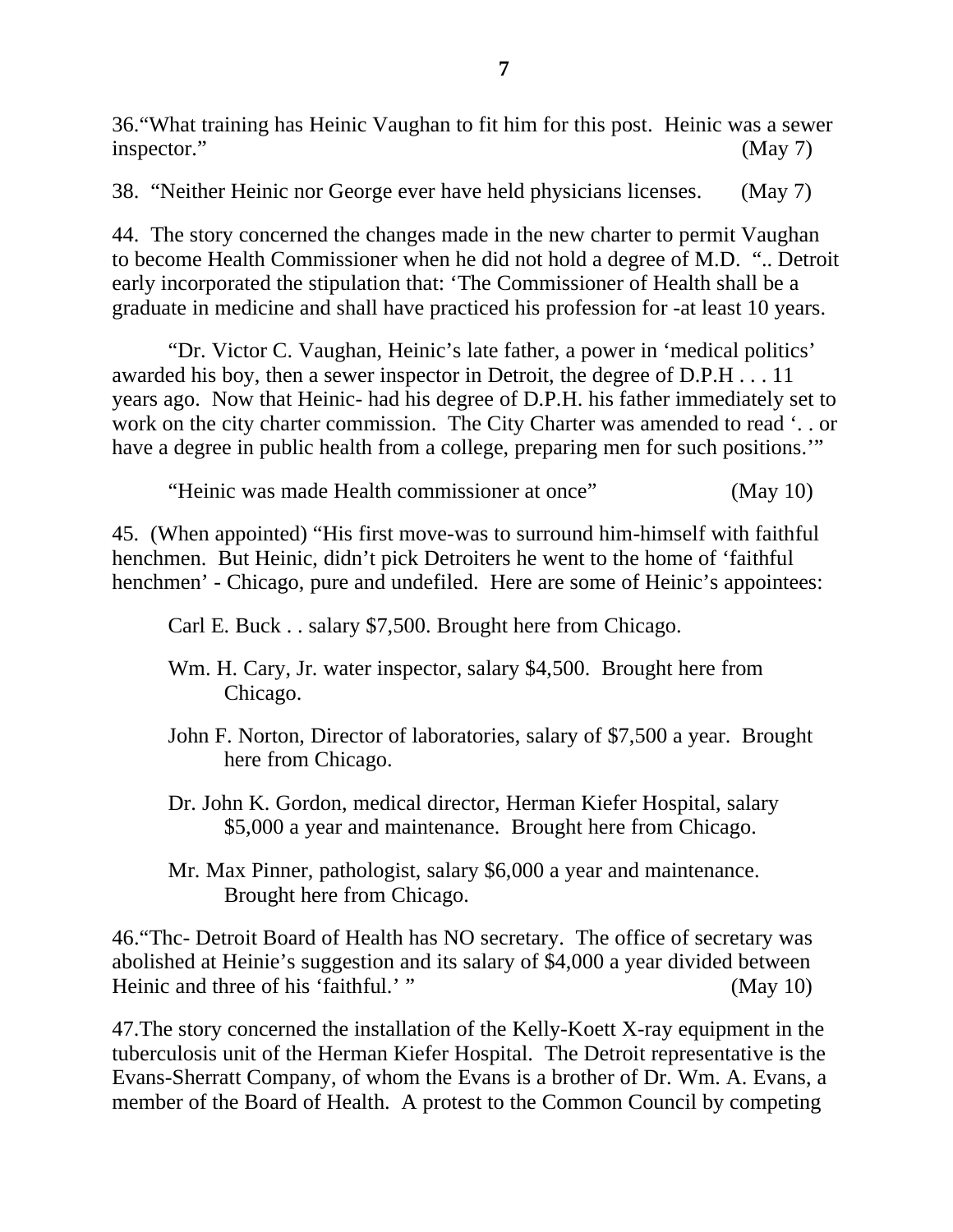36."What training has Heinic Vaughan to fit him for this post. Heinic was a sewer inspector." (May 7)

38. "Neither Heinic nor George ever have held physicians licenses. (May 7)

44. The story concerned the changes made in the new charter to permit Vaughan to become Health Commissioner when he did not hold a degree of M.D. ".. Detroit early incorporated the stipulation that: 'The Commissioner of Health shall be a graduate in medicine and shall have practiced his profession for -at least 10 years.

"Dr. Victor C. Vaughan, Heinic's late father, a power in 'medical politics' awarded his boy, then a sewer inspector in Detroit, the degree of D.P.H . . . 11 years ago. Now that Heinic- had his degree of D.P.H. his father immediately set to work on the city charter commission. The City Charter was amended to read '. . or have a degree in public health from a college, preparing men for such positions.'"

"Heinic was made Health commissioner at once" (May 10)

45. (When appointed) "His first move-was to surround him-himself with faithful henchmen. But Heinic, didn't pick Detroiters he went to the home of 'faithful henchmen' - Chicago, pure and undefiled. Here are some of Heinic's appointees:

Carl E. Buck . . salary \$7,500. Brought here from Chicago.

- Wm. H. Cary, Jr. water inspector, salary \$4,500. Brought here from Chicago.
- John F. Norton, Director of laboratories, salary of \$7,500 a year. Brought here from Chicago.
- Dr. John K. Gordon, medical director, Herman Kiefer Hospital, salary \$5,000 a year and maintenance. Brought here from Chicago.
- Mr. Max Pinner, pathologist, salary \$6,000 a year and maintenance. Brought here from Chicago.

46."Thc- Detroit Board of Health has NO secretary. The office of secretary was abolished at Heinie's suggestion and its salary of \$4,000 a year divided between Heinic and three of his 'faithful.' " (May 10)

47.The story concerned the installation of the Kelly-Koett X-ray equipment in the tuberculosis unit of the Herman Kiefer Hospital. The Detroit representative is the Evans-Sherratt Company, of whom the Evans is a brother of Dr. Wm. A. Evans, a member of the Board of Health. A protest to the Common Council by competing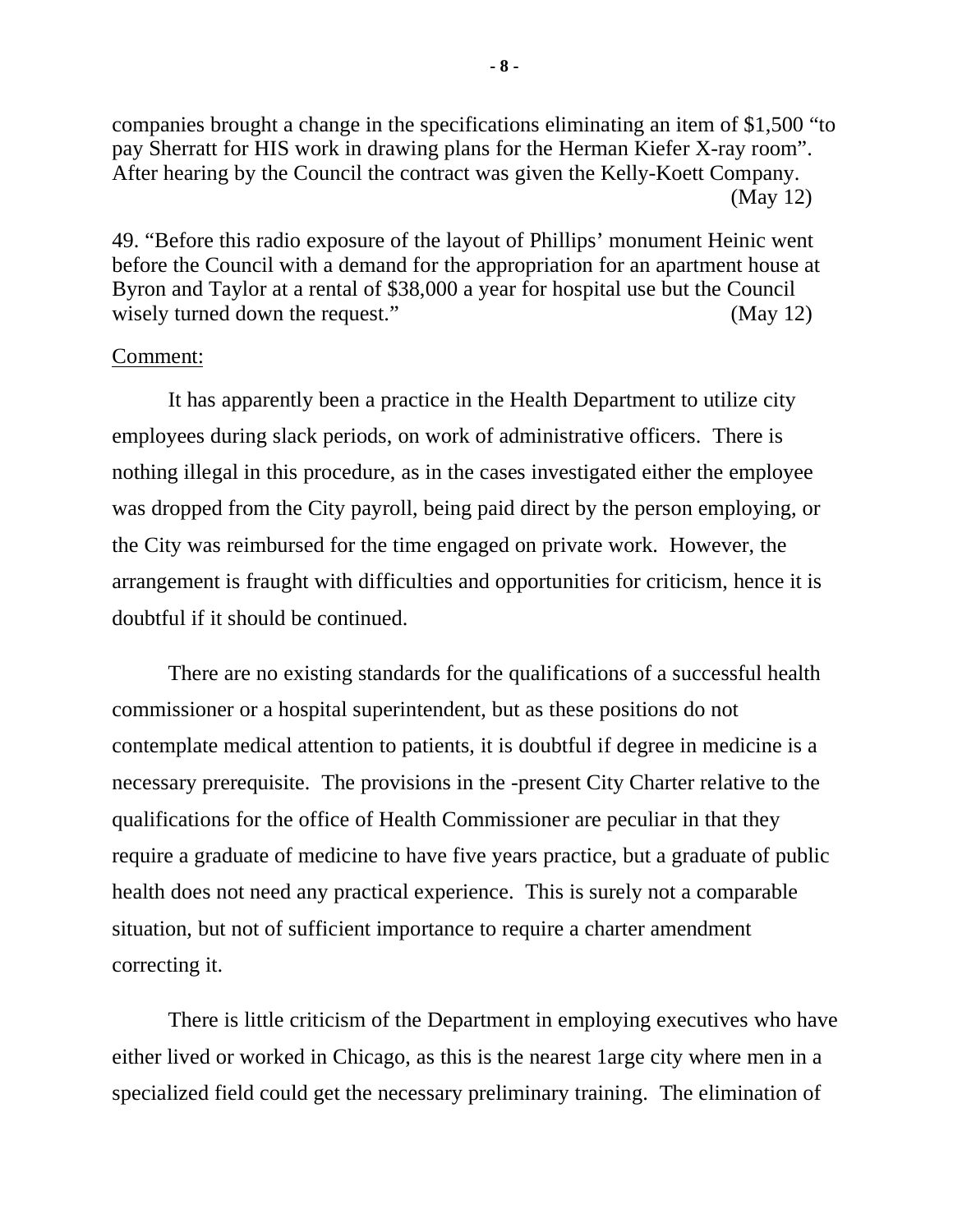companies brought a change in the specifications eliminating an item of \$1,500 "to pay Sherratt for HIS work in drawing plans for the Herman Kiefer X-ray room". After hearing by the Council the contract was given the Kelly-Koett Company. (May 12)

49. "Before this radio exposure of the layout of Phillips' monument Heinic went before the Council with a demand for the appropriation for an apartment house at Byron and Taylor at a rental of \$38,000 a year for hospital use but the Council wisely turned down the request." (May 12)

### Comment:

It has apparently been a practice in the Health Department to utilize city employees during slack periods, on work of administrative officers. There is nothing illegal in this procedure, as in the cases investigated either the employee was dropped from the City payroll, being paid direct by the person employing, or the City was reimbursed for the time engaged on private work. However, the arrangement is fraught with difficulties and opportunities for criticism, hence it is doubtful if it should be continued.

There are no existing standards for the qualifications of a successful health commissioner or a hospital superintendent, but as these positions do not contemplate medical attention to patients, it is doubtful if degree in medicine is a necessary prerequisite. The provisions in the -present City Charter relative to the qualifications for the office of Health Commissioner are peculiar in that they require a graduate of medicine to have five years practice, but a graduate of public health does not need any practical experience. This is surely not a comparable situation, but not of sufficient importance to require a charter amendment correcting it.

There is little criticism of the Department in employing executives who have either lived or worked in Chicago, as this is the nearest 1arge city where men in a specialized field could get the necessary preliminary training. The elimination of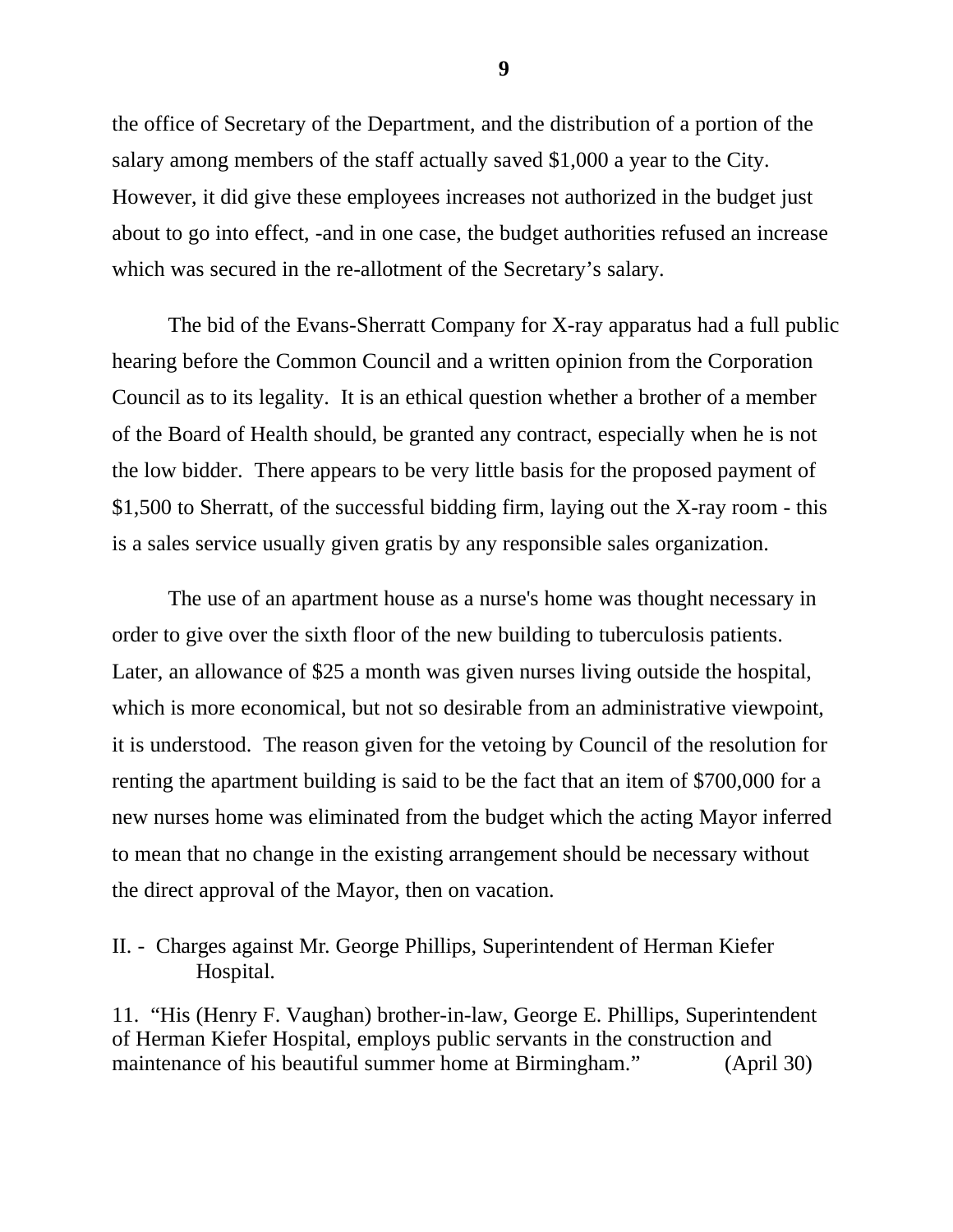the office of Secretary of the Department, and the distribution of a portion of the salary among members of the staff actually saved \$1,000 a year to the City. However, it did give these employees increases not authorized in the budget just about to go into effect, -and in one case, the budget authorities refused an increase which was secured in the re-allotment of the Secretary's salary.

The bid of the Evans-Sherratt Company for X-ray apparatus had a full public hearing before the Common Council and a written opinion from the Corporation Council as to its legality. It is an ethical question whether a brother of a member of the Board of Health should, be granted any contract, especially when he is not the low bidder. There appears to be very little basis for the proposed payment of \$1,500 to Sherratt, of the successful bidding firm, laying out the X-ray room - this is a sales service usually given gratis by any responsible sales organization.

The use of an apartment house as a nurse's home was thought necessary in order to give over the sixth floor of the new building to tuberculosis patients. Later, an allowance of \$25 a month was given nurses living outside the hospital, which is more economical, but not so desirable from an administrative viewpoint, it is understood. The reason given for the vetoing by Council of the resolution for renting the apartment building is said to be the fact that an item of \$700,000 for a new nurses home was eliminated from the budget which the acting Mayor inferred to mean that no change in the existing arrangement should be necessary without the direct approval of the Mayor, then on vacation.

II. - Charges against Mr. George Phillips, Superintendent of Herman Kiefer Hospital.

11. "His (Henry F. Vaughan) brother-in-law, George E. Phillips, Superintendent of Herman Kiefer Hospital, employs public servants in the construction and maintenance of his beautiful summer home at Birmingham." (April 30)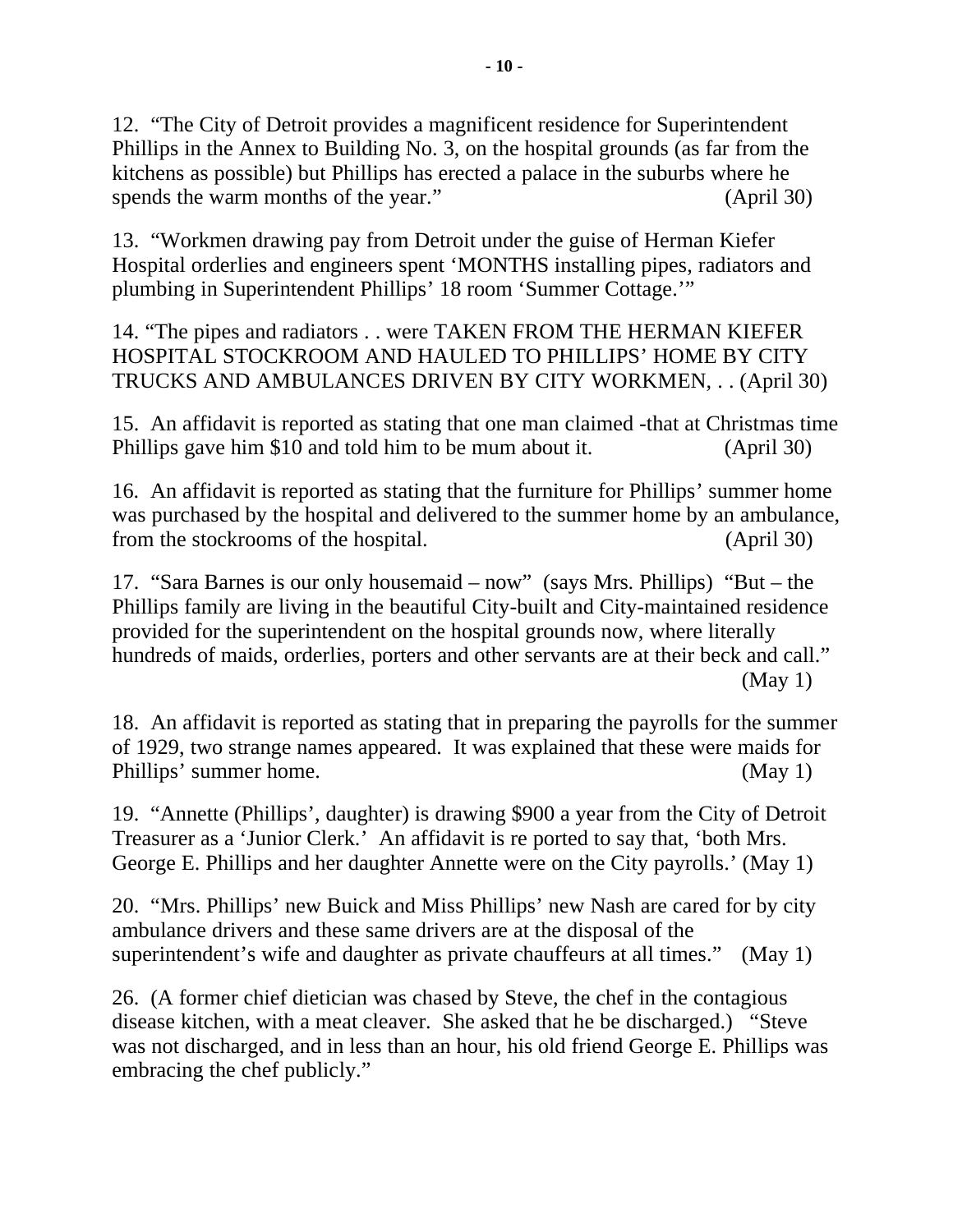12. "The City of Detroit provides a magnificent residence for Superintendent Phillips in the Annex to Building No. 3, on the hospital grounds (as far from the kitchens as possible) but Phillips has erected a palace in the suburbs where he spends the warm months of the year." (April 30)

13. "Workmen drawing pay from Detroit under the guise of Herman Kiefer Hospital orderlies and engineers spent 'MONTHS installing pipes, radiators and plumbing in Superintendent Phillips' 18 room 'Summer Cottage.'"

14. "The pipes and radiators . . were TAKEN FROM THE HERMAN KIEFER HOSPITAL STOCKROOM AND HAULED TO PHILLIPS' HOME BY CITY TRUCKS AND AMBULANCES DRIVEN BY CITY WORKMEN, . . (April 30)

15. An affidavit is reported as stating that one man claimed -that at Christmas time Phillips gave him \$10 and told him to be mum about it. (April 30)

16. An affidavit is reported as stating that the furniture for Phillips' summer home was purchased by the hospital and delivered to the summer home by an ambulance, from the stockrooms of the hospital. (April 30)

17. "Sara Barnes is our only housemaid – now" (says Mrs. Phillips) "But – the Phillips family are living in the beautiful City-built and City-maintained residence provided for the superintendent on the hospital grounds now, where literally hundreds of maids, orderlies, porters and other servants are at their beck and call." (May 1)

18. An affidavit is reported as stating that in preparing the payrolls for the summer of 1929, two strange names appeared. It was explained that these were maids for Phillips' summer home. (May 1)

19. "Annette (Phillips', daughter) is drawing \$900 a year from the City of Detroit Treasurer as a 'Junior Clerk.' An affidavit is re ported to say that, 'both Mrs. George E. Phillips and her daughter Annette were on the City payrolls.' (May 1)

20. "Mrs. Phillips' new Buick and Miss Phillips' new Nash are cared for by city ambulance drivers and these same drivers are at the disposal of the superintendent's wife and daughter as private chauffeurs at all times." (May 1)

26. (A former chief dietician was chased by Steve, the chef in the contagious disease kitchen, with a meat cleaver. She asked that he be discharged.) "Steve was not discharged, and in less than an hour, his old friend George E. Phillips was embracing the chef publicly."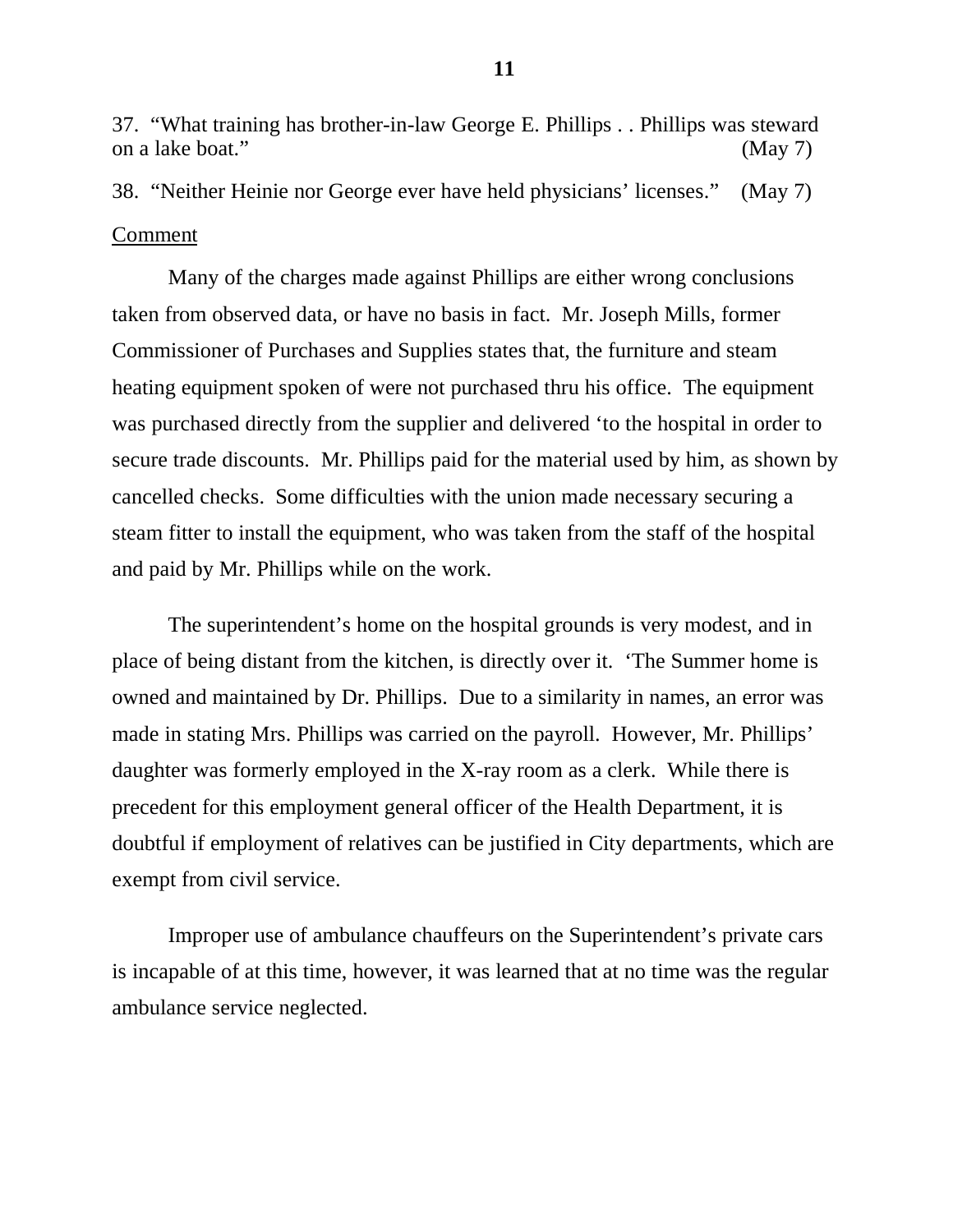37. "What training has brother-in-law George E. Phillips . . Phillips was steward on a lake boat." (May 7)

38. "Neither Heinie nor George ever have held physicians' licenses." (May 7) Comment

Many of the charges made against Phillips are either wrong conclusions taken from observed data, or have no basis in fact. Mr. Joseph Mills, former Commissioner of Purchases and Supplies states that, the furniture and steam heating equipment spoken of were not purchased thru his office. The equipment was purchased directly from the supplier and delivered 'to the hospital in order to secure trade discounts. Mr. Phillips paid for the material used by him, as shown by cancelled checks. Some difficulties with the union made necessary securing a steam fitter to install the equipment, who was taken from the staff of the hospital and paid by Mr. Phillips while on the work.

The superintendent's home on the hospital grounds is very modest, and in place of being distant from the kitchen, is directly over it. 'The Summer home is owned and maintained by Dr. Phillips. Due to a similarity in names, an error was made in stating Mrs. Phillips was carried on the payroll. However, Mr. Phillips' daughter was formerly employed in the X-ray room as a clerk. While there is precedent for this employment general officer of the Health Department, it is doubtful if employment of relatives can be justified in City departments, which are exempt from civil service.

Improper use of ambulance chauffeurs on the Superintendent's private cars is incapable of at this time, however, it was learned that at no time was the regular ambulance service neglected.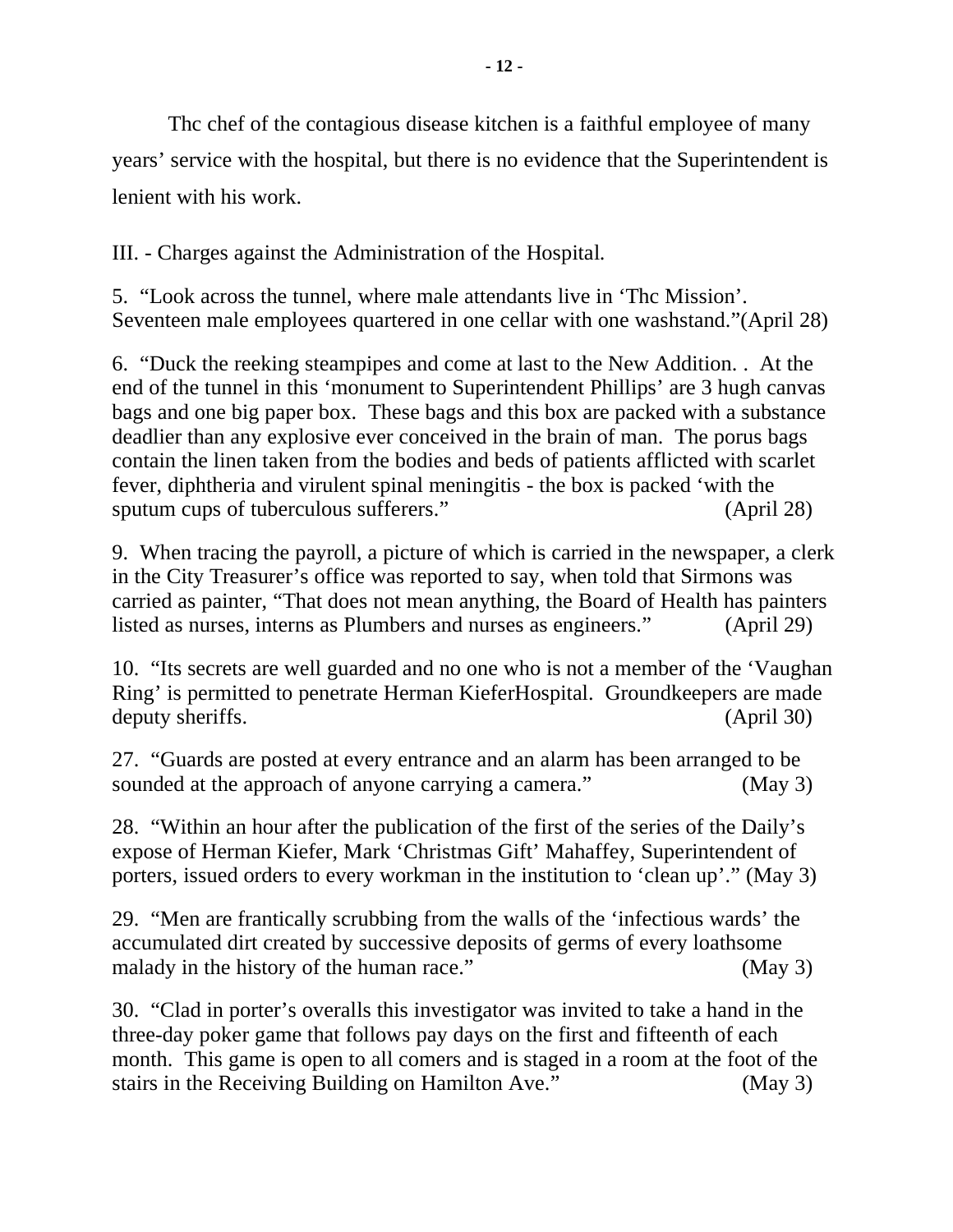Thc chef of the contagious disease kitchen is a faithful employee of many years' service with the hospital, but there is no evidence that the Superintendent is lenient with his work.

III. - Charges against the Administration of the Hospital.

5. "Look across the tunnel, where male attendants live in 'Thc Mission'. Seventeen male employees quartered in one cellar with one washstand."(April 28)

6. "Duck the reeking steampipes and come at last to the New Addition. . At the end of the tunnel in this 'monument to Superintendent Phillips' are 3 hugh canvas bags and one big paper box. These bags and this box are packed with a substance deadlier than any explosive ever conceived in the brain of man. The porus bags contain the linen taken from the bodies and beds of patients afflicted with scarlet fever, diphtheria and virulent spinal meningitis - the box is packed 'with the sputum cups of tuberculous sufferers." (April 28)

9. When tracing the payroll, a picture of which is carried in the newspaper, a clerk in the City Treasurer's office was reported to say, when told that Sirmons was carried as painter, "That does not mean anything, the Board of Health has painters listed as nurses, interns as Plumbers and nurses as engineers." (April 29)

10. "Its secrets are well guarded and no one who is not a member of the 'Vaughan Ring' is permitted to penetrate Herman KieferHospital. Groundkeepers are made deputy sheriffs. (April 30)

27. "Guards are posted at every entrance and an alarm has been arranged to be sounded at the approach of anyone carrying a camera." (May 3)

28. "Within an hour after the publication of the first of the series of the Daily's expose of Herman Kiefer, Mark 'Christmas Gift' Mahaffey, Superintendent of porters, issued orders to every workman in the institution to 'clean up'." (May 3)

29. "Men are frantically scrubbing from the walls of the 'infectious wards' the accumulated dirt created by successive deposits of germs of every loathsome malady in the history of the human race." (May 3)

30. "Clad in porter's overalls this investigator was invited to take a hand in the three-day poker game that follows pay days on the first and fifteenth of each month. This game is open to all comers and is staged in a room at the foot of the stairs in the Receiving Building on Hamilton Ave." (May 3)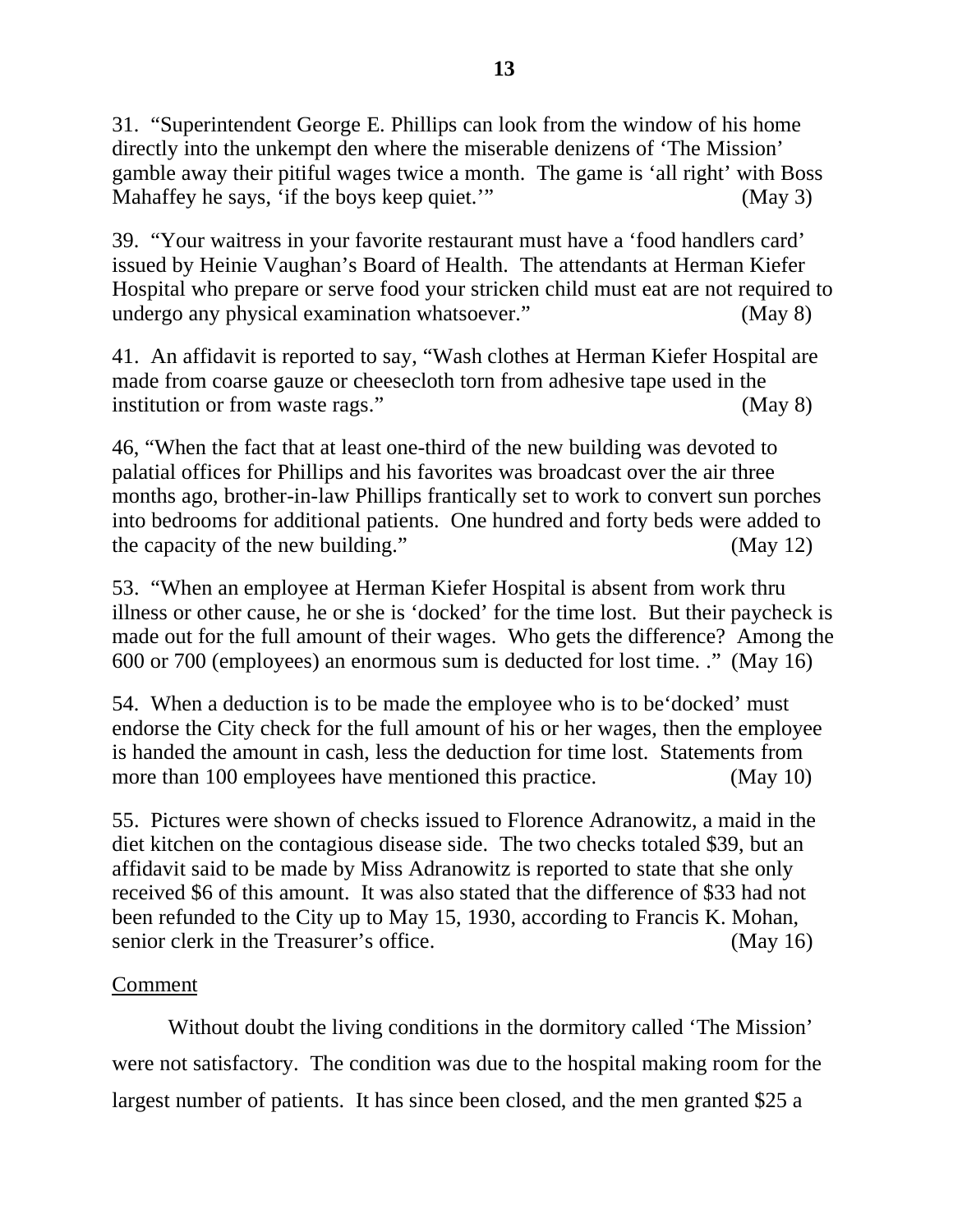31. "Superintendent George E. Phillips can look from the window of his home directly into the unkempt den where the miserable denizens of 'The Mission' gamble away their pitiful wages twice a month. The game is 'all right' with Boss Mahaffey he says, 'if the boys keep quiet.'" (May 3)

39. "Your waitress in your favorite restaurant must have a 'food handlers card' issued by Heinie Vaughan's Board of Health. The attendants at Herman Kiefer Hospital who prepare or serve food your stricken child must eat are not required to undergo any physical examination whatsoever." (May 8)

41. An affidavit is reported to say, "Wash clothes at Herman Kiefer Hospital are made from coarse gauze or cheesecloth torn from adhesive tape used in the institution or from waste rags." (May 8)

46, "When the fact that at least one-third of the new building was devoted to palatial offices for Phillips and his favorites was broadcast over the air three months ago, brother-in-law Phillips frantically set to work to convert sun porches into bedrooms for additional patients. One hundred and forty beds were added to the capacity of the new building." (May 12)

53. "When an employee at Herman Kiefer Hospital is absent from work thru illness or other cause, he or she is 'docked' for the time lost. But their paycheck is made out for the full amount of their wages. Who gets the difference? Among the 600 or 700 (employees) an enormous sum is deducted for lost time. ." (May 16)

54. When a deduction is to be made the employee who is to be'docked' must endorse the City check for the full amount of his or her wages, then the employee is handed the amount in cash, less the deduction for time lost. Statements from more than 100 employees have mentioned this practice. (May 10)

55. Pictures were shown of checks issued to Florence Adranowitz, a maid in the diet kitchen on the contagious disease side. The two checks totaled \$39, but an affidavit said to be made by Miss Adranowitz is reported to state that she only received \$6 of this amount. It was also stated that the difference of \$33 had not been refunded to the City up to May 15, 1930, according to Francis K. Mohan, senior clerk in the Treasurer's office. (May 16)

# Comment

Without doubt the living conditions in the dormitory called 'The Mission' were not satisfactory. The condition was due to the hospital making room for the largest number of patients. It has since been closed, and the men granted \$25 a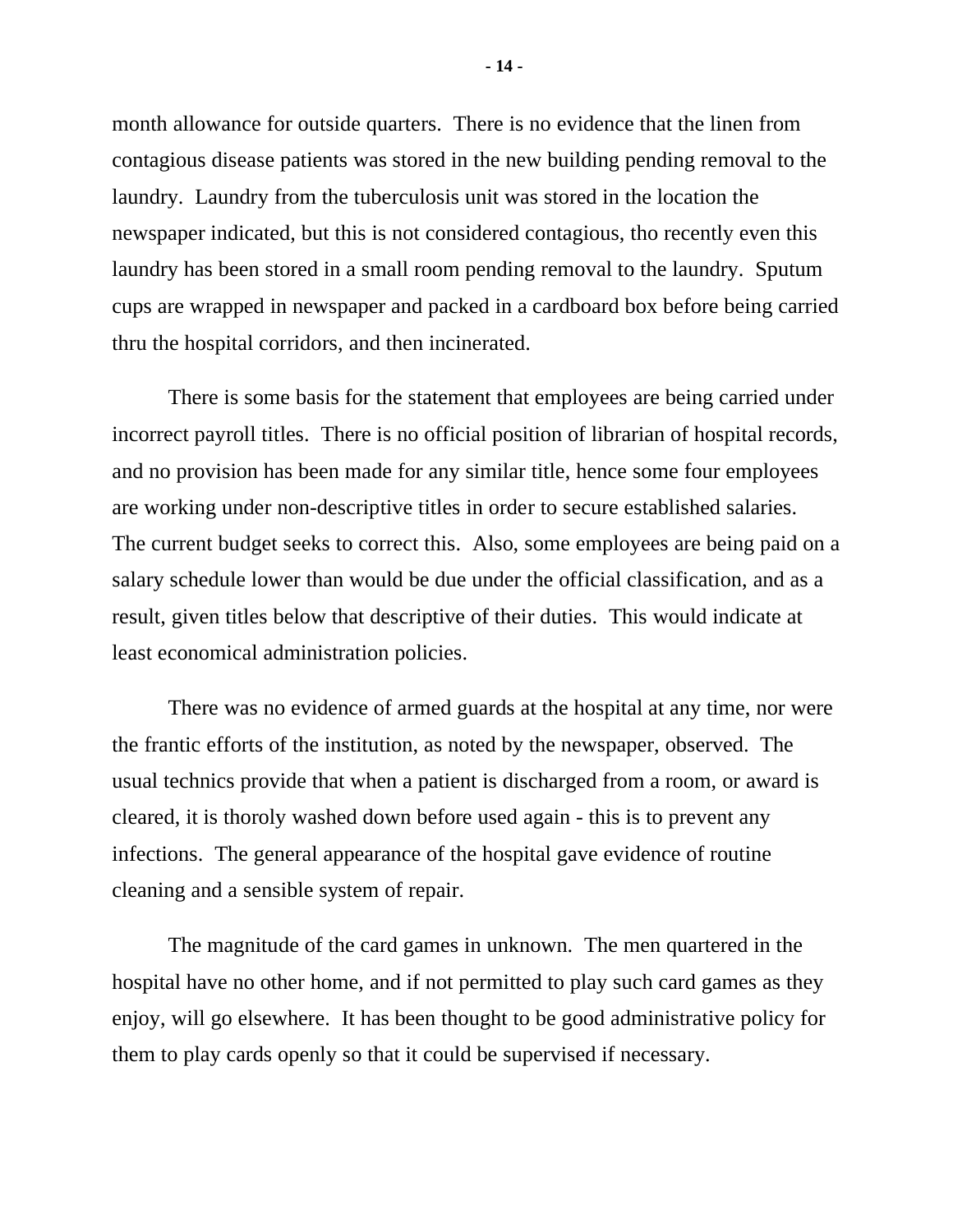month allowance for outside quarters. There is no evidence that the linen from contagious disease patients was stored in the new building pending removal to the laundry. Laundry from the tuberculosis unit was stored in the location the newspaper indicated, but this is not considered contagious, tho recently even this laundry has been stored in a small room pending removal to the laundry. Sputum cups are wrapped in newspaper and packed in a cardboard box before being carried thru the hospital corridors, and then incinerated.

There is some basis for the statement that employees are being carried under incorrect payroll titles. There is no official position of librarian of hospital records, and no provision has been made for any similar title, hence some four employees are working under non-descriptive titles in order to secure established salaries. The current budget seeks to correct this. Also, some employees are being paid on a salary schedule lower than would be due under the official classification, and as a result, given titles below that descriptive of their duties. This would indicate at least economical administration policies.

There was no evidence of armed guards at the hospital at any time, nor were the frantic efforts of the institution, as noted by the newspaper, observed. The usual technics provide that when a patient is discharged from a room, or award is cleared, it is thoroly washed down before used again - this is to prevent any infections. The general appearance of the hospital gave evidence of routine cleaning and a sensible system of repair.

The magnitude of the card games in unknown. The men quartered in the hospital have no other home, and if not permitted to play such card games as they enjoy, will go elsewhere. It has been thought to be good administrative policy for them to play cards openly so that it could be supervised if necessary.

**- 14 -**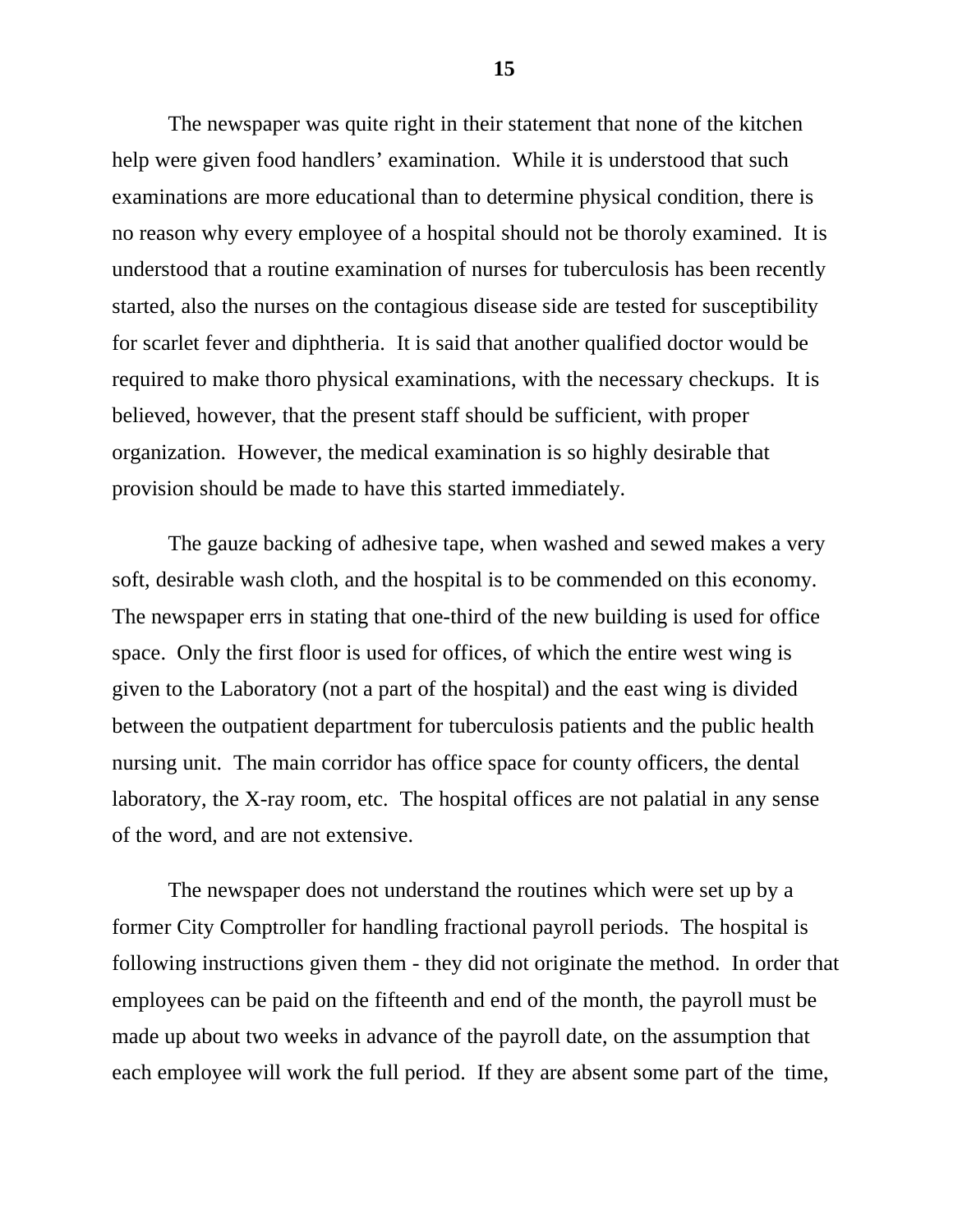The newspaper was quite right in their statement that none of the kitchen help were given food handlers' examination. While it is understood that such examinations are more educational than to determine physical condition, there is no reason why every employee of a hospital should not be thoroly examined. It is understood that a routine examination of nurses for tuberculosis has been recently started, also the nurses on the contagious disease side are tested for susceptibility for scarlet fever and diphtheria. It is said that another qualified doctor would be required to make thoro physical examinations, with the necessary checkups. It is believed, however, that the present staff should be sufficient, with proper organization. However, the medical examination is so highly desirable that provision should be made to have this started immediately.

The gauze backing of adhesive tape, when washed and sewed makes a very soft, desirable wash cloth, and the hospital is to be commended on this economy. The newspaper errs in stating that one-third of the new building is used for office space. Only the first floor is used for offices, of which the entire west wing is given to the Laboratory (not a part of the hospital) and the east wing is divided between the outpatient department for tuberculosis patients and the public health nursing unit. The main corridor has office space for county officers, the dental laboratory, the X-ray room, etc. The hospital offices are not palatial in any sense of the word, and are not extensive.

The newspaper does not understand the routines which were set up by a former City Comptroller for handling fractional payroll periods. The hospital is following instructions given them - they did not originate the method. In order that employees can be paid on the fifteenth and end of the month, the payroll must be made up about two weeks in advance of the payroll date, on the assumption that each employee will work the full period. If they are absent some part of the time,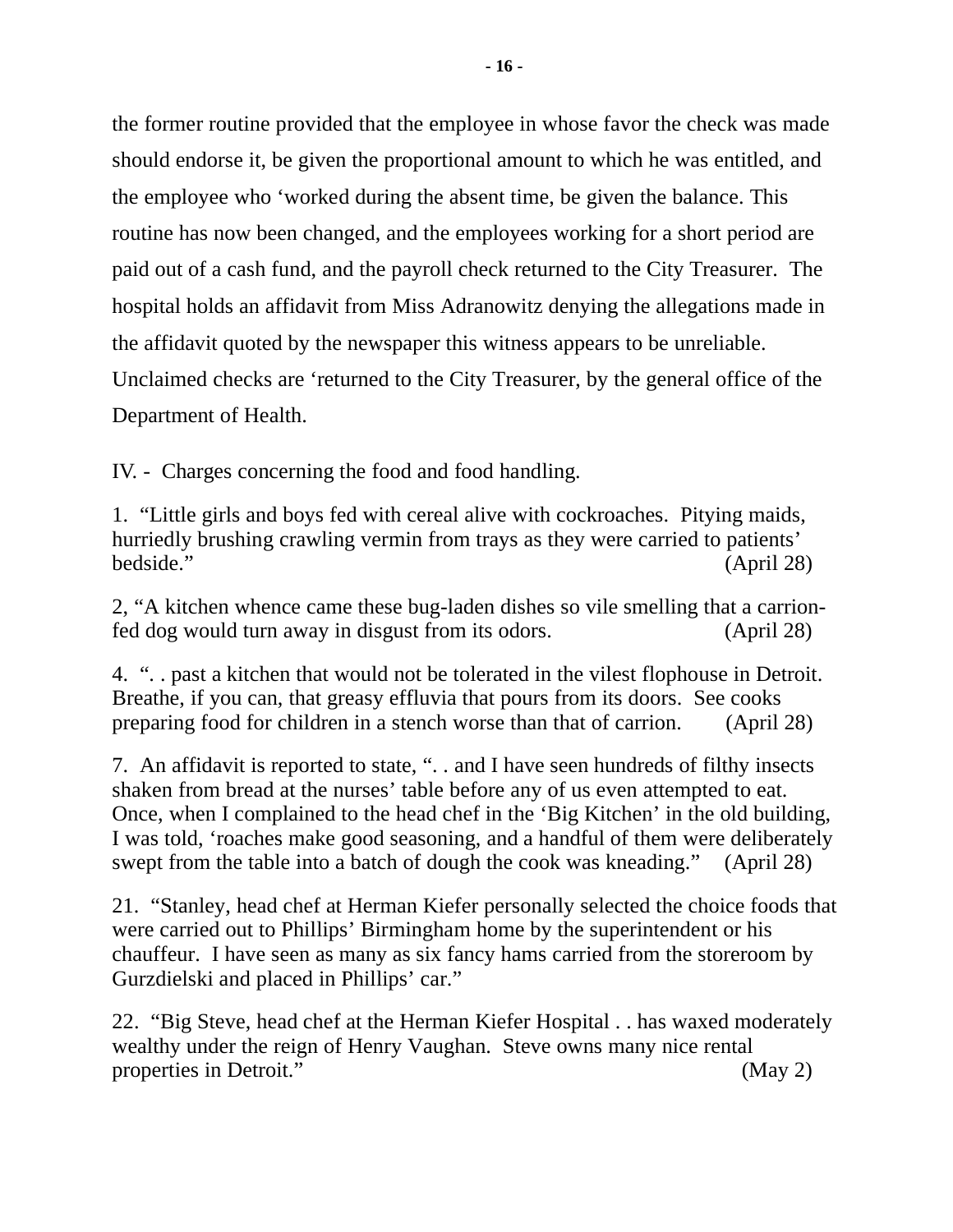the former routine provided that the employee in whose favor the check was made should endorse it, be given the proportional amount to which he was entitled, and the employee who 'worked during the absent time, be given the balance. This routine has now been changed, and the employees working for a short period are paid out of a cash fund, and the payroll check returned to the City Treasurer. The hospital holds an affidavit from Miss Adranowitz denying the allegations made in the affidavit quoted by the newspaper this witness appears to be unreliable. Unclaimed checks are 'returned to the City Treasurer, by the general office of the Department of Health.

IV. - Charges concerning the food and food handling.

1. "Little girls and boys fed with cereal alive with cockroaches. Pitying maids, hurriedly brushing crawling vermin from trays as they were carried to patients' bedside." (April 28)

2, "A kitchen whence came these bug-laden dishes so vile smelling that a carrionfed dog would turn away in disgust from its odors. (April 28)

4. ". . past a kitchen that would not be tolerated in the vilest flophouse in Detroit. Breathe, if you can, that greasy effluvia that pours from its doors. See cooks preparing food for children in a stench worse than that of carrion. (April 28)

7. An affidavit is reported to state, ". . and I have seen hundreds of filthy insects shaken from bread at the nurses' table before any of us even attempted to eat. Once, when I complained to the head chef in the 'Big Kitchen' in the old building, I was told, 'roaches make good seasoning, and a handful of them were deliberately swept from the table into a batch of dough the cook was kneading." (April 28)

21. "Stanley, head chef at Herman Kiefer personally selected the choice foods that were carried out to Phillips' Birmingham home by the superintendent or his chauffeur. I have seen as many as six fancy hams carried from the storeroom by Gurzdielski and placed in Phillips' car."

22. "Big Steve, head chef at the Herman Kiefer Hospital . . has waxed moderately wealthy under the reign of Henry Vaughan. Steve owns many nice rental properties in Detroit." (May 2)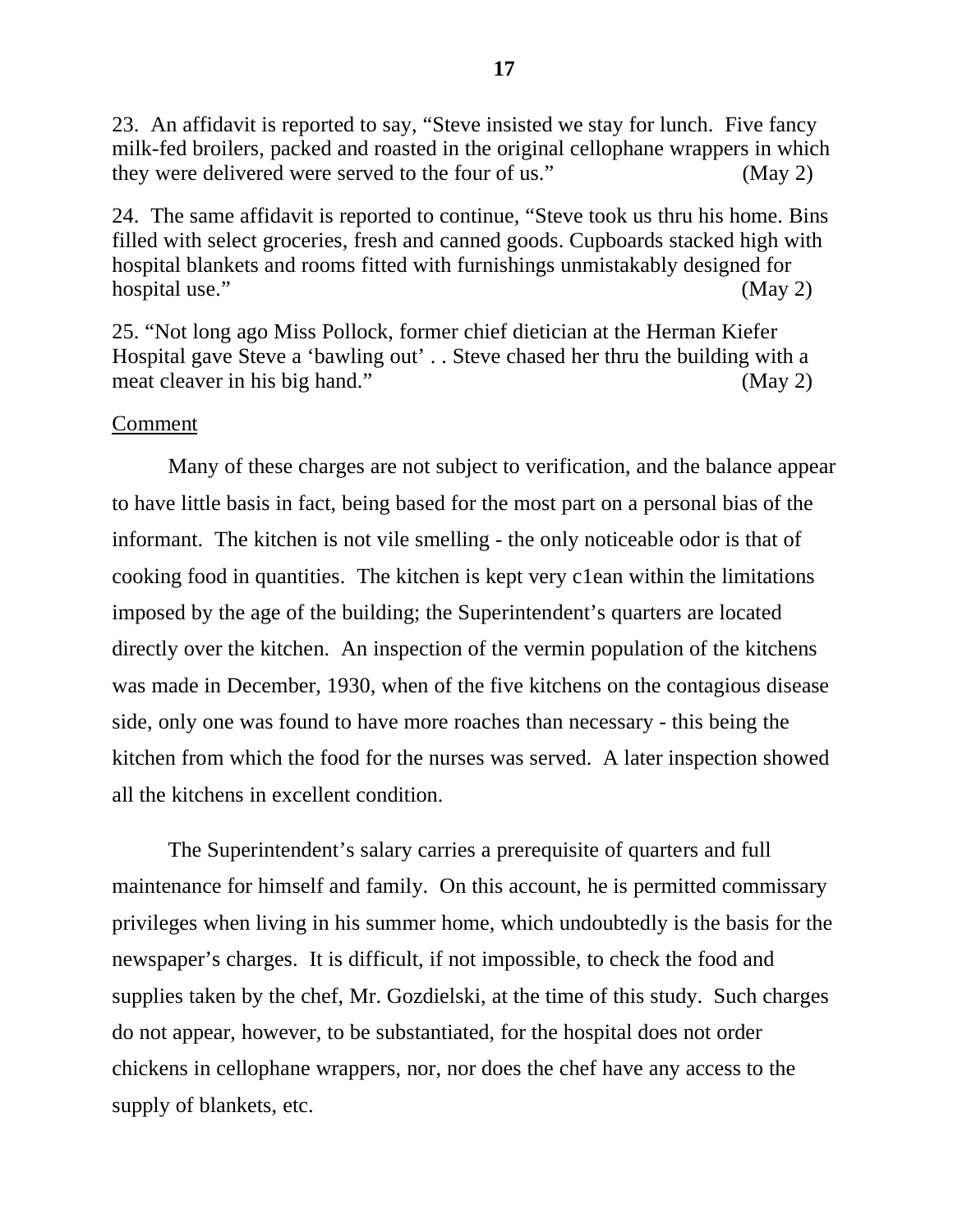23. An affidavit is reported to say, "Steve insisted we stay for lunch. Five fancy milk-fed broilers, packed and roasted in the original cellophane wrappers in which they were delivered were served to the four of us." (May 2)

24. The same affidavit is reported to continue, "Steve took us thru his home. Bins filled with select groceries, fresh and canned goods. Cupboards stacked high with hospital blankets and rooms fitted with furnishings unmistakably designed for hospital use." (May 2)

25. "Not long ago Miss Pollock, former chief dietician at the Herman Kiefer Hospital gave Steve a 'bawling out' . . Steve chased her thru the building with a meat cleaver in his big hand." (May 2)

# Comment

Many of these charges are not subject to verification, and the balance appear to have little basis in fact, being based for the most part on a personal bias of the informant. The kitchen is not vile smelling - the only noticeable odor is that of cooking food in quantities. The kitchen is kept very c1ean within the limitations imposed by the age of the building; the Superintendent's quarters are located directly over the kitchen. An inspection of the vermin population of the kitchens was made in December, 1930, when of the five kitchens on the contagious disease side, only one was found to have more roaches than necessary - this being the kitchen from which the food for the nurses was served. A later inspection showed all the kitchens in excellent condition.

The Superintendent's salary carries a prerequisite of quarters and full maintenance for himself and family. On this account, he is permitted commissary privileges when living in his summer home, which undoubtedly is the basis for the newspaper's charges. It is difficult, if not impossible, to check the food and supplies taken by the chef, Mr. Gozdielski, at the time of this study. Such charges do not appear, however, to be substantiated, for the hospital does not order chickens in cellophane wrappers, nor, nor does the chef have any access to the supply of blankets, etc.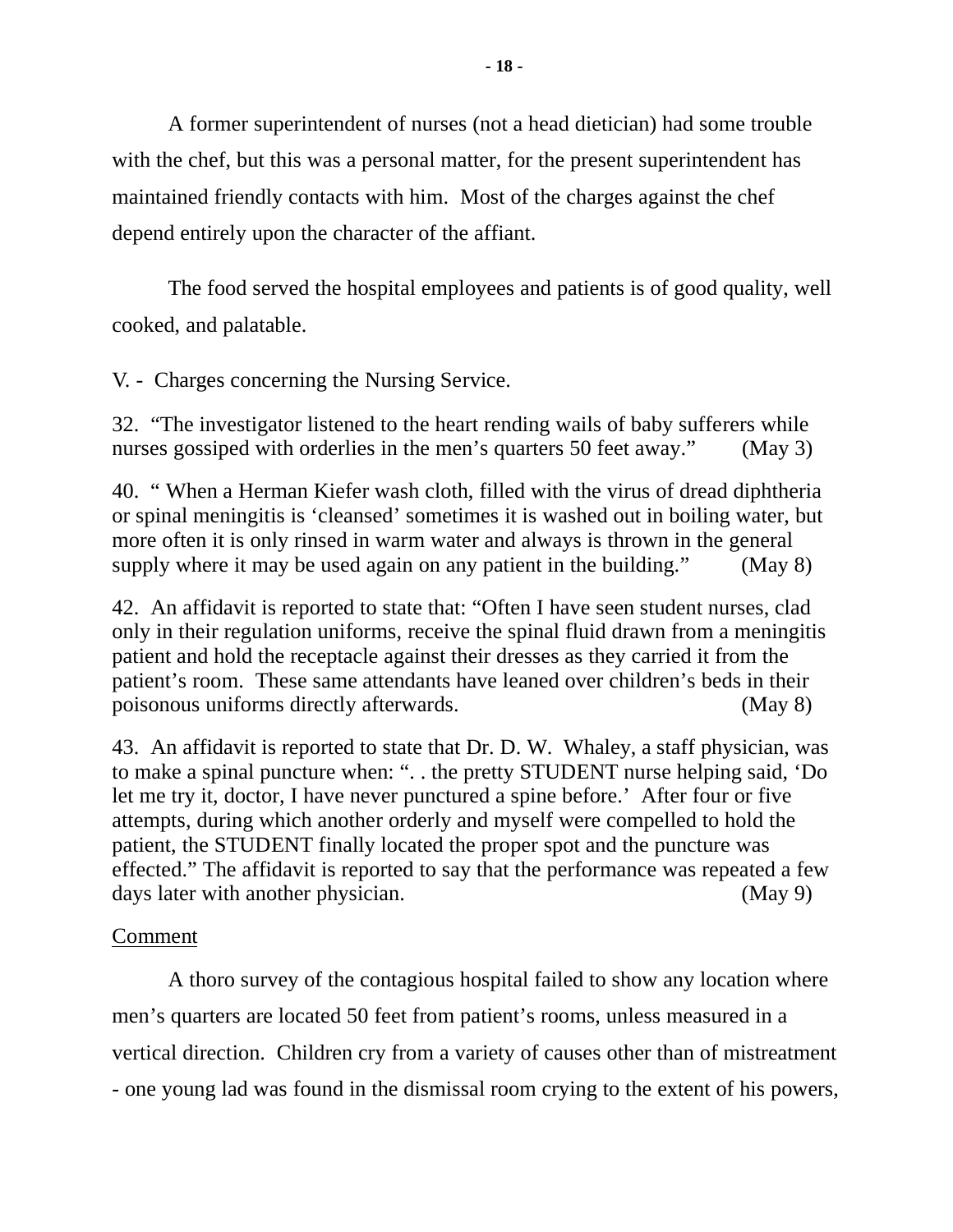A former superintendent of nurses (not a head dietician) had some trouble with the chef, but this was a personal matter, for the present superintendent has maintained friendly contacts with him. Most of the charges against the chef depend entirely upon the character of the affiant.

The food served the hospital employees and patients is of good quality, well cooked, and palatable.

V. - Charges concerning the Nursing Service.

32. "The investigator listened to the heart rending wails of baby sufferers while nurses gossiped with orderlies in the men's quarters 50 feet away." (May 3)

40. " When a Herman Kiefer wash cloth, filled with the virus of dread diphtheria or spinal meningitis is 'cleansed' sometimes it is washed out in boiling water, but more often it is only rinsed in warm water and always is thrown in the general supply where it may be used again on any patient in the building." (May 8)

42. An affidavit is reported to state that: "Often I have seen student nurses, clad only in their regulation uniforms, receive the spinal fluid drawn from a meningitis patient and hold the receptacle against their dresses as they carried it from the patient's room. These same attendants have leaned over children's beds in their poisonous uniforms directly afterwards. (May 8)

43. An affidavit is reported to state that Dr. D. W. Whaley, a staff physician, was to make a spinal puncture when: ". . the pretty STUDENT nurse helping said, 'Do let me try it, doctor, I have never punctured a spine before.' After four or five attempts, during which another orderly and myself were compelled to hold the patient, the STUDENT finally located the proper spot and the puncture was effected." The affidavit is reported to say that the performance was repeated a few days later with another physician. (May 9)

# Comment

A thoro survey of the contagious hospital failed to show any location where men's quarters are located 50 feet from patient's rooms, unless measured in a vertical direction. Children cry from a variety of causes other than of mistreatment - one young lad was found in the dismissal room crying to the extent of his powers,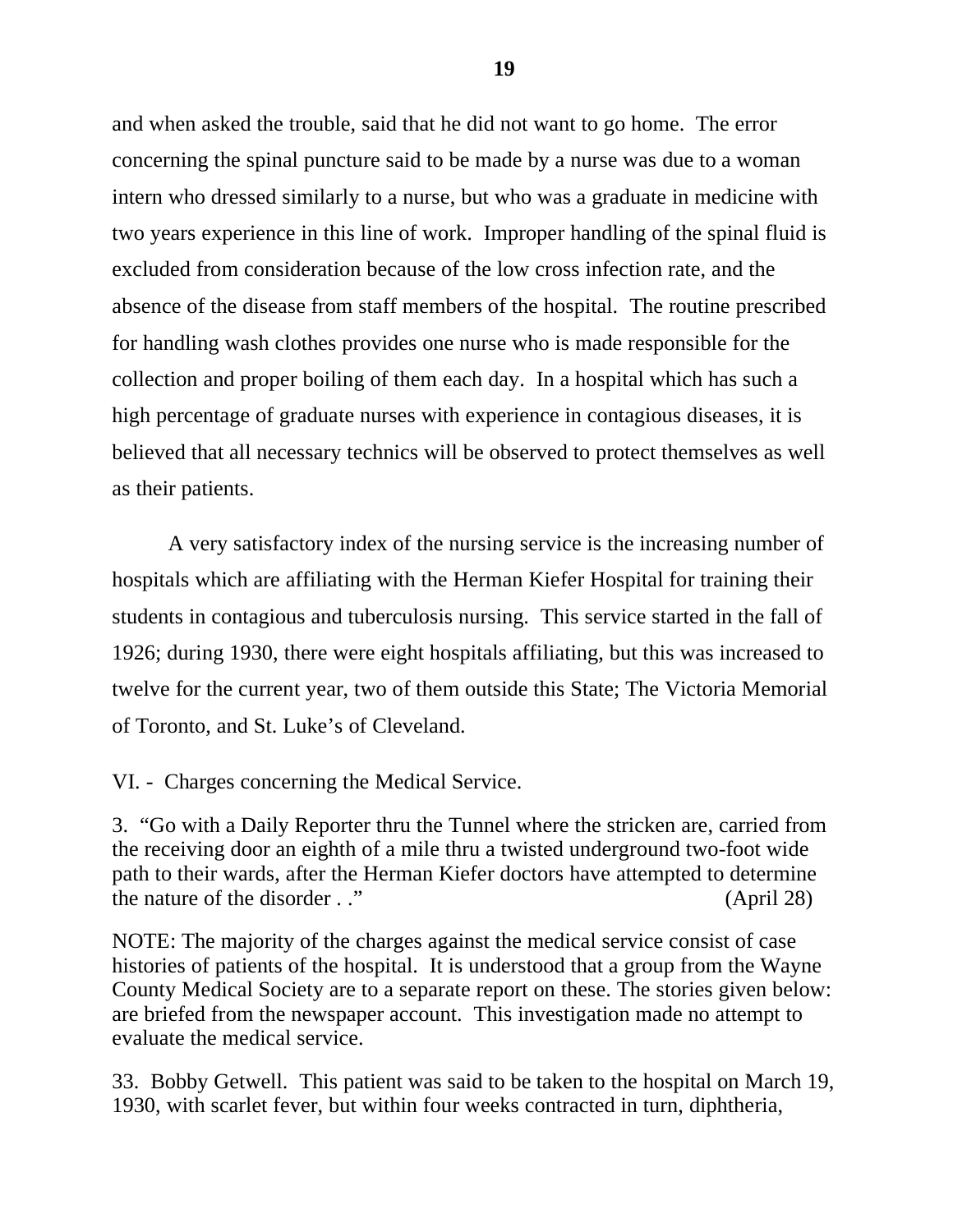and when asked the trouble, said that he did not want to go home. The error concerning the spinal puncture said to be made by a nurse was due to a woman intern who dressed similarly to a nurse, but who was a graduate in medicine with two years experience in this line of work. Improper handling of the spinal fluid is excluded from consideration because of the low cross infection rate, and the absence of the disease from staff members of the hospital. The routine prescribed for handling wash clothes provides one nurse who is made responsible for the collection and proper boiling of them each day. In a hospital which has such a high percentage of graduate nurses with experience in contagious diseases, it is believed that all necessary technics will be observed to protect themselves as well as their patients.

A very satisfactory index of the nursing service is the increasing number of hospitals which are affiliating with the Herman Kiefer Hospital for training their students in contagious and tuberculosis nursing. This service started in the fall of 1926; during 1930, there were eight hospitals affiliating, but this was increased to twelve for the current year, two of them outside this State; The Victoria Memorial of Toronto, and St. Luke's of Cleveland.

VI. - Charges concerning the Medical Service.

3. "Go with a Daily Reporter thru the Tunnel where the stricken are, carried from the receiving door an eighth of a mile thru a twisted underground two-foot wide path to their wards, after the Herman Kiefer doctors have attempted to determine the nature of the disorder . ." (April 28)

NOTE: The majority of the charges against the medical service consist of case histories of patients of the hospital. It is understood that a group from the Wayne County Medical Society are to a separate report on these. The stories given below: are briefed from the newspaper account. This investigation made no attempt to evaluate the medical service.

33. Bobby Getwell. This patient was said to be taken to the hospital on March 19, 1930, with scarlet fever, but within four weeks contracted in turn, diphtheria,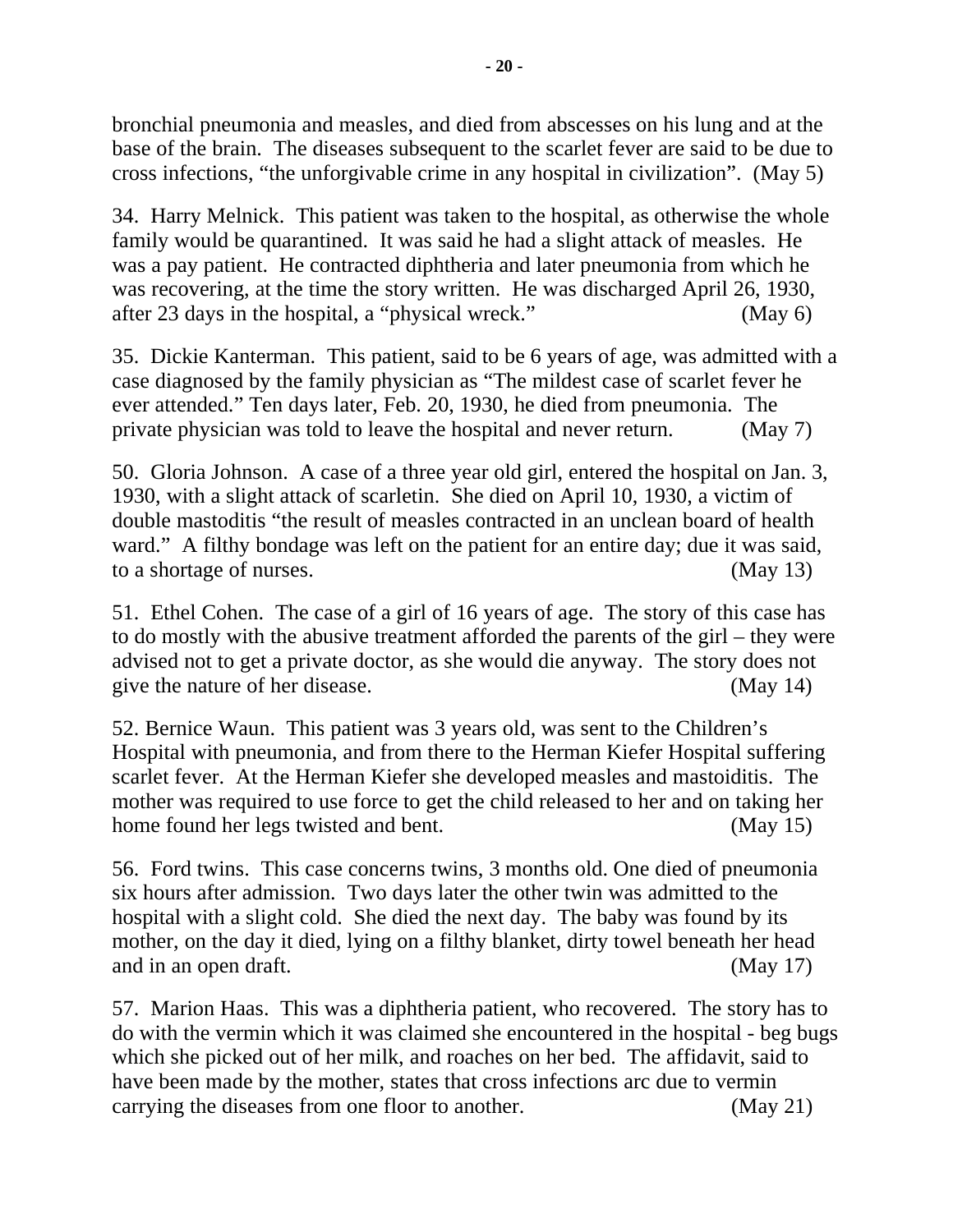bronchial pneumonia and measles, and died from abscesses on his lung and at the base of the brain. The diseases subsequent to the scarlet fever are said to be due to cross infections, "the unforgivable crime in any hospital in civilization". (May 5)

34. Harry Melnick. This patient was taken to the hospital, as otherwise the whole family would be quarantined. It was said he had a slight attack of measles. He was a pay patient. He contracted diphtheria and later pneumonia from which he was recovering, at the time the story written. He was discharged April 26, 1930, after 23 days in the hospital, a "physical wreck." (May 6)

35. Dickie Kanterman. This patient, said to be 6 years of age, was admitted with a case diagnosed by the family physician as "The mildest case of scarlet fever he ever attended." Ten days later, Feb. 20, 1930, he died from pneumonia. The private physician was told to leave the hospital and never return. (May 7)

50. Gloria Johnson. A case of a three year old girl, entered the hospital on Jan. 3, 1930, with a slight attack of scarletin. She died on April 10, 1930, a victim of double mastoditis "the result of measles contracted in an unclean board of health ward." A filthy bondage was left on the patient for an entire day; due it was said, to a shortage of nurses. (May 13)

51. Ethel Cohen. The case of a girl of 16 years of age. The story of this case has to do mostly with the abusive treatment afforded the parents of the girl – they were advised not to get a private doctor, as she would die anyway. The story does not give the nature of her disease. (May 14)

52. Bernice Waun. This patient was 3 years old, was sent to the Children's Hospital with pneumonia, and from there to the Herman Kiefer Hospital suffering scarlet fever. At the Herman Kiefer she developed measles and mastoiditis. The mother was required to use force to get the child released to her and on taking her home found her legs twisted and bent. (May 15)

56. Ford twins. This case concerns twins, 3 months old. One died of pneumonia six hours after admission. Two days later the other twin was admitted to the hospital with a slight cold. She died the next day. The baby was found by its mother, on the day it died, lying on a filthy blanket, dirty towel beneath her head and in an open draft. (May 17)

57. Marion Haas. This was a diphtheria patient, who recovered. The story has to do with the vermin which it was claimed she encountered in the hospital - beg bugs which she picked out of her milk, and roaches on her bed. The affidavit, said to have been made by the mother, states that cross infections arc due to vermin carrying the diseases from one floor to another. (May 21)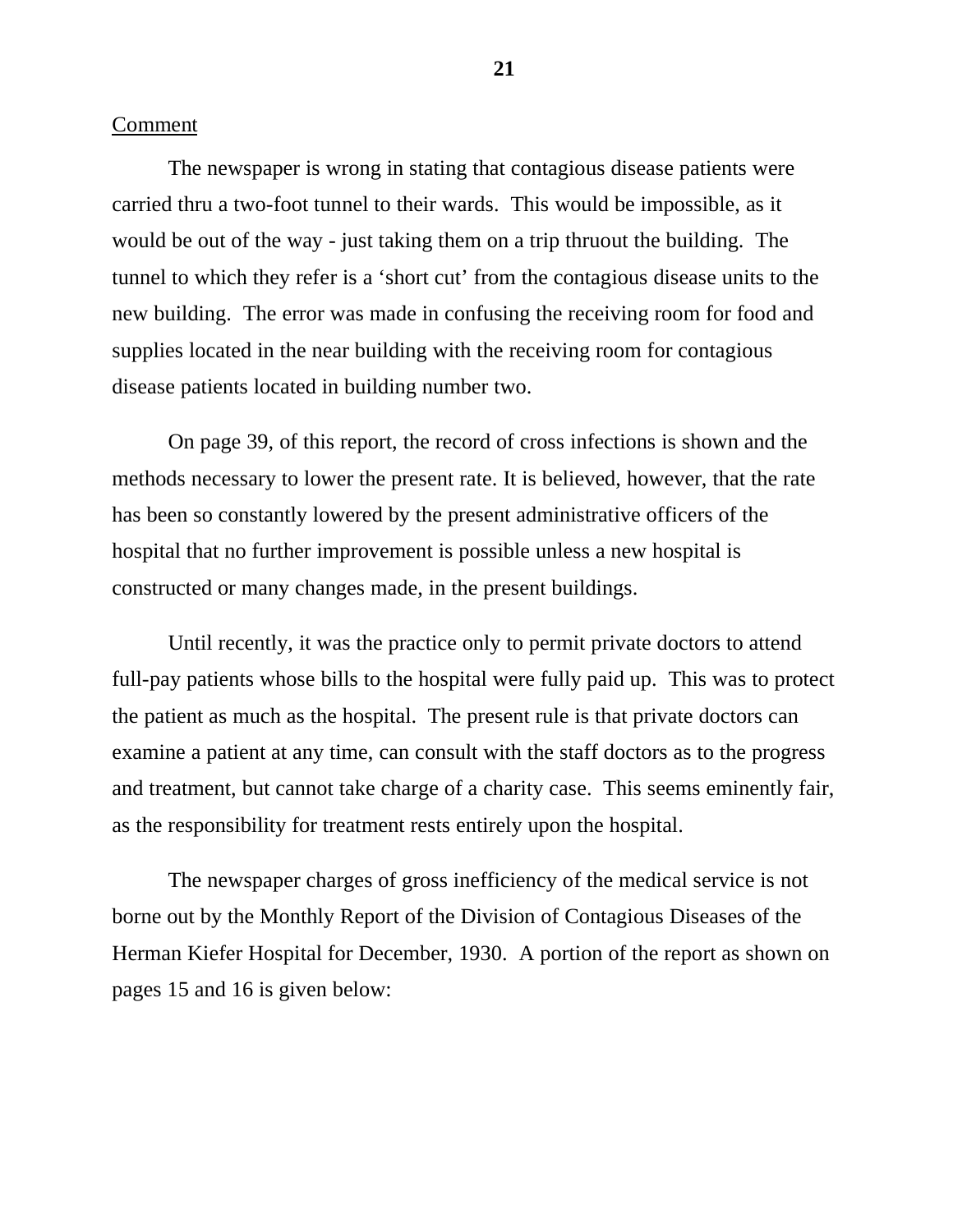#### Comment

The newspaper is wrong in stating that contagious disease patients were carried thru a two-foot tunnel to their wards. This would be impossible, as it would be out of the way - just taking them on a trip thruout the building. The tunnel to which they refer is a 'short cut' from the contagious disease units to the new building. The error was made in confusing the receiving room for food and supplies located in the near building with the receiving room for contagious disease patients located in building number two.

On page 39, of this report, the record of cross infections is shown and the methods necessary to lower the present rate. It is believed, however, that the rate has been so constantly lowered by the present administrative officers of the hospital that no further improvement is possible unless a new hospital is constructed or many changes made, in the present buildings.

Until recently, it was the practice only to permit private doctors to attend full-pay patients whose bills to the hospital were fully paid up. This was to protect the patient as much as the hospital. The present rule is that private doctors can examine a patient at any time, can consult with the staff doctors as to the progress and treatment, but cannot take charge of a charity case. This seems eminently fair, as the responsibility for treatment rests entirely upon the hospital.

The newspaper charges of gross inefficiency of the medical service is not borne out by the Monthly Report of the Division of Contagious Diseases of the Herman Kiefer Hospital for December, 1930. A portion of the report as shown on pages 15 and 16 is given below: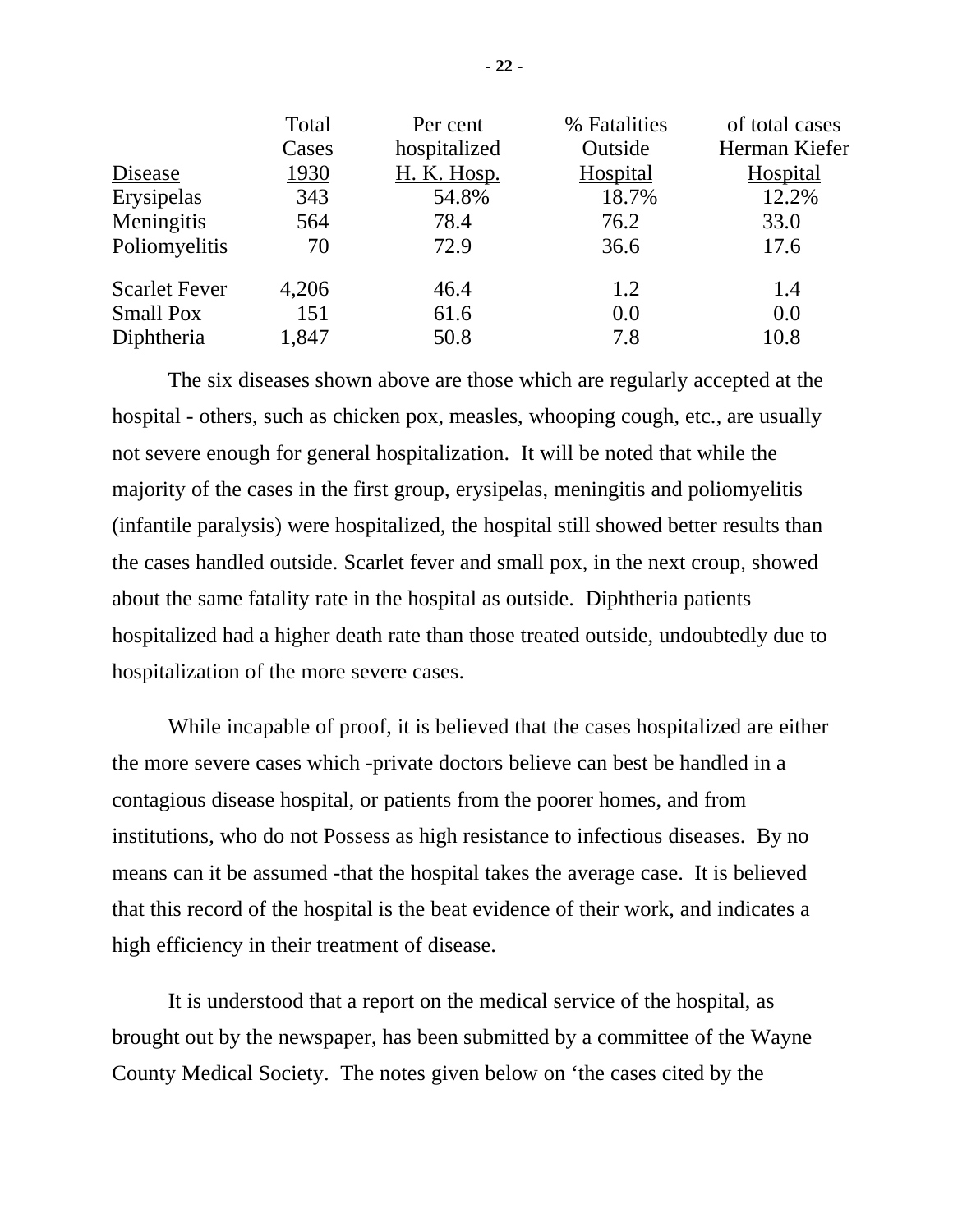| Total | Per cent           | % Fatalities | of total cases  |
|-------|--------------------|--------------|-----------------|
| Cases | hospitalized       | Outside      | Herman Kiefer   |
| 1930  | <b>H. K. Hosp.</b> | Hospital     | <b>Hospital</b> |
| 343   | 54.8%              | 18.7%        | 12.2%           |
| 564   | 78.4               | 76.2         | 33.0            |
| 70    | 72.9               | 36.6         | 17.6            |
| 4,206 | 46.4               | 1.2          | 1.4             |
| 151   | 61.6               | 0.0          | 0.0             |
| 1,847 | 50.8               | 7.8          | 10.8            |
|       |                    |              |                 |

The six diseases shown above are those which are regularly accepted at the hospital - others, such as chicken pox, measles, whooping cough, etc., are usually not severe enough for general hospitalization. It will be noted that while the majority of the cases in the first group, erysipelas, meningitis and poliomyelitis (infantile paralysis) were hospitalized, the hospital still showed better results than the cases handled outside. Scarlet fever and small pox, in the next croup, showed about the same fatality rate in the hospital as outside. Diphtheria patients hospitalized had a higher death rate than those treated outside, undoubtedly due to hospitalization of the more severe cases.

While incapable of proof, it is believed that the cases hospitalized are either the more severe cases which -private doctors believe can best be handled in a contagious disease hospital, or patients from the poorer homes, and from institutions, who do not Possess as high resistance to infectious diseases. By no means can it be assumed -that the hospital takes the average case. It is believed that this record of the hospital is the beat evidence of their work, and indicates a high efficiency in their treatment of disease.

It is understood that a report on the medical service of the hospital, as brought out by the newspaper, has been submitted by a committee of the Wayne County Medical Society. The notes given below on 'the cases cited by the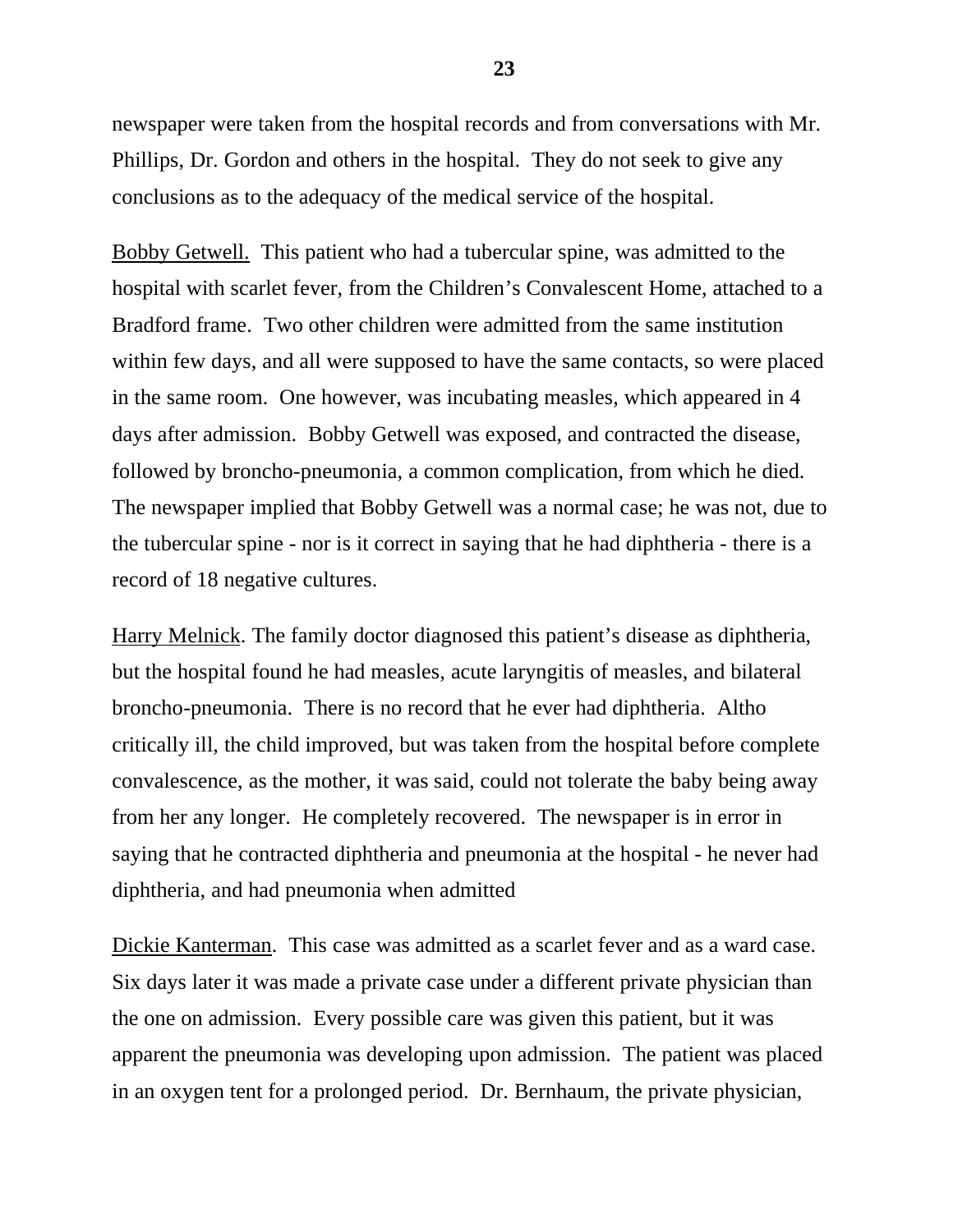newspaper were taken from the hospital records and from conversations with Mr. Phillips, Dr. Gordon and others in the hospital. They do not seek to give any conclusions as to the adequacy of the medical service of the hospital.

Bobby Getwell. This patient who had a tubercular spine, was admitted to the hospital with scarlet fever, from the Children's Convalescent Home, attached to a Bradford frame. Two other children were admitted from the same institution within few days, and all were supposed to have the same contacts, so were placed in the same room. One however, was incubating measles, which appeared in 4 days after admission. Bobby Getwell was exposed, and contracted the disease, followed by broncho-pneumonia, a common complication, from which he died. The newspaper implied that Bobby Getwell was a normal case; he was not, due to the tubercular spine - nor is it correct in saying that he had diphtheria - there is a record of 18 negative cultures.

Harry Melnick. The family doctor diagnosed this patient's disease as diphtheria, but the hospital found he had measles, acute laryngitis of measles, and bilateral broncho-pneumonia. There is no record that he ever had diphtheria. Altho critically ill, the child improved, but was taken from the hospital before complete convalescence, as the mother, it was said, could not tolerate the baby being away from her any longer. He completely recovered. The newspaper is in error in saying that he contracted diphtheria and pneumonia at the hospital - he never had diphtheria, and had pneumonia when admitted

Dickie Kanterman. This case was admitted as a scarlet fever and as a ward case. Six days later it was made a private case under a different private physician than the one on admission. Every possible care was given this patient, but it was apparent the pneumonia was developing upon admission. The patient was placed in an oxygen tent for a prolonged period. Dr. Bernhaum, the private physician,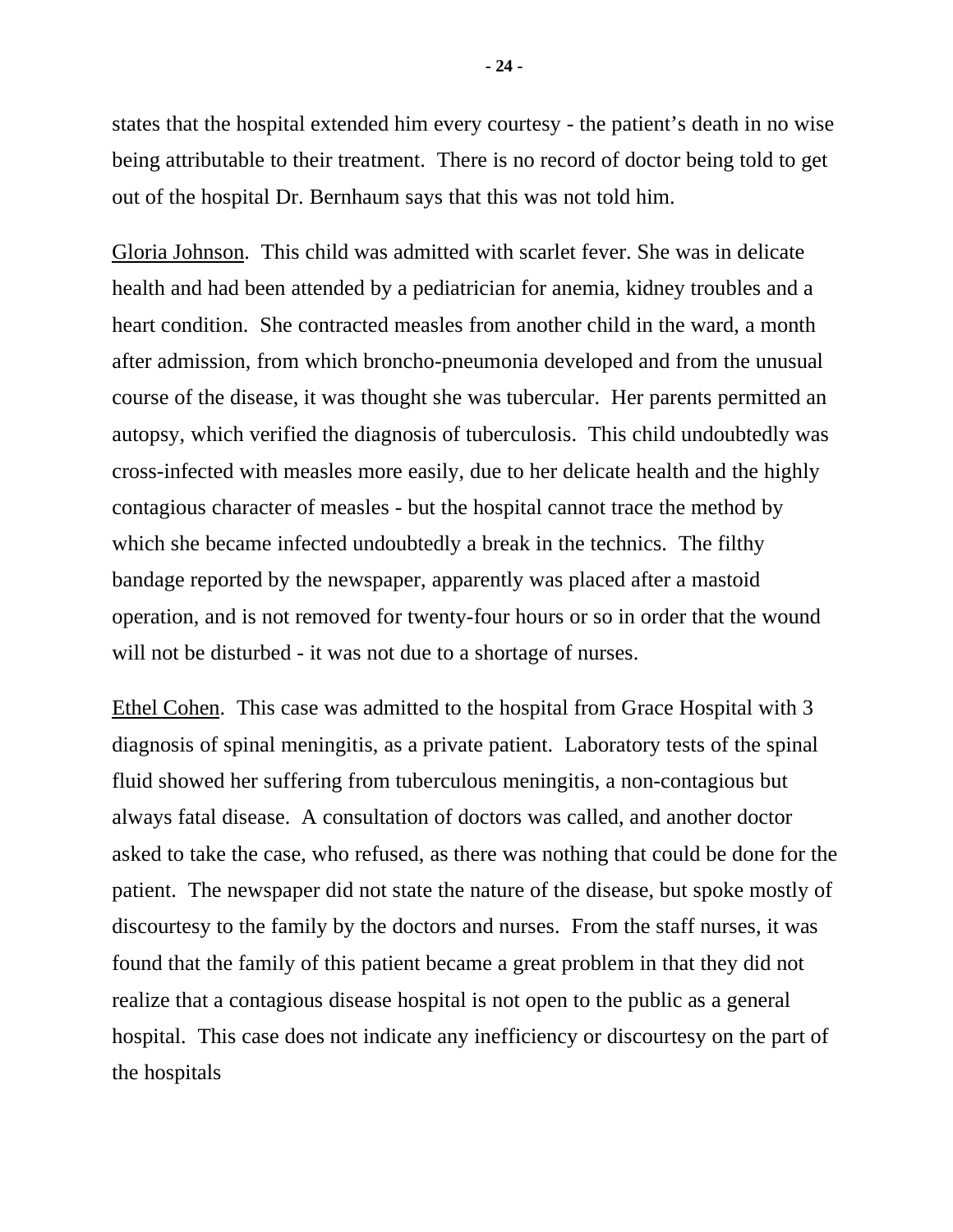states that the hospital extended him every courtesy - the patient's death in no wise being attributable to their treatment. There is no record of doctor being told to get out of the hospital Dr. Bernhaum says that this was not told him.

Gloria Johnson. This child was admitted with scarlet fever. She was in delicate health and had been attended by a pediatrician for anemia, kidney troubles and a heart condition. She contracted measles from another child in the ward, a month after admission, from which broncho-pneumonia developed and from the unusual course of the disease, it was thought she was tubercular. Her parents permitted an autopsy, which verified the diagnosis of tuberculosis. This child undoubtedly was cross-infected with measles more easily, due to her delicate health and the highly contagious character of measles - but the hospital cannot trace the method by which she became infected undoubtedly a break in the technics. The filthy bandage reported by the newspaper, apparently was placed after a mastoid operation, and is not removed for twenty-four hours or so in order that the wound will not be disturbed - it was not due to a shortage of nurses.

Ethel Cohen. This case was admitted to the hospital from Grace Hospital with 3 diagnosis of spinal meningitis, as a private patient. Laboratory tests of the spinal fluid showed her suffering from tuberculous meningitis, a non-contagious but always fatal disease. A consultation of doctors was called, and another doctor asked to take the case, who refused, as there was nothing that could be done for the patient. The newspaper did not state the nature of the disease, but spoke mostly of discourtesy to the family by the doctors and nurses. From the staff nurses, it was found that the family of this patient became a great problem in that they did not realize that a contagious disease hospital is not open to the public as a general hospital. This case does not indicate any inefficiency or discourtesy on the part of the hospitals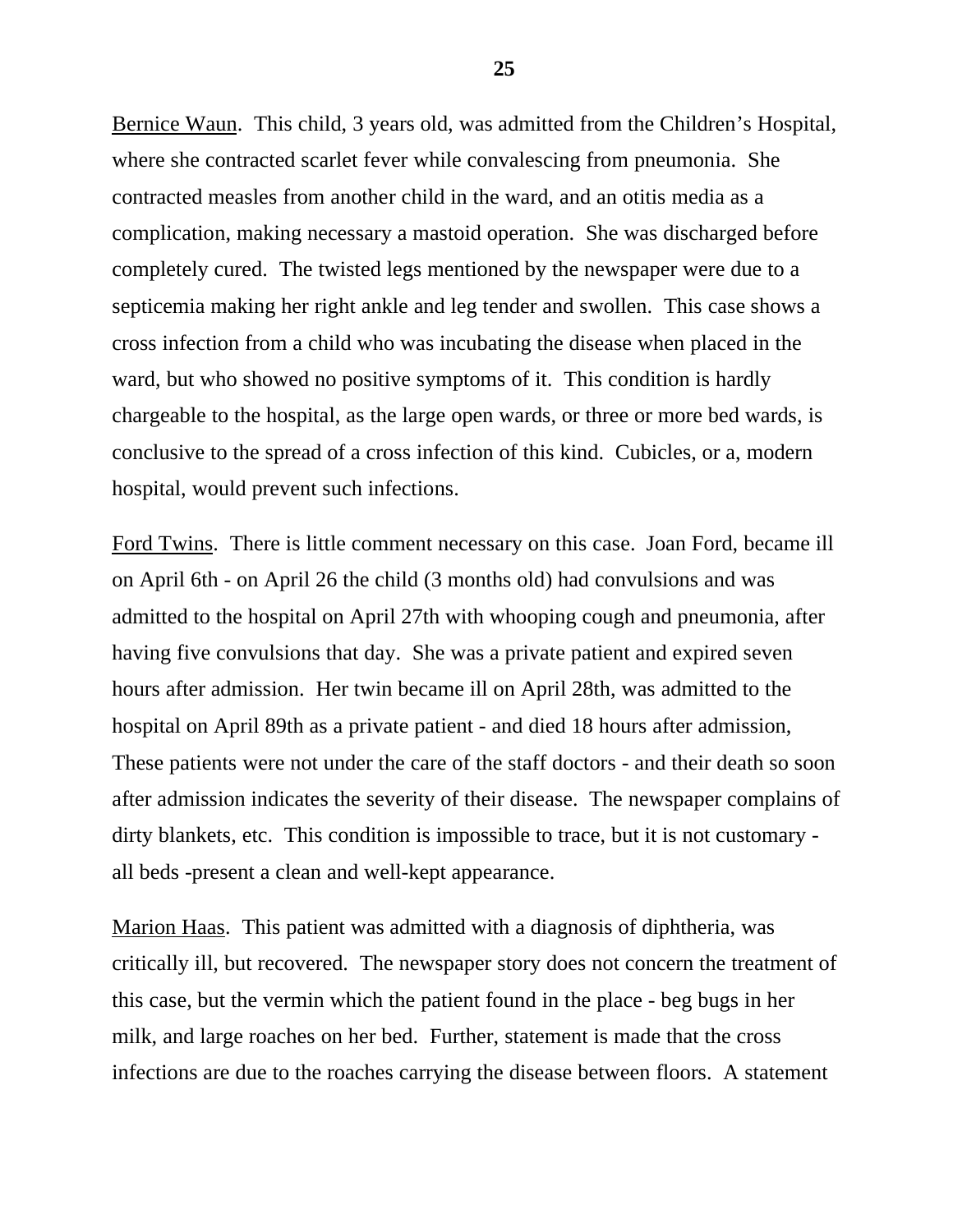Bernice Waun. This child, 3 years old, was admitted from the Children's Hospital, where she contracted scarlet fever while convalescing from pneumonia. She contracted measles from another child in the ward, and an otitis media as a complication, making necessary a mastoid operation. She was discharged before completely cured. The twisted legs mentioned by the newspaper were due to a septicemia making her right ankle and leg tender and swollen. This case shows a cross infection from a child who was incubating the disease when placed in the ward, but who showed no positive symptoms of it. This condition is hardly chargeable to the hospital, as the large open wards, or three or more bed wards, is conclusive to the spread of a cross infection of this kind. Cubicles, or a, modern hospital, would prevent such infections.

Ford Twins. There is little comment necessary on this case. Joan Ford, became ill on April 6th - on April 26 the child (3 months old) had convulsions and was admitted to the hospital on April 27th with whooping cough and pneumonia, after having five convulsions that day. She was a private patient and expired seven hours after admission. Her twin became ill on April 28th, was admitted to the hospital on April 89th as a private patient - and died 18 hours after admission, These patients were not under the care of the staff doctors - and their death so soon after admission indicates the severity of their disease. The newspaper complains of dirty blankets, etc. This condition is impossible to trace, but it is not customary all beds -present a clean and well-kept appearance.

Marion Haas. This patient was admitted with a diagnosis of diphtheria, was critically ill, but recovered. The newspaper story does not concern the treatment of this case, but the vermin which the patient found in the place - beg bugs in her milk, and large roaches on her bed. Further, statement is made that the cross infections are due to the roaches carrying the disease between floors. A statement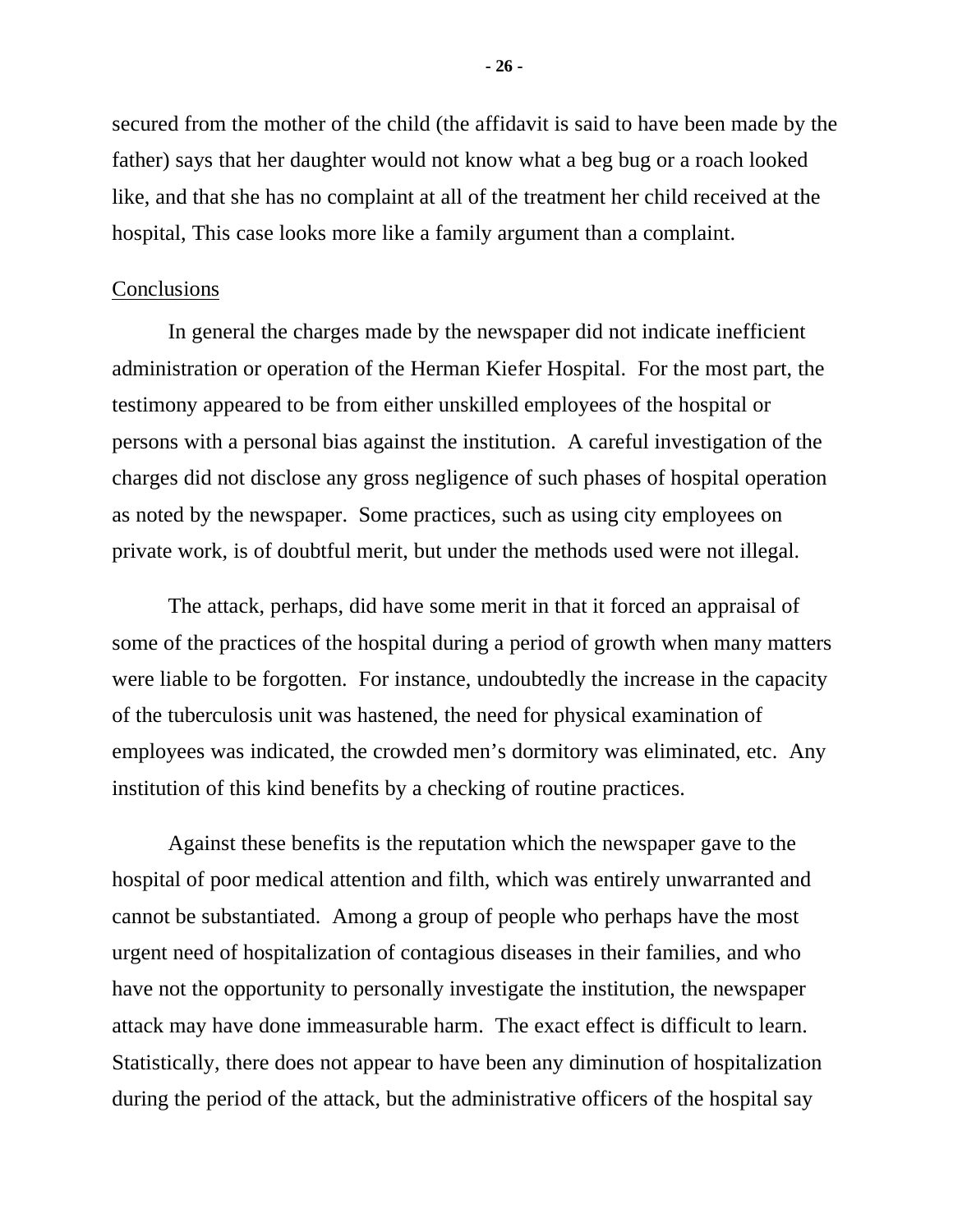secured from the mother of the child (the affidavit is said to have been made by the father) says that her daughter would not know what a beg bug or a roach looked like, and that she has no complaint at all of the treatment her child received at the hospital, This case looks more like a family argument than a complaint.

#### Conclusions

In general the charges made by the newspaper did not indicate inefficient administration or operation of the Herman Kiefer Hospital. For the most part, the testimony appeared to be from either unskilled employees of the hospital or persons with a personal bias against the institution. A careful investigation of the charges did not disclose any gross negligence of such phases of hospital operation as noted by the newspaper. Some practices, such as using city employees on private work, is of doubtful merit, but under the methods used were not illegal.

The attack, perhaps, did have some merit in that it forced an appraisal of some of the practices of the hospital during a period of growth when many matters were liable to be forgotten. For instance, undoubtedly the increase in the capacity of the tuberculosis unit was hastened, the need for physical examination of employees was indicated, the crowded men's dormitory was eliminated, etc. Any institution of this kind benefits by a checking of routine practices.

Against these benefits is the reputation which the newspaper gave to the hospital of poor medical attention and filth, which was entirely unwarranted and cannot be substantiated. Among a group of people who perhaps have the most urgent need of hospitalization of contagious diseases in their families, and who have not the opportunity to personally investigate the institution, the newspaper attack may have done immeasurable harm. The exact effect is difficult to learn. Statistically, there does not appear to have been any diminution of hospitalization during the period of the attack, but the administrative officers of the hospital say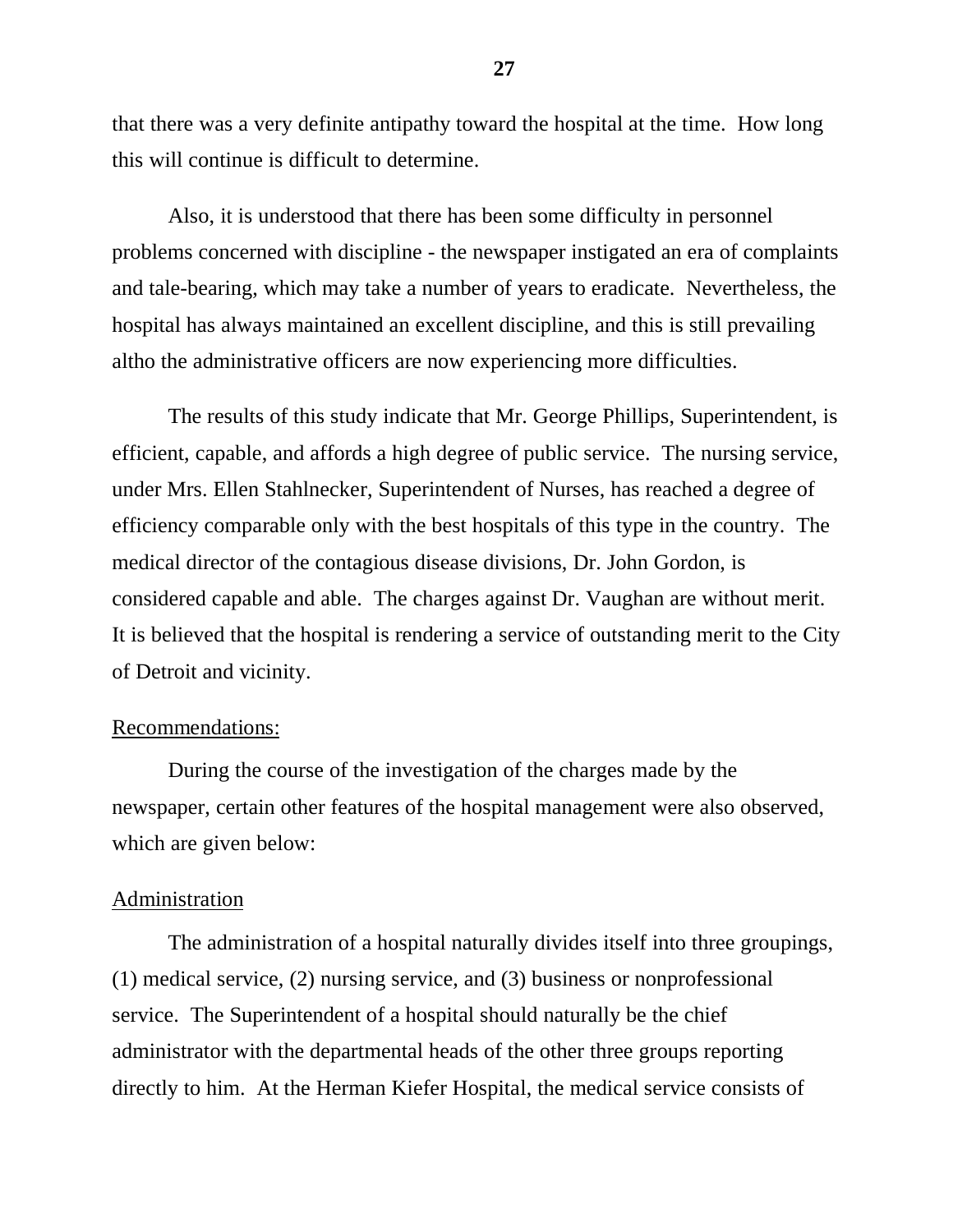that there was a very definite antipathy toward the hospital at the time. How long this will continue is difficult to determine.

Also, it is understood that there has been some difficulty in personnel problems concerned with discipline - the newspaper instigated an era of complaints and tale-bearing, which may take a number of years to eradicate. Nevertheless, the hospital has always maintained an excellent discipline, and this is still prevailing altho the administrative officers are now experiencing more difficulties.

The results of this study indicate that Mr. George Phillips, Superintendent, is efficient, capable, and affords a high degree of public service. The nursing service, under Mrs. Ellen Stahlnecker, Superintendent of Nurses, has reached a degree of efficiency comparable only with the best hospitals of this type in the country. The medical director of the contagious disease divisions, Dr. John Gordon, is considered capable and able. The charges against Dr. Vaughan are without merit. It is believed that the hospital is rendering a service of outstanding merit to the City of Detroit and vicinity.

## Recommendations:

During the course of the investigation of the charges made by the newspaper, certain other features of the hospital management were also observed, which are given below:

#### Administration

The administration of a hospital naturally divides itself into three groupings, (1) medical service, (2) nursing service, and (3) business or nonprofessional service. The Superintendent of a hospital should naturally be the chief administrator with the departmental heads of the other three groups reporting directly to him. At the Herman Kiefer Hospital, the medical service consists of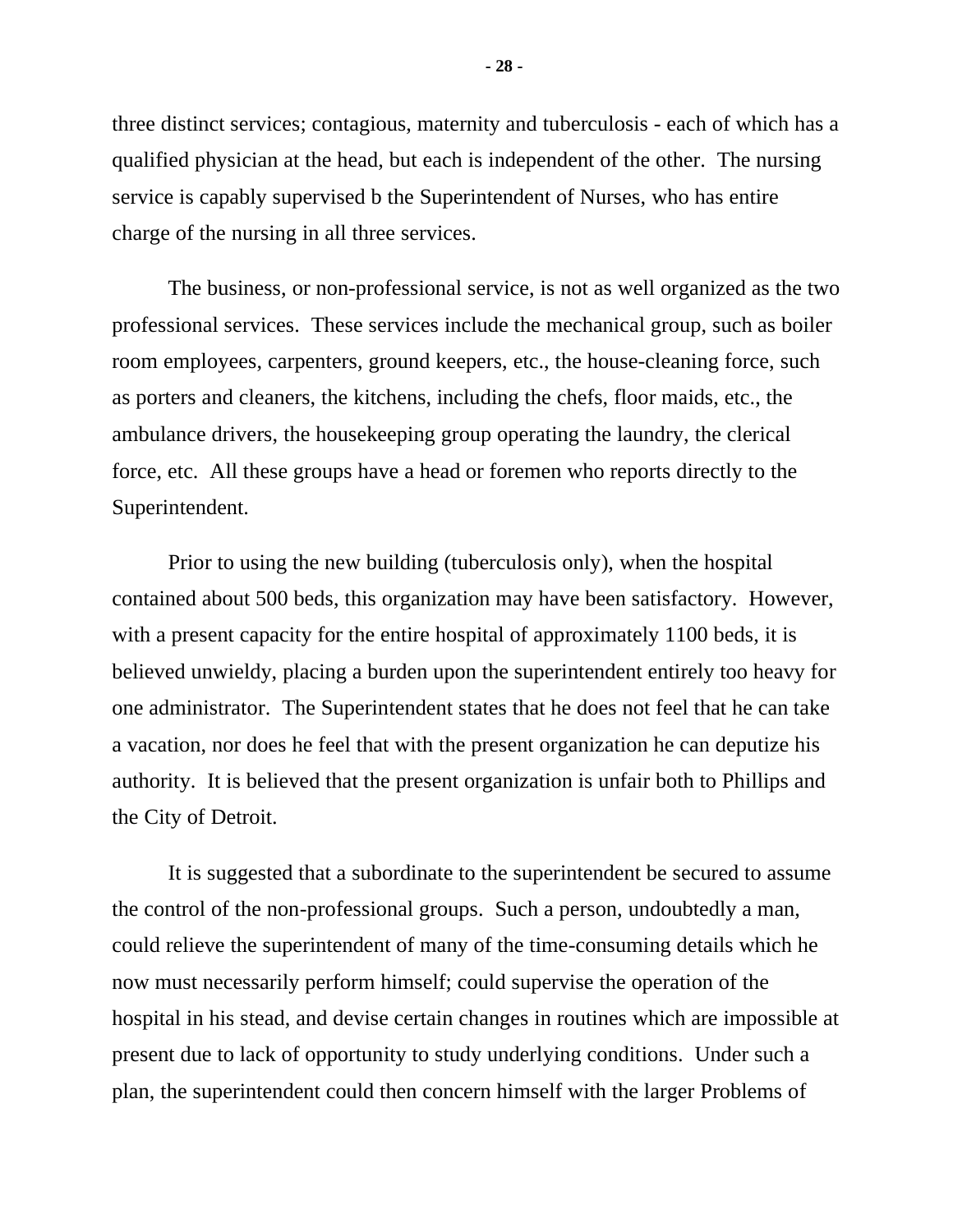three distinct services; contagious, maternity and tuberculosis - each of which has a qualified physician at the head, but each is independent of the other. The nursing service is capably supervised b the Superintendent of Nurses, who has entire charge of the nursing in all three services.

The business, or non-professional service, is not as well organized as the two professional services. These services include the mechanical group, such as boiler room employees, carpenters, ground keepers, etc., the house-cleaning force, such as porters and cleaners, the kitchens, including the chefs, floor maids, etc., the ambulance drivers, the housekeeping group operating the laundry, the clerical force, etc. All these groups have a head or foremen who reports directly to the Superintendent.

Prior to using the new building (tuberculosis only), when the hospital contained about 500 beds, this organization may have been satisfactory. However, with a present capacity for the entire hospital of approximately 1100 beds, it is believed unwieldy, placing a burden upon the superintendent entirely too heavy for one administrator. The Superintendent states that he does not feel that he can take a vacation, nor does he feel that with the present organization he can deputize his authority. It is believed that the present organization is unfair both to Phillips and the City of Detroit.

It is suggested that a subordinate to the superintendent be secured to assume the control of the non-professional groups. Such a person, undoubtedly a man, could relieve the superintendent of many of the time-consuming details which he now must necessarily perform himself; could supervise the operation of the hospital in his stead, and devise certain changes in routines which are impossible at present due to lack of opportunity to study underlying conditions. Under such a plan, the superintendent could then concern himself with the larger Problems of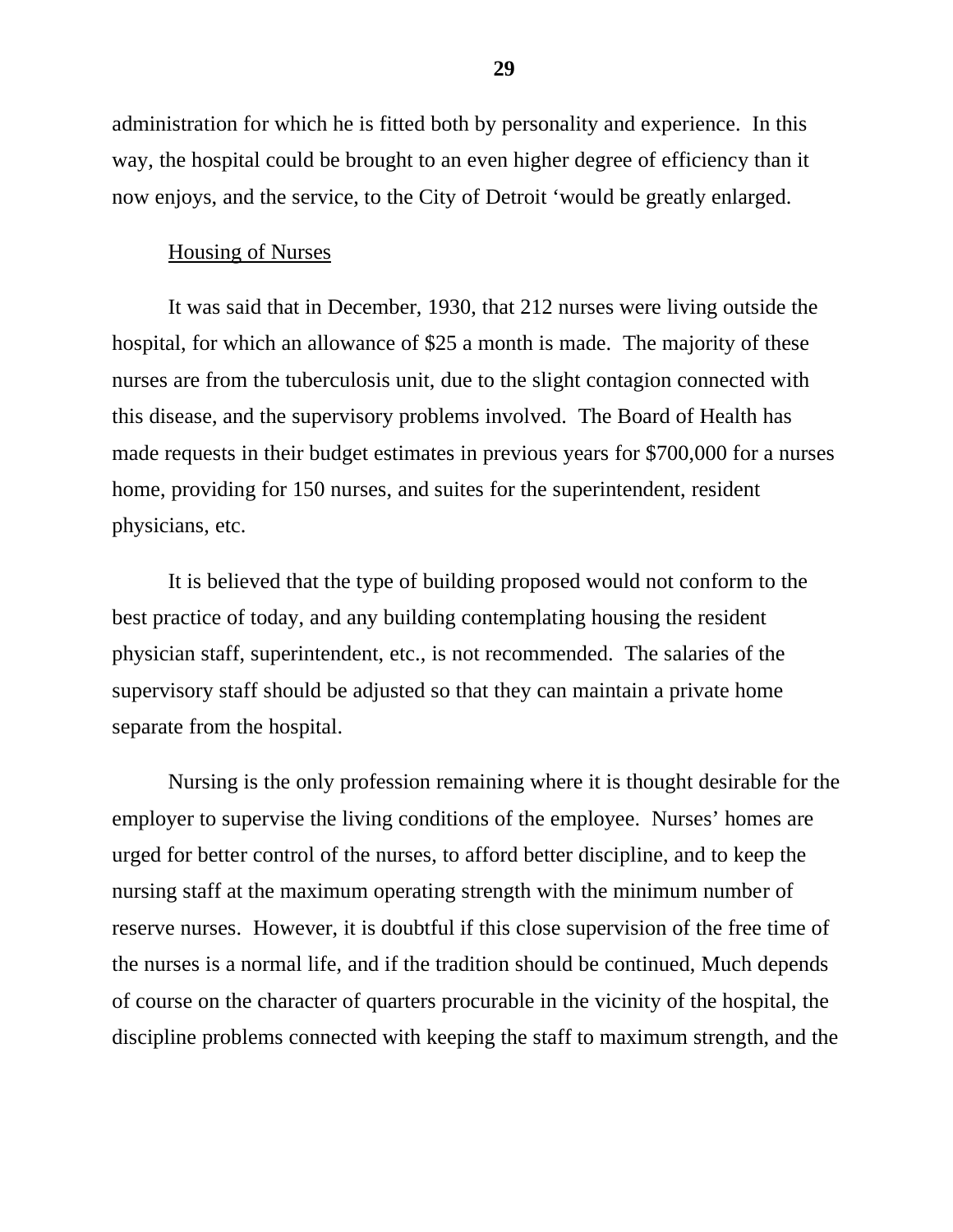administration for which he is fitted both by personality and experience. In this way, the hospital could be brought to an even higher degree of efficiency than it now enjoys, and the service, to the City of Detroit 'would be greatly enlarged.

## Housing of Nurses

It was said that in December, 1930, that 212 nurses were living outside the hospital, for which an allowance of \$25 a month is made. The majority of these nurses are from the tuberculosis unit, due to the slight contagion connected with this disease, and the supervisory problems involved. The Board of Health has made requests in their budget estimates in previous years for \$700,000 for a nurses home, providing for 150 nurses, and suites for the superintendent, resident physicians, etc.

It is believed that the type of building proposed would not conform to the best practice of today, and any building contemplating housing the resident physician staff, superintendent, etc., is not recommended. The salaries of the supervisory staff should be adjusted so that they can maintain a private home separate from the hospital.

Nursing is the only profession remaining where it is thought desirable for the employer to supervise the living conditions of the employee. Nurses' homes are urged for better control of the nurses, to afford better discipline, and to keep the nursing staff at the maximum operating strength with the minimum number of reserve nurses. However, it is doubtful if this close supervision of the free time of the nurses is a normal life, and if the tradition should be continued, Much depends of course on the character of quarters procurable in the vicinity of the hospital, the discipline problems connected with keeping the staff to maximum strength, and the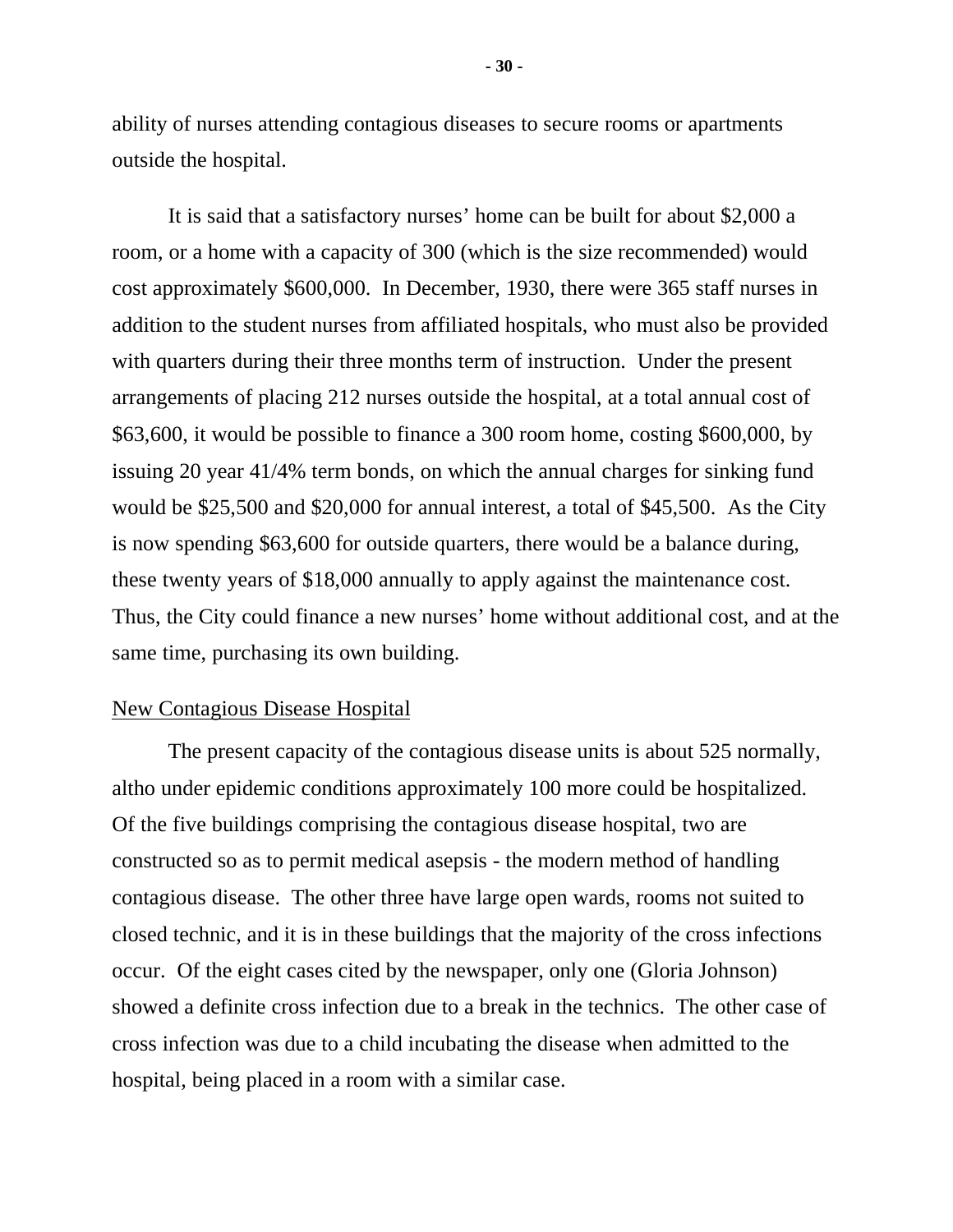ability of nurses attending contagious diseases to secure rooms or apartments outside the hospital.

It is said that a satisfactory nurses' home can be built for about \$2,000 a room, or a home with a capacity of 300 (which is the size recommended) would cost approximately \$600,000. In December, 1930, there were 365 staff nurses in addition to the student nurses from affiliated hospitals, who must also be provided with quarters during their three months term of instruction. Under the present arrangements of placing 212 nurses outside the hospital, at a total annual cost of \$63,600, it would be possible to finance a 300 room home, costing \$600,000, by issuing 20 year 41/4% term bonds, on which the annual charges for sinking fund would be \$25,500 and \$20,000 for annual interest, a total of \$45,500. As the City is now spending \$63,600 for outside quarters, there would be a balance during, these twenty years of \$18,000 annually to apply against the maintenance cost. Thus, the City could finance a new nurses' home without additional cost, and at the same time, purchasing its own building.

# New Contagious Disease Hospital

The present capacity of the contagious disease units is about 525 normally, altho under epidemic conditions approximately 100 more could be hospitalized. Of the five buildings comprising the contagious disease hospital, two are constructed so as to permit medical asepsis - the modern method of handling contagious disease. The other three have large open wards, rooms not suited to closed technic, and it is in these buildings that the majority of the cross infections occur. Of the eight cases cited by the newspaper, only one (Gloria Johnson) showed a definite cross infection due to a break in the technics. The other case of cross infection was due to a child incubating the disease when admitted to the hospital, being placed in a room with a similar case.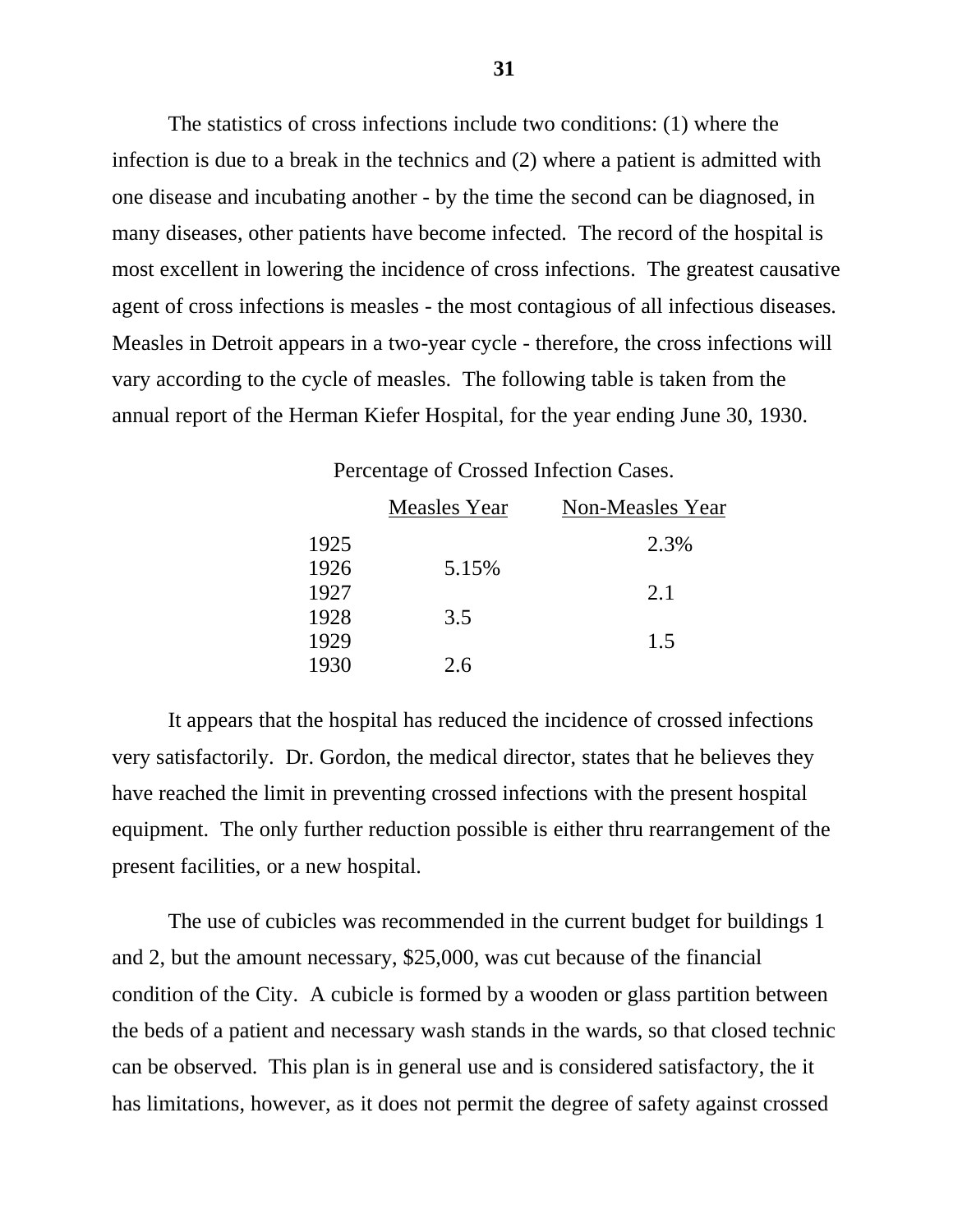The statistics of cross infections include two conditions: (1) where the infection is due to a break in the technics and (2) where a patient is admitted with one disease and incubating another - by the time the second can be diagnosed, in many diseases, other patients have become infected. The record of the hospital is most excellent in lowering the incidence of cross infections. The greatest causative agent of cross infections is measles - the most contagious of all infectious diseases. Measles in Detroit appears in a two-year cycle - therefore, the cross infections will vary according to the cycle of measles. The following table is taken from the annual report of the Herman Kiefer Hospital, for the year ending June 30, 1930.

| The contract of crossed milestron cases. |              |                  |  |
|------------------------------------------|--------------|------------------|--|
|                                          | Measles Year | Non-Measles Year |  |
| 1925                                     |              | 2.3%             |  |
| 1926                                     | 5.15%        |                  |  |
| 1927                                     |              | 2.1              |  |
| 1928                                     | 3.5          |                  |  |
| 1929                                     |              | 1.5              |  |
| 1930                                     | 2.6          |                  |  |
|                                          |              |                  |  |

Percentage of Crossed Infection Cases.

It appears that the hospital has reduced the incidence of crossed infections very satisfactorily. Dr. Gordon, the medical director, states that he believes they have reached the limit in preventing crossed infections with the present hospital equipment. The only further reduction possible is either thru rearrangement of the present facilities, or a new hospital.

The use of cubicles was recommended in the current budget for buildings 1 and 2, but the amount necessary, \$25,000, was cut because of the financial condition of the City. A cubicle is formed by a wooden or glass partition between the beds of a patient and necessary wash stands in the wards, so that closed technic can be observed. This plan is in general use and is considered satisfactory, the it has limitations, however, as it does not permit the degree of safety against crossed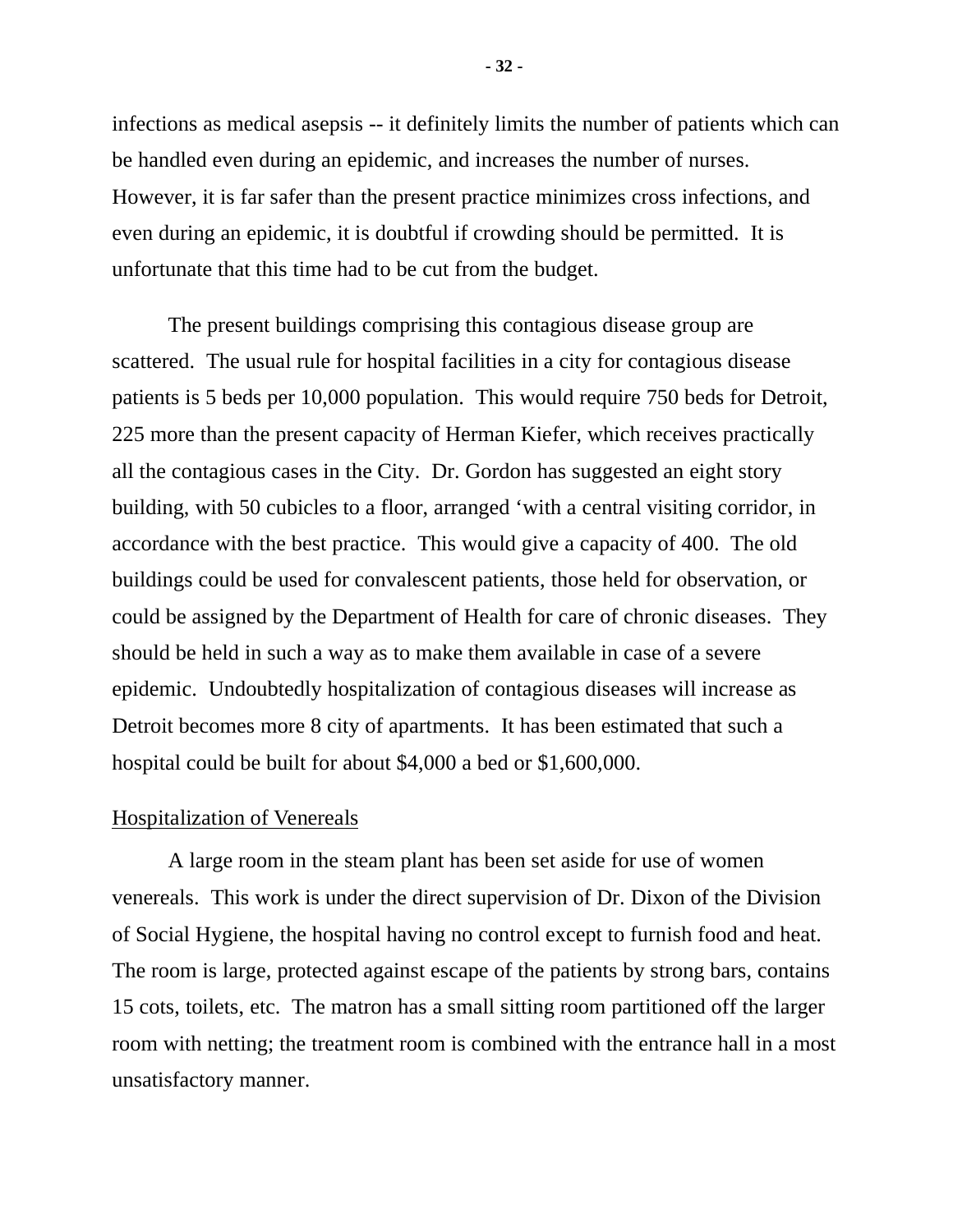infections as medical asepsis -- it definitely limits the number of patients which can be handled even during an epidemic, and increases the number of nurses. However, it is far safer than the present practice minimizes cross infections, and even during an epidemic, it is doubtful if crowding should be permitted. It is unfortunate that this time had to be cut from the budget.

The present buildings comprising this contagious disease group are scattered. The usual rule for hospital facilities in a city for contagious disease patients is 5 beds per 10,000 population. This would require 750 beds for Detroit, 225 more than the present capacity of Herman Kiefer, which receives practically all the contagious cases in the City. Dr. Gordon has suggested an eight story building, with 50 cubicles to a floor, arranged 'with a central visiting corridor, in accordance with the best practice. This would give a capacity of 400. The old buildings could be used for convalescent patients, those held for observation, or could be assigned by the Department of Health for care of chronic diseases. They should be held in such a way as to make them available in case of a severe epidemic. Undoubtedly hospitalization of contagious diseases will increase as Detroit becomes more 8 city of apartments. It has been estimated that such a hospital could be built for about \$4,000 a bed or \$1,600,000.

# Hospitalization of Venereals

A large room in the steam plant has been set aside for use of women venereals. This work is under the direct supervision of Dr. Dixon of the Division of Social Hygiene, the hospital having no control except to furnish food and heat. The room is large, protected against escape of the patients by strong bars, contains 15 cots, toilets, etc. The matron has a small sitting room partitioned off the larger room with netting; the treatment room is combined with the entrance hall in a most unsatisfactory manner.

**- 32 -**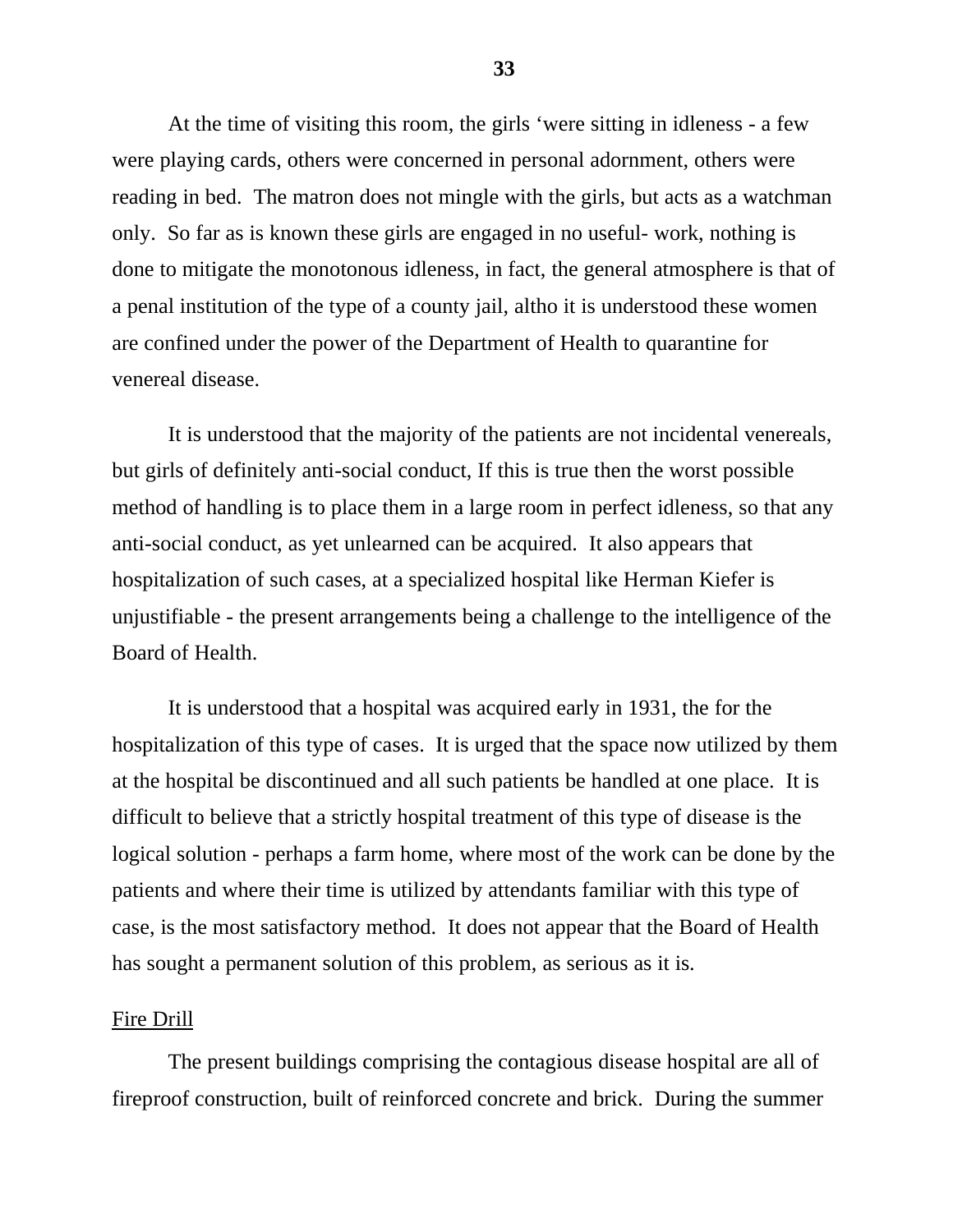At the time of visiting this room, the girls 'were sitting in idleness - a few were playing cards, others were concerned in personal adornment, others were reading in bed. The matron does not mingle with the girls, but acts as a watchman only. So far as is known these girls are engaged in no useful- work, nothing is done to mitigate the monotonous idleness, in fact, the general atmosphere is that of a penal institution of the type of a county jail, altho it is understood these women are confined under the power of the Department of Health to quarantine for venereal disease.

It is understood that the majority of the patients are not incidental venereals, but girls of definitely anti-social conduct, If this is true then the worst possible method of handling is to place them in a large room in perfect idleness, so that any anti-social conduct, as yet unlearned can be acquired. It also appears that hospitalization of such cases, at a specialized hospital like Herman Kiefer is unjustifiable - the present arrangements being a challenge to the intelligence of the Board of Health.

It is understood that a hospital was acquired early in 1931, the for the hospitalization of this type of cases. It is urged that the space now utilized by them at the hospital be discontinued and all such patients be handled at one place. It is difficult to believe that a strictly hospital treatment of this type of disease is the logical solution - perhaps a farm home, where most of the work can be done by the patients and where their time is utilized by attendants familiar with this type of case, is the most satisfactory method. It does not appear that the Board of Health has sought a permanent solution of this problem, as serious as it is.

#### Fire Drill

The present buildings comprising the contagious disease hospital are all of fireproof construction, built of reinforced concrete and brick. During the summer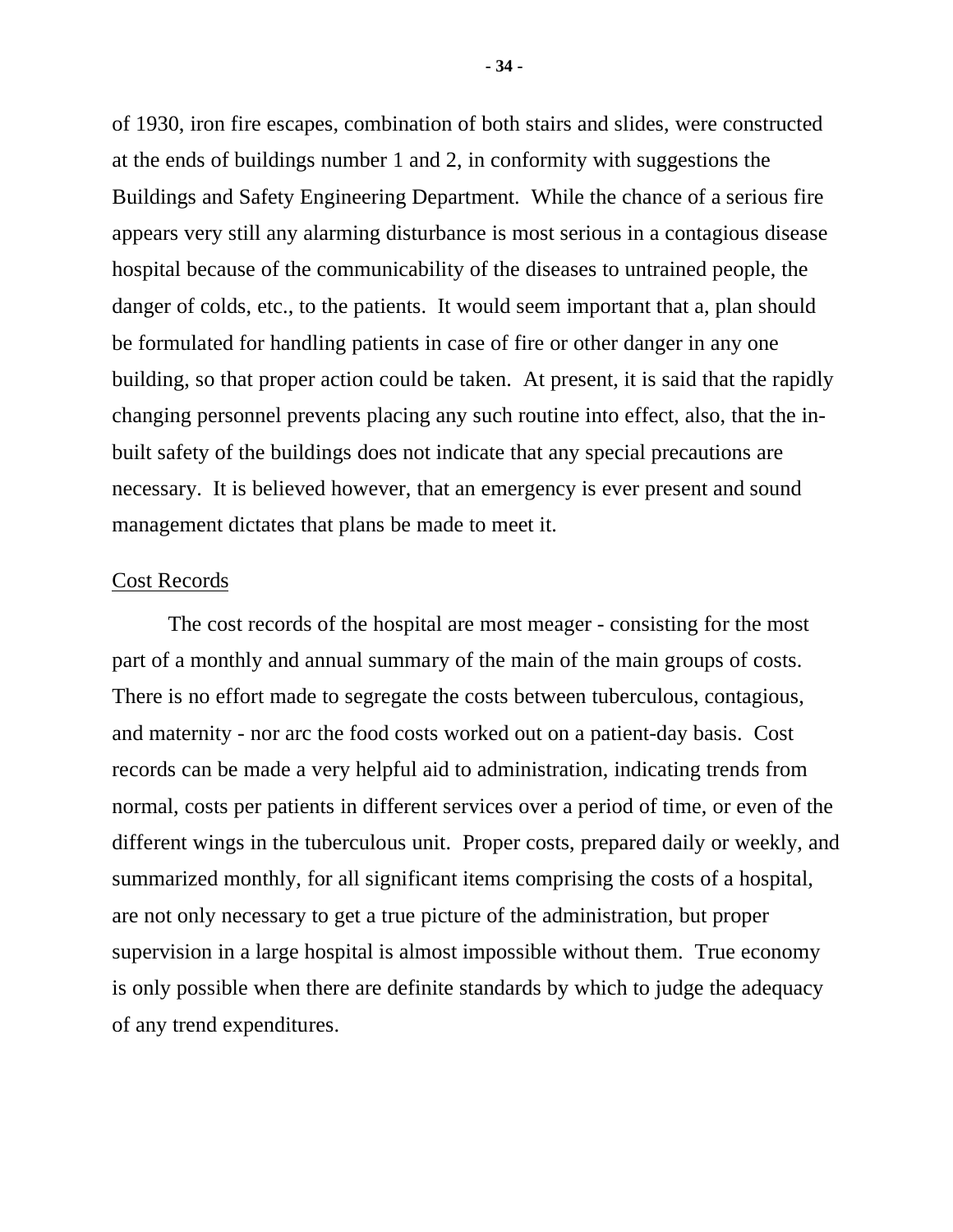of 1930, iron fire escapes, combination of both stairs and slides, were constructed at the ends of buildings number 1 and 2, in conformity with suggestions the Buildings and Safety Engineering Department. While the chance of a serious fire appears very still any alarming disturbance is most serious in a contagious disease hospital because of the communicability of the diseases to untrained people, the danger of colds, etc., to the patients. It would seem important that a, plan should be formulated for handling patients in case of fire or other danger in any one building, so that proper action could be taken. At present, it is said that the rapidly changing personnel prevents placing any such routine into effect, also, that the inbuilt safety of the buildings does not indicate that any special precautions are necessary. It is believed however, that an emergency is ever present and sound management dictates that plans be made to meet it.

### Cost Records

The cost records of the hospital are most meager - consisting for the most part of a monthly and annual summary of the main of the main groups of costs. There is no effort made to segregate the costs between tuberculous, contagious, and maternity - nor arc the food costs worked out on a patient-day basis. Cost records can be made a very helpful aid to administration, indicating trends from normal, costs per patients in different services over a period of time, or even of the different wings in the tuberculous unit. Proper costs, prepared daily or weekly, and summarized monthly, for all significant items comprising the costs of a hospital, are not only necessary to get a true picture of the administration, but proper supervision in a large hospital is almost impossible without them. True economy is only possible when there are definite standards by which to judge the adequacy of any trend expenditures.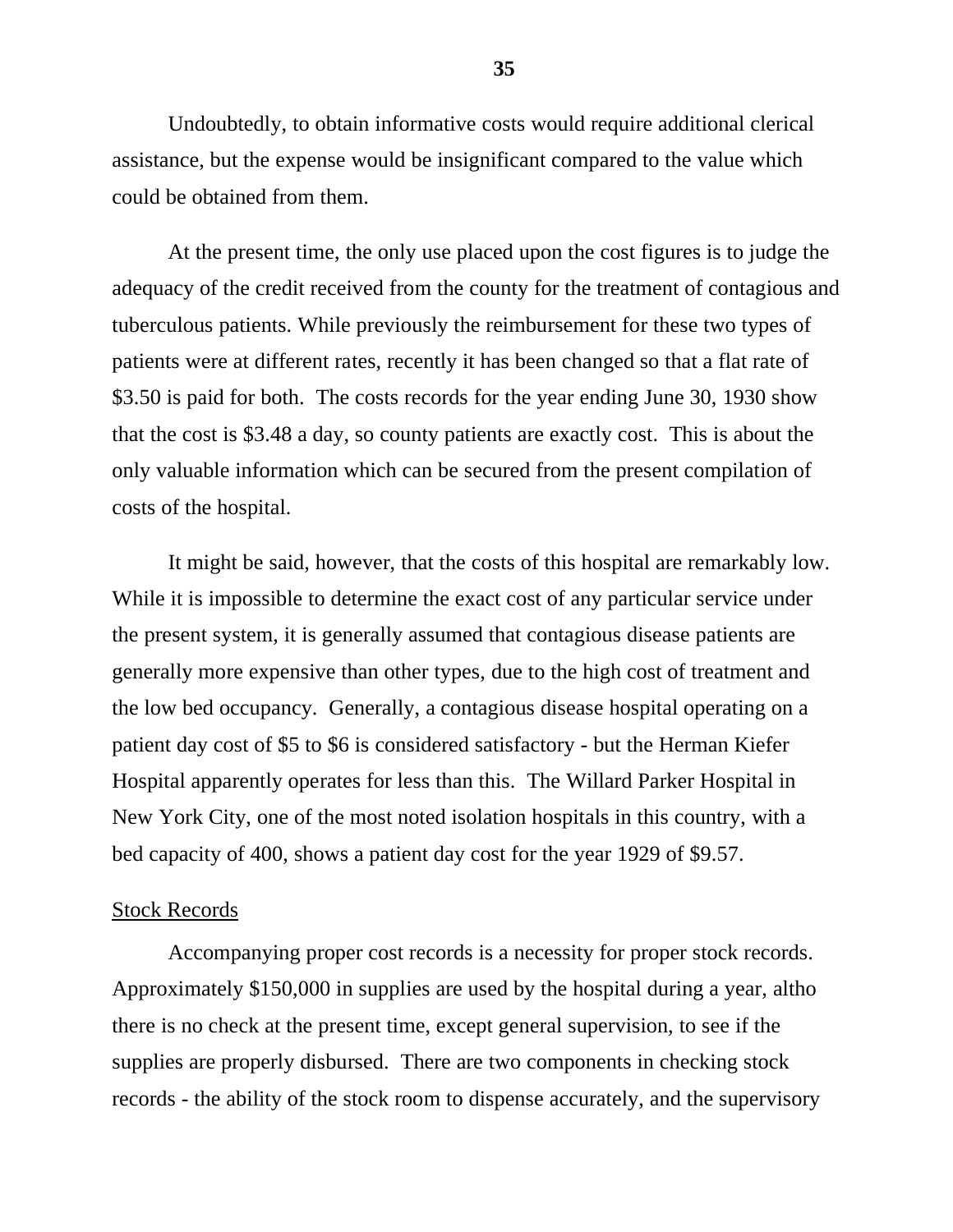Undoubtedly, to obtain informative costs would require additional clerical assistance, but the expense would be insignificant compared to the value which could be obtained from them.

At the present time, the only use placed upon the cost figures is to judge the adequacy of the credit received from the county for the treatment of contagious and tuberculous patients. While previously the reimbursement for these two types of patients were at different rates, recently it has been changed so that a flat rate of \$3.50 is paid for both. The costs records for the year ending June 30, 1930 show that the cost is \$3.48 a day, so county patients are exactly cost. This is about the only valuable information which can be secured from the present compilation of costs of the hospital.

It might be said, however, that the costs of this hospital are remarkably low. While it is impossible to determine the exact cost of any particular service under the present system, it is generally assumed that contagious disease patients are generally more expensive than other types, due to the high cost of treatment and the low bed occupancy. Generally, a contagious disease hospital operating on a patient day cost of \$5 to \$6 is considered satisfactory - but the Herman Kiefer Hospital apparently operates for less than this. The Willard Parker Hospital in New York City, one of the most noted isolation hospitals in this country, with a bed capacity of 400, shows a patient day cost for the year 1929 of \$9.57.

#### Stock Records

Accompanying proper cost records is a necessity for proper stock records. Approximately \$150,000 in supplies are used by the hospital during a year, altho there is no check at the present time, except general supervision, to see if the supplies are properly disbursed. There are two components in checking stock records - the ability of the stock room to dispense accurately, and the supervisory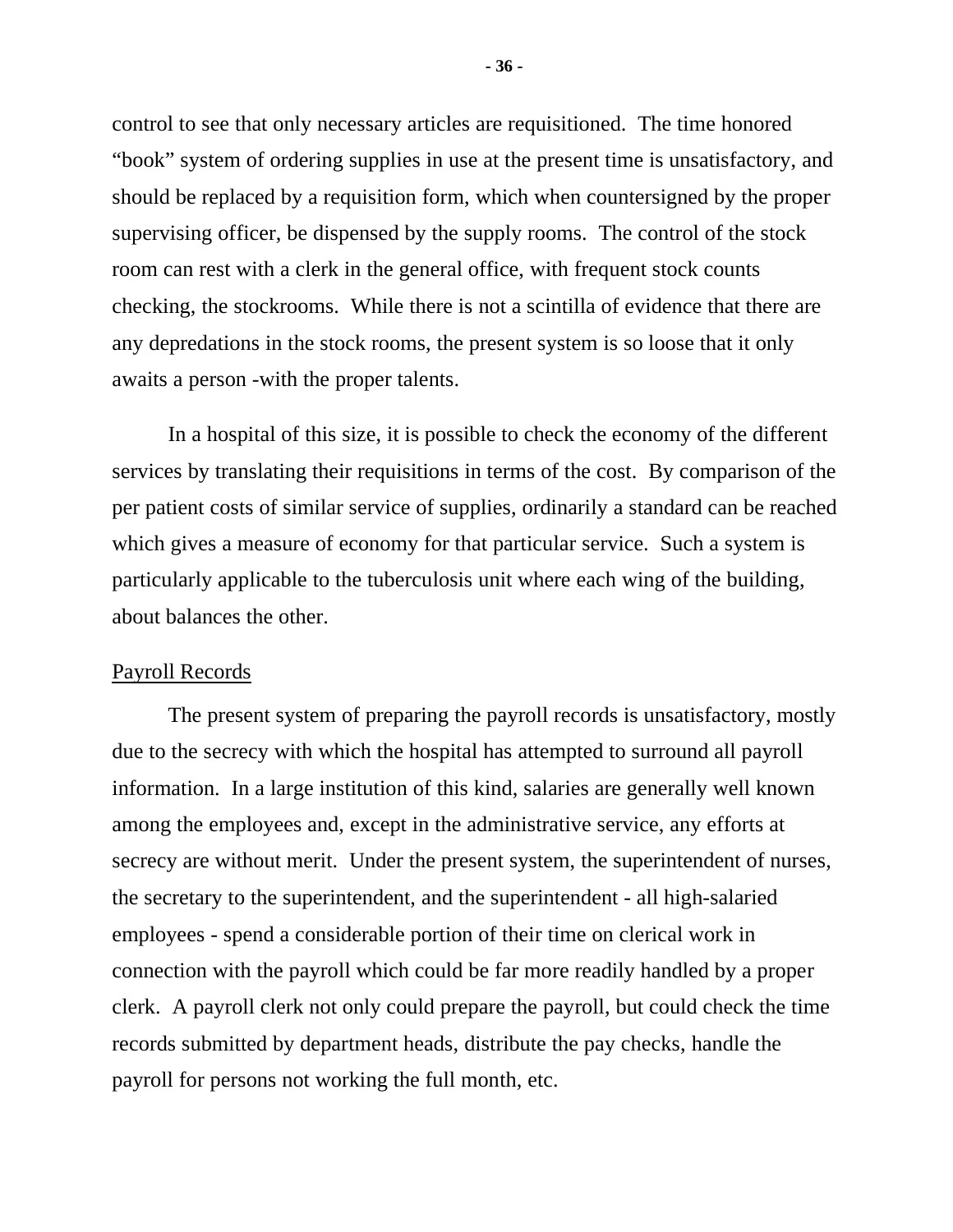control to see that only necessary articles are requisitioned. The time honored "book" system of ordering supplies in use at the present time is unsatisfactory, and should be replaced by a requisition form, which when countersigned by the proper supervising officer, be dispensed by the supply rooms. The control of the stock room can rest with a clerk in the general office, with frequent stock counts checking, the stockrooms. While there is not a scintilla of evidence that there are any depredations in the stock rooms, the present system is so loose that it only awaits a person -with the proper talents.

In a hospital of this size, it is possible to check the economy of the different services by translating their requisitions in terms of the cost. By comparison of the per patient costs of similar service of supplies, ordinarily a standard can be reached which gives a measure of economy for that particular service. Such a system is particularly applicable to the tuberculosis unit where each wing of the building, about balances the other.

## Payroll Records

The present system of preparing the payroll records is unsatisfactory, mostly due to the secrecy with which the hospital has attempted to surround all payroll information. In a large institution of this kind, salaries are generally well known among the employees and, except in the administrative service, any efforts at secrecy are without merit. Under the present system, the superintendent of nurses, the secretary to the superintendent, and the superintendent - all high-salaried employees - spend a considerable portion of their time on clerical work in connection with the payroll which could be far more readily handled by a proper clerk. A payroll clerk not only could prepare the payroll, but could check the time records submitted by department heads, distribute the pay checks, handle the payroll for persons not working the full month, etc.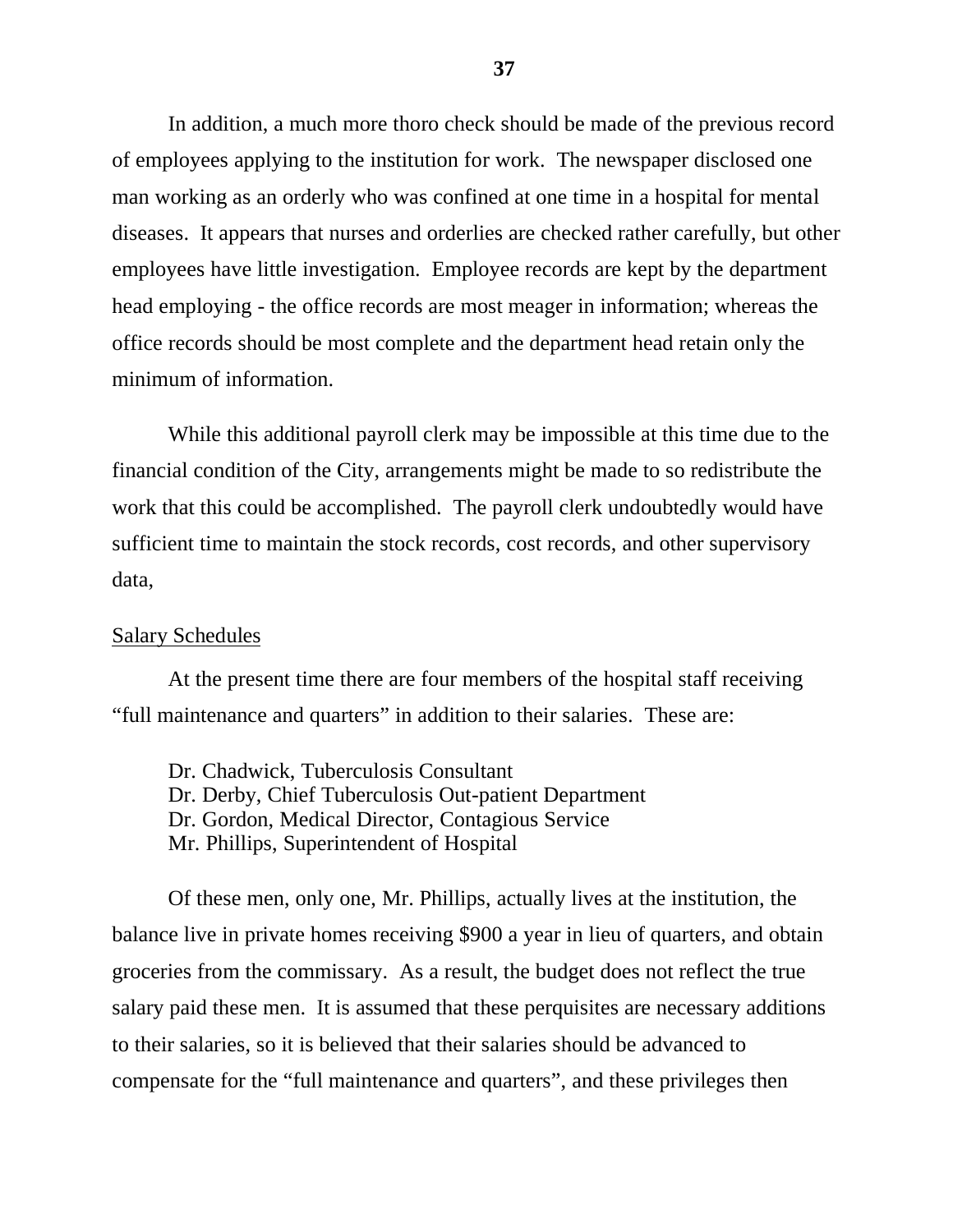In addition, a much more thoro check should be made of the previous record of employees applying to the institution for work. The newspaper disclosed one man working as an orderly who was confined at one time in a hospital for mental diseases. It appears that nurses and orderlies are checked rather carefully, but other employees have little investigation. Employee records are kept by the department head employing - the office records are most meager in information; whereas the office records should be most complete and the department head retain only the minimum of information.

While this additional payroll clerk may be impossible at this time due to the financial condition of the City, arrangements might be made to so redistribute the work that this could be accomplished. The payroll clerk undoubtedly would have sufficient time to maintain the stock records, cost records, and other supervisory data,

#### Salary Schedules

At the present time there are four members of the hospital staff receiving "full maintenance and quarters" in addition to their salaries. These are:

Dr. Chadwick, Tuberculosis Consultant Dr. Derby, Chief Tuberculosis Out-patient Department Dr. Gordon, Medical Director, Contagious Service Mr. Phillips, Superintendent of Hospital

Of these men, only one, Mr. Phillips, actually lives at the institution, the balance live in private homes receiving \$900 a year in lieu of quarters, and obtain groceries from the commissary. As a result, the budget does not reflect the true salary paid these men. It is assumed that these perquisites are necessary additions to their salaries, so it is believed that their salaries should be advanced to compensate for the "full maintenance and quarters", and these privileges then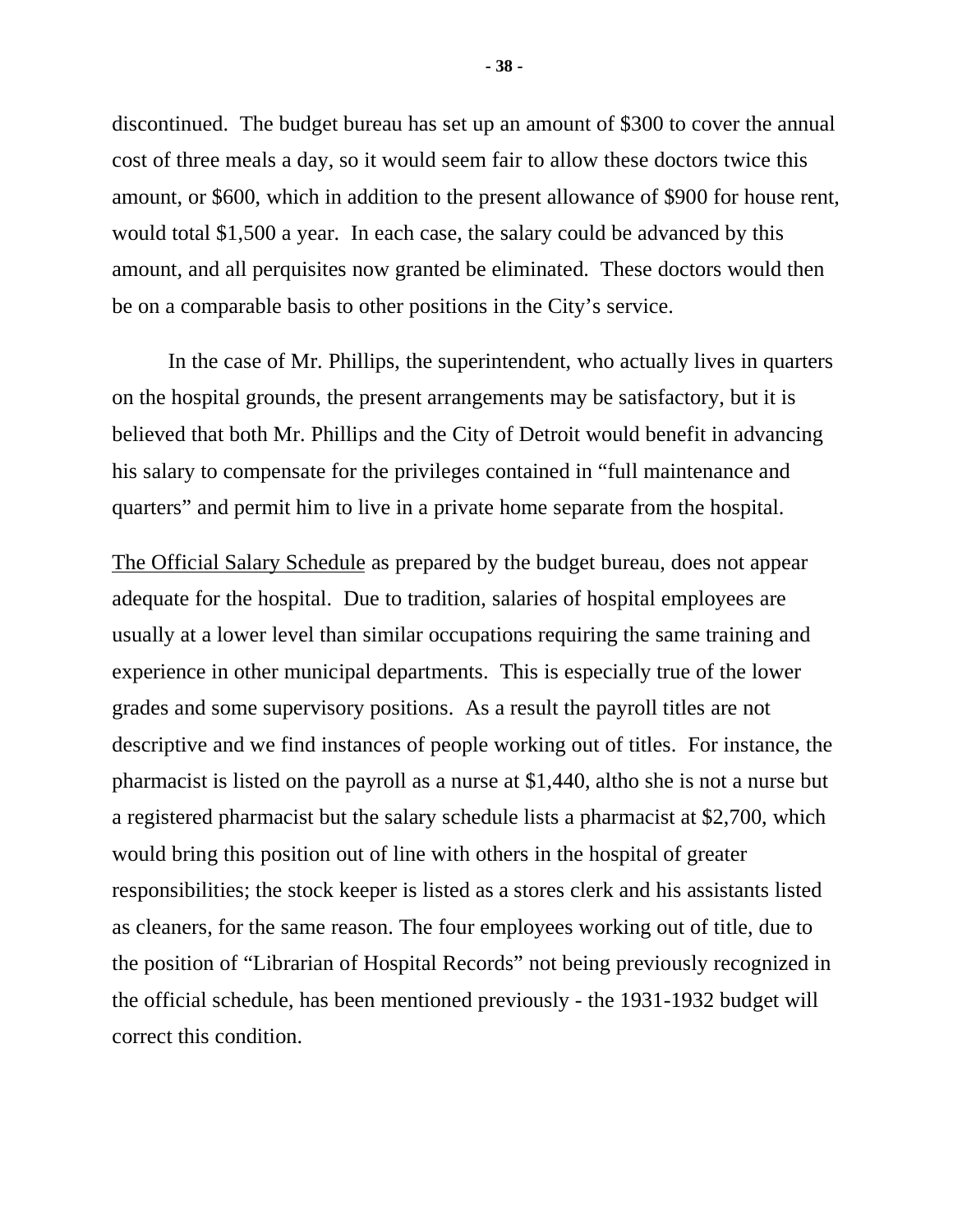discontinued. The budget bureau has set up an amount of \$300 to cover the annual cost of three meals a day, so it would seem fair to allow these doctors twice this amount, or \$600, which in addition to the present allowance of \$900 for house rent, would total \$1,500 a year. In each case, the salary could be advanced by this amount, and all perquisites now granted be eliminated. These doctors would then be on a comparable basis to other positions in the City's service.

In the case of Mr. Phillips, the superintendent, who actually lives in quarters on the hospital grounds, the present arrangements may be satisfactory, but it is believed that both Mr. Phillips and the City of Detroit would benefit in advancing his salary to compensate for the privileges contained in "full maintenance and quarters" and permit him to live in a private home separate from the hospital.

The Official Salary Schedule as prepared by the budget bureau, does not appear adequate for the hospital. Due to tradition, salaries of hospital employees are usually at a lower level than similar occupations requiring the same training and experience in other municipal departments. This is especially true of the lower grades and some supervisory positions. As a result the payroll titles are not descriptive and we find instances of people working out of titles. For instance, the pharmacist is listed on the payroll as a nurse at \$1,440, altho she is not a nurse but a registered pharmacist but the salary schedule lists a pharmacist at \$2,700, which would bring this position out of line with others in the hospital of greater responsibilities; the stock keeper is listed as a stores clerk and his assistants listed as cleaners, for the same reason. The four employees working out of title, due to the position of "Librarian of Hospital Records" not being previously recognized in the official schedule, has been mentioned previously - the 1931-1932 budget will correct this condition.

**- 38 -**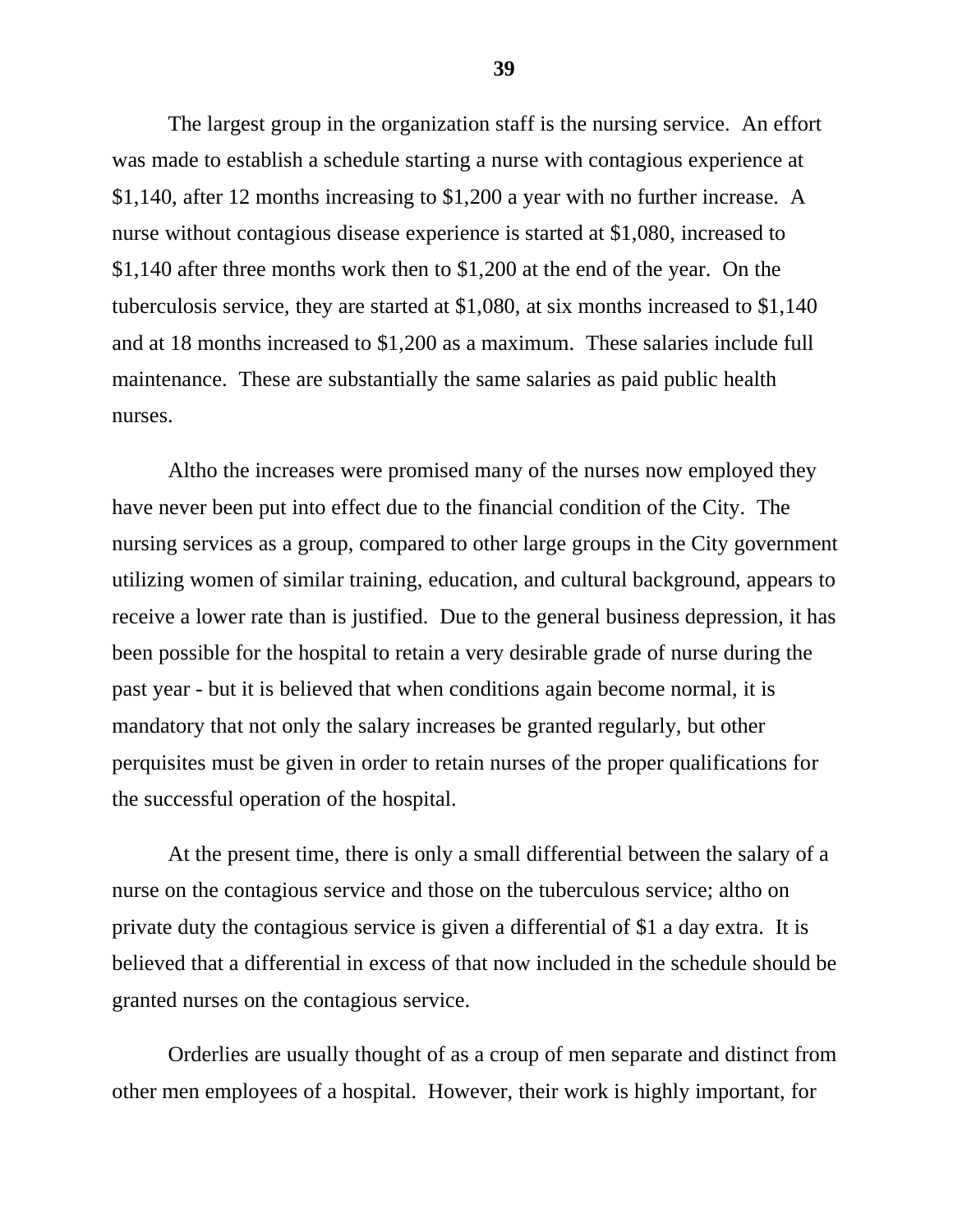The largest group in the organization staff is the nursing service. An effort was made to establish a schedule starting a nurse with contagious experience at \$1,140, after 12 months increasing to \$1,200 a year with no further increase. A nurse without contagious disease experience is started at \$1,080, increased to \$1,140 after three months work then to \$1,200 at the end of the year. On the tuberculosis service, they are started at \$1,080, at six months increased to \$1,140 and at 18 months increased to \$1,200 as a maximum. These salaries include full maintenance. These are substantially the same salaries as paid public health nurses.

Altho the increases were promised many of the nurses now employed they have never been put into effect due to the financial condition of the City. The nursing services as a group, compared to other large groups in the City government utilizing women of similar training, education, and cultural background, appears to receive a lower rate than is justified. Due to the general business depression, it has been possible for the hospital to retain a very desirable grade of nurse during the past year - but it is believed that when conditions again become normal, it is mandatory that not only the salary increases be granted regularly, but other perquisites must be given in order to retain nurses of the proper qualifications for the successful operation of the hospital.

At the present time, there is only a small differential between the salary of a nurse on the contagious service and those on the tuberculous service; altho on private duty the contagious service is given a differential of \$1 a day extra. It is believed that a differential in excess of that now included in the schedule should be granted nurses on the contagious service.

Orderlies are usually thought of as a croup of men separate and distinct from other men employees of a hospital. However, their work is highly important, for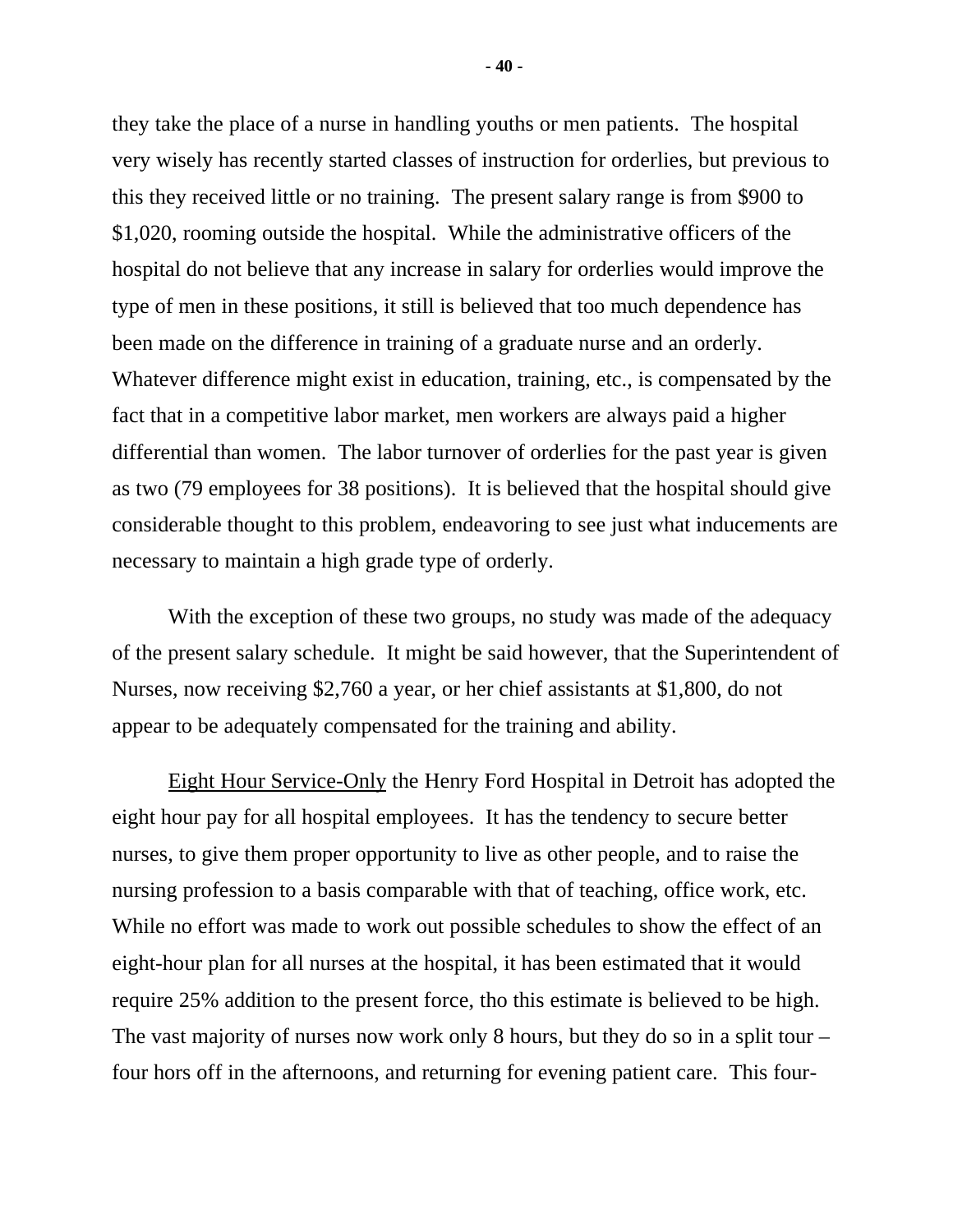they take the place of a nurse in handling youths or men patients. The hospital very wisely has recently started classes of instruction for orderlies, but previous to this they received little or no training. The present salary range is from \$900 to \$1,020, rooming outside the hospital. While the administrative officers of the hospital do not believe that any increase in salary for orderlies would improve the type of men in these positions, it still is believed that too much dependence has been made on the difference in training of a graduate nurse and an orderly. Whatever difference might exist in education, training, etc., is compensated by the fact that in a competitive labor market, men workers are always paid a higher differential than women. The labor turnover of orderlies for the past year is given as two (79 employees for 38 positions). It is believed that the hospital should give considerable thought to this problem, endeavoring to see just what inducements are necessary to maintain a high grade type of orderly.

With the exception of these two groups, no study was made of the adequacy of the present salary schedule. It might be said however, that the Superintendent of Nurses, now receiving \$2,760 a year, or her chief assistants at \$1,800, do not appear to be adequately compensated for the training and ability.

Eight Hour Service-Only the Henry Ford Hospital in Detroit has adopted the eight hour pay for all hospital employees. It has the tendency to secure better nurses, to give them proper opportunity to live as other people, and to raise the nursing profession to a basis comparable with that of teaching, office work, etc. While no effort was made to work out possible schedules to show the effect of an eight-hour plan for all nurses at the hospital, it has been estimated that it would require 25% addition to the present force, tho this estimate is believed to be high. The vast majority of nurses now work only 8 hours, but they do so in a split tour – four hors off in the afternoons, and returning for evening patient care. This four-

**- 40 -**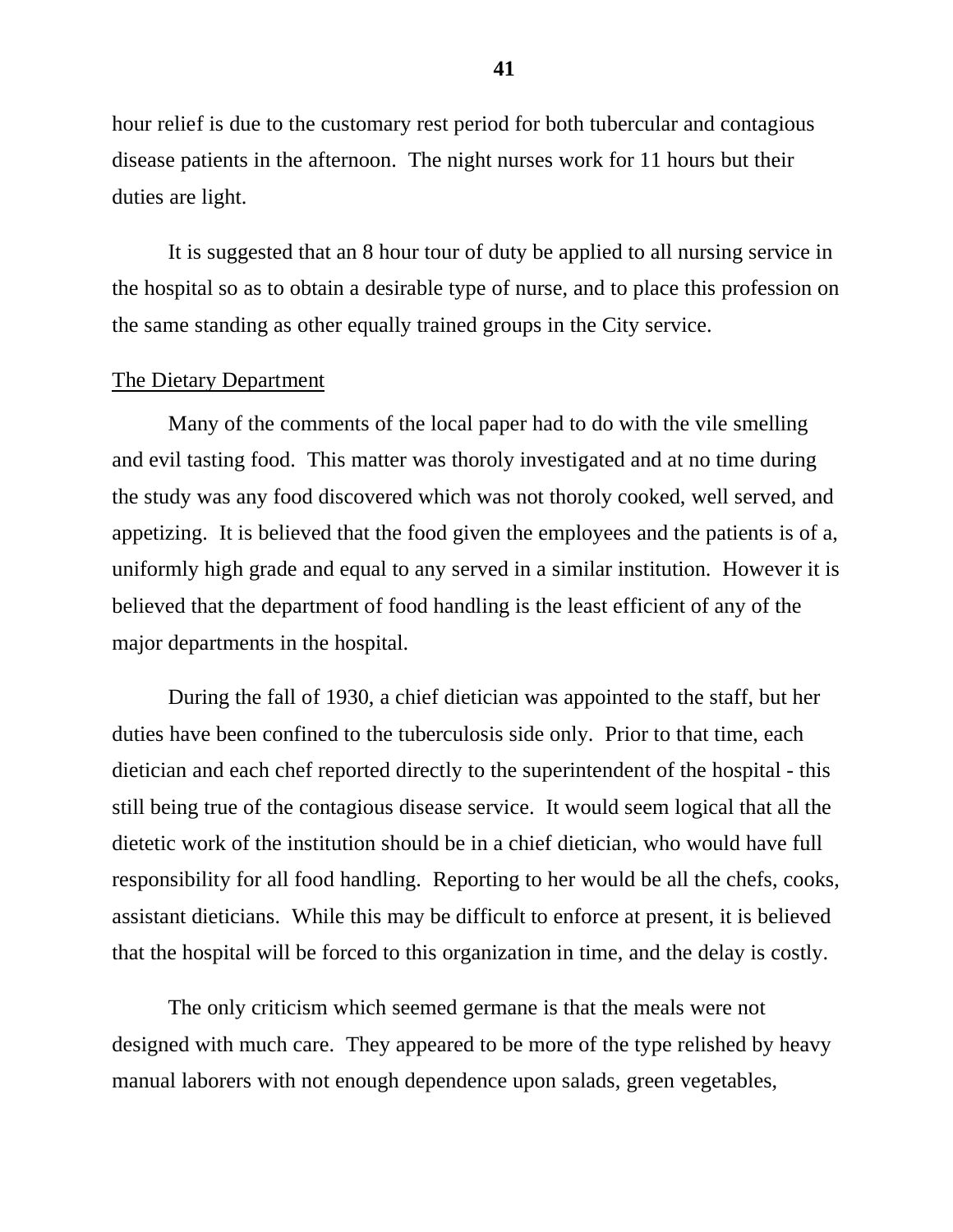hour relief is due to the customary rest period for both tubercular and contagious disease patients in the afternoon. The night nurses work for 11 hours but their duties are light.

It is suggested that an 8 hour tour of duty be applied to all nursing service in the hospital so as to obtain a desirable type of nurse, and to place this profession on the same standing as other equally trained groups in the City service.

# The Dietary Department

Many of the comments of the local paper had to do with the vile smelling and evil tasting food. This matter was thoroly investigated and at no time during the study was any food discovered which was not thoroly cooked, well served, and appetizing. It is believed that the food given the employees and the patients is of a, uniformly high grade and equal to any served in a similar institution. However it is believed that the department of food handling is the least efficient of any of the major departments in the hospital.

During the fall of 1930, a chief dietician was appointed to the staff, but her duties have been confined to the tuberculosis side only. Prior to that time, each dietician and each chef reported directly to the superintendent of the hospital - this still being true of the contagious disease service. It would seem logical that all the dietetic work of the institution should be in a chief dietician, who would have full responsibility for all food handling. Reporting to her would be all the chefs, cooks, assistant dieticians. While this may be difficult to enforce at present, it is believed that the hospital will be forced to this organization in time, and the delay is costly.

The only criticism which seemed germane is that the meals were not designed with much care. They appeared to be more of the type relished by heavy manual laborers with not enough dependence upon salads, green vegetables,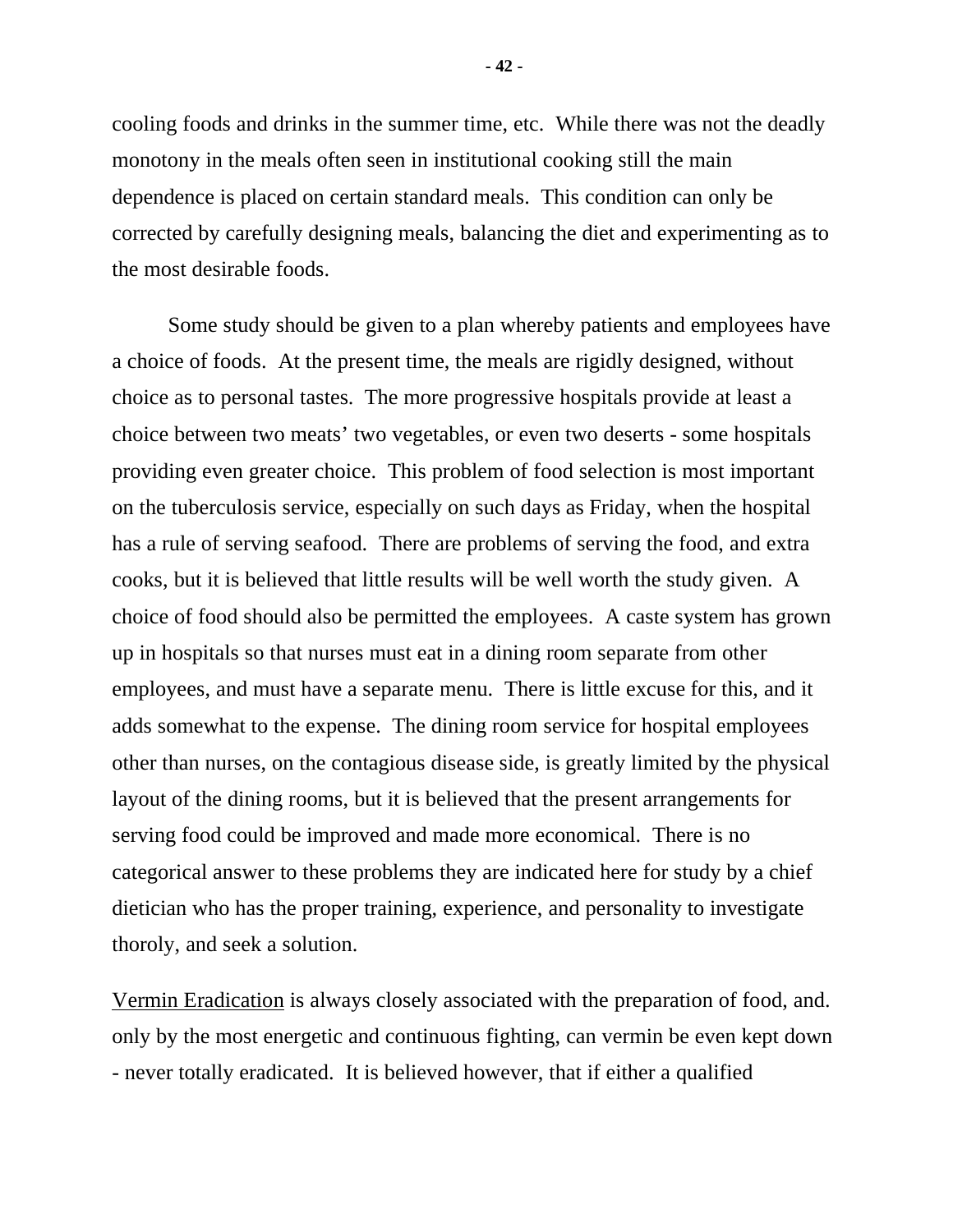cooling foods and drinks in the summer time, etc. While there was not the deadly monotony in the meals often seen in institutional cooking still the main dependence is placed on certain standard meals. This condition can only be corrected by carefully designing meals, balancing the diet and experimenting as to the most desirable foods.

Some study should be given to a plan whereby patients and employees have a choice of foods. At the present time, the meals are rigidly designed, without choice as to personal tastes. The more progressive hospitals provide at least a choice between two meats' two vegetables, or even two deserts - some hospitals providing even greater choice. This problem of food selection is most important on the tuberculosis service, especially on such days as Friday, when the hospital has a rule of serving seafood. There are problems of serving the food, and extra cooks, but it is believed that little results will be well worth the study given. A choice of food should also be permitted the employees. A caste system has grown up in hospitals so that nurses must eat in a dining room separate from other employees, and must have a separate menu. There is little excuse for this, and it adds somewhat to the expense. The dining room service for hospital employees other than nurses, on the contagious disease side, is greatly limited by the physical layout of the dining rooms, but it is believed that the present arrangements for serving food could be improved and made more economical. There is no categorical answer to these problems they are indicated here for study by a chief dietician who has the proper training, experience, and personality to investigate thoroly, and seek a solution.

Vermin Eradication is always closely associated with the preparation of food, and. only by the most energetic and continuous fighting, can vermin be even kept down - never totally eradicated. It is believed however, that if either a qualified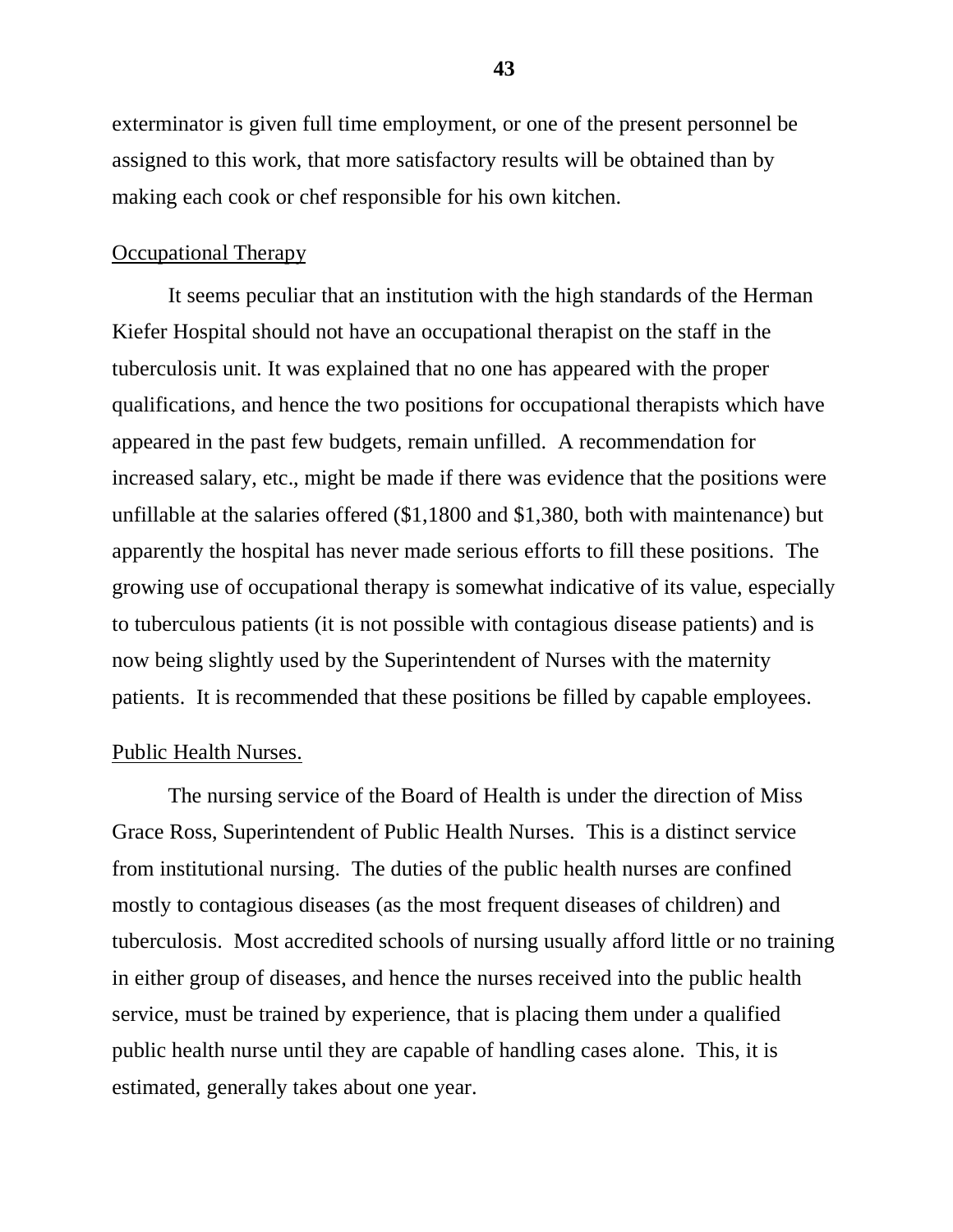exterminator is given full time employment, or one of the present personnel be assigned to this work, that more satisfactory results will be obtained than by making each cook or chef responsible for his own kitchen.

### Occupational Therapy

It seems peculiar that an institution with the high standards of the Herman Kiefer Hospital should not have an occupational therapist on the staff in the tuberculosis unit. It was explained that no one has appeared with the proper qualifications, and hence the two positions for occupational therapists which have appeared in the past few budgets, remain unfilled. A recommendation for increased salary, etc., might be made if there was evidence that the positions were unfillable at the salaries offered (\$1,1800 and \$1,380, both with maintenance) but apparently the hospital has never made serious efforts to fill these positions. The growing use of occupational therapy is somewhat indicative of its value, especially to tuberculous patients (it is not possible with contagious disease patients) and is now being slightly used by the Superintendent of Nurses with the maternity patients. It is recommended that these positions be filled by capable employees.

# Public Health Nurses.

The nursing service of the Board of Health is under the direction of Miss Grace Ross, Superintendent of Public Health Nurses. This is a distinct service from institutional nursing. The duties of the public health nurses are confined mostly to contagious diseases (as the most frequent diseases of children) and tuberculosis. Most accredited schools of nursing usually afford little or no training in either group of diseases, and hence the nurses received into the public health service, must be trained by experience, that is placing them under a qualified public health nurse until they are capable of handling cases alone. This, it is estimated, generally takes about one year.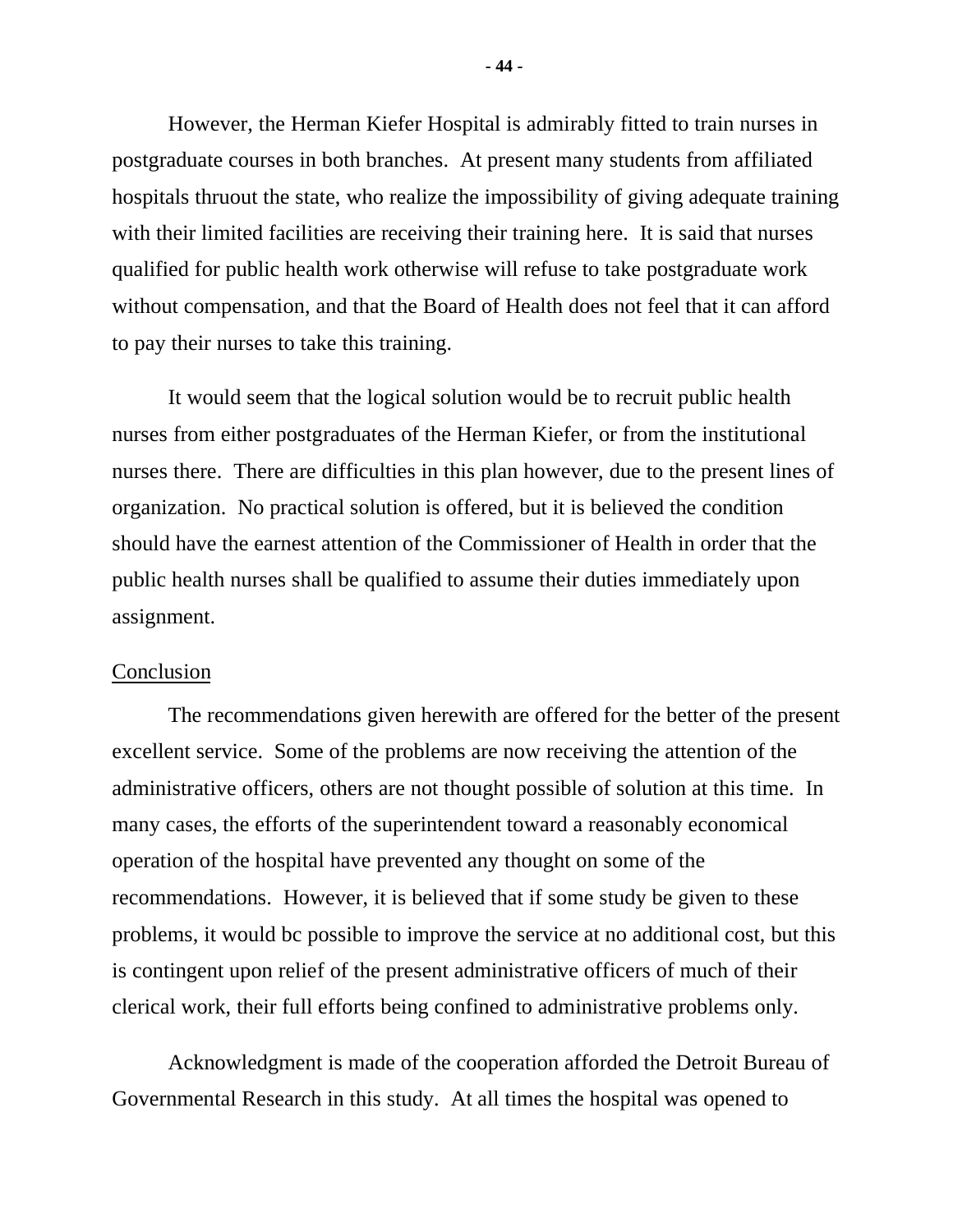However, the Herman Kiefer Hospital is admirably fitted to train nurses in postgraduate courses in both branches. At present many students from affiliated hospitals thruout the state, who realize the impossibility of giving adequate training with their limited facilities are receiving their training here. It is said that nurses qualified for public health work otherwise will refuse to take postgraduate work without compensation, and that the Board of Health does not feel that it can afford to pay their nurses to take this training.

It would seem that the logical solution would be to recruit public health nurses from either postgraduates of the Herman Kiefer, or from the institutional nurses there. There are difficulties in this plan however, due to the present lines of organization. No practical solution is offered, but it is believed the condition should have the earnest attention of the Commissioner of Health in order that the public health nurses shall be qualified to assume their duties immediately upon assignment.

## Conclusion

The recommendations given herewith are offered for the better of the present excellent service. Some of the problems are now receiving the attention of the administrative officers, others are not thought possible of solution at this time. In many cases, the efforts of the superintendent toward a reasonably economical operation of the hospital have prevented any thought on some of the recommendations. However, it is believed that if some study be given to these problems, it would bc possible to improve the service at no additional cost, but this is contingent upon relief of the present administrative officers of much of their clerical work, their full efforts being confined to administrative problems only.

Acknowledgment is made of the cooperation afforded the Detroit Bureau of Governmental Research in this study. At all times the hospital was opened to

**- 44 -**